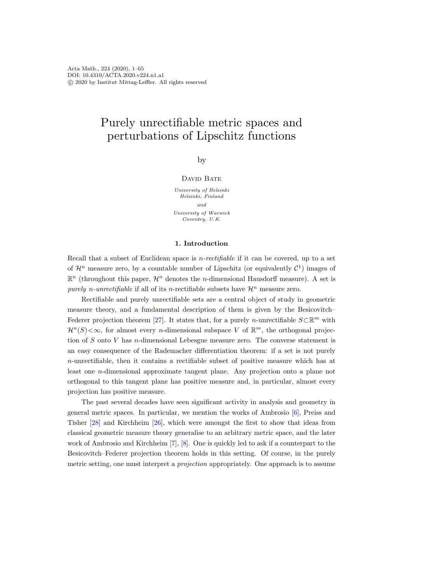# Purely unrectifiable metric spaces and perturbations of Lipschitz functions

by

## DAVID BATE

University of Helsinki Helsinki, Finland and University of Warwick Coventry, U.K.

## 1. Introduction

Recall that a subset of Euclidean space is *n-rectifiable* if it can be covered, up to a set of  $\mathcal{H}^n$  measure zero, by a countable number of Lipschitz (or equivalently  $\mathcal{C}^1$ ) images of  $\mathbb{R}^n$  (throughout this paper,  $\mathcal{H}^n$  denotes the *n*-dimensional Hausdorff measure). A set is purely n-unrectifiable if all of its n-rectifiable subsets have  $\mathcal{H}^n$  measure zero.

Rectifiable and purely unrectifiable sets are a central object of study in geometric measure theory, and a fundamental description of them is given by the Besicovitch– Federer projection theorem [\[27\]](#page-63-0). It states that, for a purely *n*-unrectifiable  $S\subset\mathbb{R}^m$  with  $\mathcal{H}^n(S) < \infty$ , for almost every *n*-dimensional subspace V of  $\mathbb{R}^m$ , the orthogonal projection of  $S$  onto  $V$  has *n*-dimensional Lebesgue measure zero. The converse statement is an easy consequence of the Rademacher differentiation theorem: if a set is not purely n-unrectifiable, then it contains a rectifiable subset of positive measure which has at least one n-dimensional approximate tangent plane. Any projection onto a plane not orthogonal to this tangent plane has positive measure and, in particular, almost every projection has positive measure.

The past several decades have seen significant activity in analysis and geometry in general metric spaces. In particular, we mention the works of Ambrosio [\[6\]](#page-63-1), Preiss and Tisher [\[28\]](#page-64-0) and Kirchheim [\[26\]](#page-63-2), which were amongst the first to show that ideas from classical geometric measure theory generalise to an arbitrary metric space, and the later work of Ambrosio and Kirchheim [\[7\]](#page-63-3), [\[8\]](#page-63-4). One is quickly led to ask if a counterpart to the Besicovitch–Federer projection theorem holds in this setting. Of course, in the purely metric setting, one must interpret a *projection* appropriately. One approach is to assume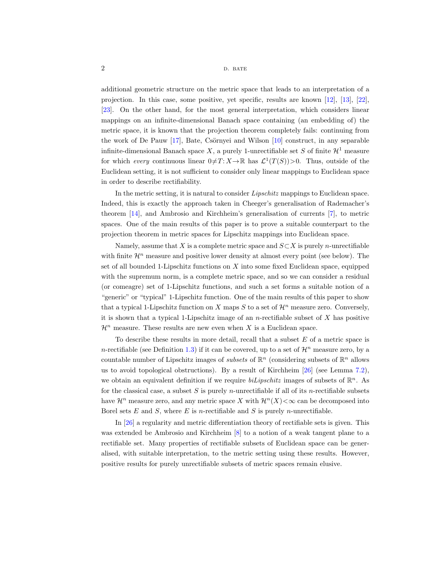additional geometric structure on the metric space that leads to an interpretation of a projection. In this case, some positive, yet specific, results are known [\[12\]](#page-63-5), [\[13\]](#page-63-6), [\[22\]](#page-63-7), [\[23\]](#page-63-8). On the other hand, for the most general interpretation, which considers linear mappings on an infinite-dimensional Banach space containing (an embedding of) the metric space, it is known that the projection theorem completely fails: continuing from the work of De Pauw  $[17]$ , Bate, Csörnyei and Wilson  $[10]$  construct, in any separable infinite-dimensional Banach space X, a purely 1-unrectifiable set S of finite  $\mathcal{H}^1$  measure for which every continuous linear  $0 \neq T: X \to \mathbb{R}$  has  $\mathcal{L}^1(T(S)) > 0$ . Thus, outside of the Euclidean setting, it is not sufficient to consider only linear mappings to Euclidean space in order to describe rectifiability.

In the metric setting, it is natural to consider Lipschitz mappings to Euclidean space. Indeed, this is exactly the approach taken in Cheeger's generalisation of Rademacher's theorem [\[14\]](#page-63-11), and Ambrosio and Kirchheim's generalisation of currents [\[7\]](#page-63-12), to metric spaces. One of the main results of this paper is to prove a suitable counterpart to the projection theorem in metric spaces for Lipschitz mappings into Euclidean space.

Namely, assume that X is a complete metric space and  $S\subset X$  is purely *n*-unrectifiable with finite  $\mathcal{H}^n$  measure and positive lower density at almost every point (see below). The set of all bounded 1-Lipschitz functions on  $X$  into some fixed Euclidean space, equipped with the supremum norm, is a complete metric space, and so we can consider a residual (or comeagre) set of 1-Lipschitz functions, and such a set forms a suitable notion of a "generic" or "typical" 1-Lipschitz function. One of the main results of this paper to show that a typical 1-Lipschitz function on X maps S to a set of  $\mathcal{H}^n$  measure zero. Conversely, it is shown that a typical 1-Lipschitz image of an  $n$ -rectifiable subset of  $X$  has positive  $\mathcal{H}^n$  measure. These results are new even when X is a Euclidean space.

To describe these results in more detail, recall that a subset  $E$  of a metric space is n-rectifiable (see Definition [1.3\)](#page-8-0) if it can be covered, up to a set of  $\mathcal{H}^n$  measure zero, by a countable number of Lipschitz images of *subsets* of  $\mathbb{R}^n$  (considering subsets of  $\mathbb{R}^n$  allows us to avoid topological obstructions). By a result of Kirchheim [\[26\]](#page-63-13) (see Lemma [7.2\)](#page-52-0), we obtain an equivalent definition if we require  $b$ *iLipschitz* images of subsets of  $\mathbb{R}^n$ . As for the classical case, a subset S is purely n-unrectifiable if all of its n-rectifiable subsets have  $\mathcal{H}^n$  measure zero, and any metric space X with  $\mathcal{H}^n(X)<\infty$  can be decomposed into Borel sets  $E$  and  $S$ , where  $E$  is *n*-rectifiable and  $S$  is purely *n*-unrectifiable.

In [\[26\]](#page-63-13) a regularity and metric differentiation theory of rectifiable sets is given. This was extended be Ambrosio and Kirchheim [\[8\]](#page-63-14) to a notion of a weak tangent plane to a rectifiable set. Many properties of rectifiable subsets of Euclidean space can be generalised, with suitable interpretation, to the metric setting using these results. However, positive results for purely unrectifiable subsets of metric spaces remain elusive.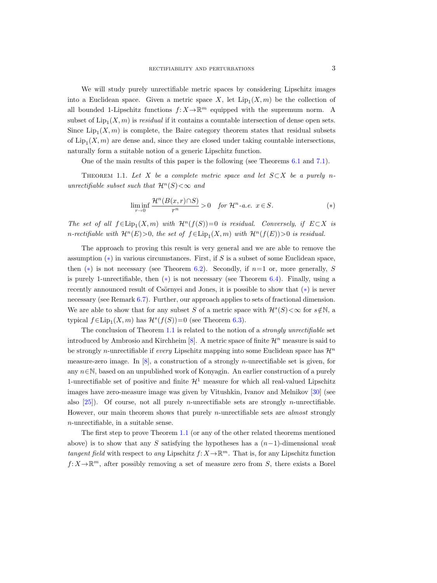We will study purely unrectifiable metric spaces by considering Lipschitz images into a Euclidean space. Given a metric space X, let  $\text{Lip}_1(X,m)$  be the collection of all bounded 1-Lipschitz functions  $f: X \to \mathbb{R}^m$  equipped with the supremum norm. A subset of  $\text{Lip}_1(X,m)$  is *residual* if it contains a countable intersection of dense open sets. Since  $\text{Lip}_1(X,m)$  is complete, the Baire category theorem states that residual subsets of  $\text{Lip}_1(X,m)$  are dense and, since they are closed under taking countable intersections, naturally form a suitable notion of a generic Lipschitz function.

One of the main results of this paper is the following (see Theorems [6.1](#page-47-0) and [7.1\)](#page-52-1).

<span id="page-2-3"></span><span id="page-2-1"></span>THEOREM 1.1. Let X be a complete metric space and let  $S \subset X$  be a purely nunrectifiable subset such that  $\mathcal{H}^n(S) < \infty$  and

<span id="page-2-4"></span><span id="page-2-2"></span><span id="page-2-0"></span>
$$
\liminf_{r \to 0} \frac{\mathcal{H}^n(B(x,r) \cap S)}{r^n} > 0 \quad \text{for } \mathcal{H}^n\text{-a.e. } x \in S. \tag{*}
$$

The set of all  $f \in \text{Lip}_1(X, m)$  with  $\mathcal{H}^n(f(S))=0$  is residual. Conversely, if  $E \subset X$  is n-rectifiable with  $\mathcal{H}^n(E) > 0$ , the set of  $f \in \text{Lip}_1(X,m)$  with  $\mathcal{H}^n(f(E)) > 0$  is residual.

The approach to proving this result is very general and we are able to remove the assumption  $(*)$  in various circumstances. First, if S is a subset of some Euclidean space, then  $(*)$  is not necessary (see Theorem [6.2\)](#page-48-0). Secondly, if  $n=1$  or, more generally, S is purely 1-unrectifiable, then  $(*)$  is not necessary (see Theorem [6.4\)](#page-48-1). Finally, using a recently announced result of Csörnyei and Jones, it is possible to show that  $(*)$  is never necessary (see Remark [6.7\)](#page-49-0). Further, our approach applies to sets of fractional dimension. We are able to show that for any subset S of a metric space with  $\mathcal{H}^s(S) < \infty$  for  $s \notin \mathbb{N}$ , a typical  $f \in \text{Lip}_1(X, m)$  has  $\mathcal{H}^s(f(S)) = 0$  (see Theorem [6.3\)](#page-48-2).

The conclusion of Theorem [1.1](#page-2-1) is related to the notion of a strongly unrectifiable set introduced by Ambrosio and Kirchheim [\[8\]](#page-63-4). A metric space of finite  $\mathcal{H}^n$  measure is said to be strongly *n*-unrectifiable if *every* Lipschitz mapping into some Euclidean space has  $\mathcal{H}^n$ measure-zero image. In  $[8]$ , a construction of a strongly *n*-unrectifiable set is given, for any  $n \in \mathbb{N}$ , based on an unpublished work of Konyagin. An earlier construction of a purely 1-unrectifiable set of positive and finite  $\mathcal{H}^1$  measure for which all real-valued Lipschitz images have zero-measure image was given by Vitushkin, Ivanov and Melnikov [\[30\]](#page-64-1) (see also  $[25]$ ). Of course, not all purely *n*-unrectifiable sets are strongly *n*-unrectifiable. However, our main theorem shows that purely *n*-unrectifiable sets are *almost* strongly  $n$ -unrectifiable, in a suitable sense.

The first step to prove Theorem [1.1](#page-2-1) (or any of the other related theorems mentioned above) is to show that any S satisfying the hypotheses has a  $(n-1)$ -dimensional weak tangent field with respect to any Lipschitz  $f: X \to \mathbb{R}^m$ . That is, for any Lipschitz function  $f: X \to \mathbb{R}^m$ , after possibly removing a set of measure zero from S, there exists a Borel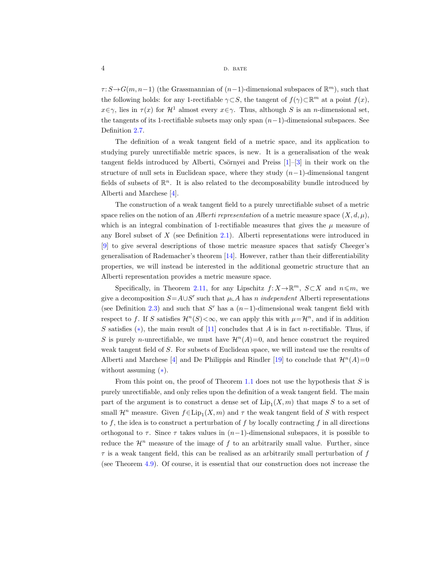$\tau: S \to G(m, n-1)$  (the Grassmannian of  $(n-1)$ -dimensional subspaces of  $\mathbb{R}^m$ ), such that the following holds: for any 1-rectifiable  $\gamma \subset S$ , the tangent of  $f(\gamma) \subset \mathbb{R}^m$  at a point  $f(x)$ ,  $x \in \gamma$ , lies in  $\tau(x)$  for  $\mathcal{H}^1$  almost every  $x \in \gamma$ . Thus, although S is an n-dimensional set, the tangents of its 1-rectifiable subsets may only span  $(n-1)$ -dimensional subspaces. See Definition [2.7.](#page-13-0)

The definition of a weak tangent field of a metric space, and its application to studying purely unrectifiable metric spaces, is new. It is a generalisation of the weak tangent fields introduced by Alberti, Csörnyei and Preiss  $[1]-[3]$  $[1]-[3]$  in their work on the structure of null sets in Euclidean space, where they study  $(n-1)$ -dimensional tangent fields of subsets of  $\mathbb{R}^n$ . It is also related to the decomposability bundle introduced by Alberti and Marchese [\[4\]](#page-63-16).

The construction of a weak tangent field to a purely unrectifiable subset of a metric space relies on the notion of an *Alberti representation* of a metric measure space  $(X, d, \mu)$ , which is an integral combination of 1-rectifiable measures that gives the  $\mu$  measure of any Borel subset of  $X$  (see Definition [2.1\)](#page-9-0). Alberti representations were introduced in [\[9\]](#page-63-17) to give several descriptions of those metric measure spaces that satisfy Cheeger's generalisation of Rademacher's theorem [\[14\]](#page-63-11). However, rather than their differentiability properties, we will instead be interested in the additional geometric structure that an Alberti representation provides a metric measure space.

Specifically, in Theorem [2.11,](#page-17-0) for any Lipschitz  $f: X \to \mathbb{R}^m$ ,  $S \subset X$  and  $n \leq m$ , we give a decomposition  $S = A \cup S'$  such that  $\mu \perp A$  has n independent Alberti representations (see Definition [2.3\)](#page-10-0) and such that  $S'$  has a  $(n-1)$ -dimensional weak tangent field with respect to f. If S satisfies  $\mathcal{H}^n(S) < \infty$ , we can apply this with  $\mu = \mathcal{H}^n$ , and if in addition S satisfies  $(*)$ , the main result of [\[11\]](#page-63-18) concludes that A is in fact n-rectifiable. Thus, if S is purely n-unrectifiable, we must have  $\mathcal{H}^n(A)=0$ , and hence construct the required weak tangent field of S. For subsets of Euclidean space, we will instead use the results of Alberti and Marchese [\[4\]](#page-63-16) and De Philippis and Rindler [\[19\]](#page-63-19) to conclude that  $\mathcal{H}^n(A)=0$ without assuming  $(*)$ .

From this point on, the proof of Theorem [1.1](#page-2-3) does not use the hypothesis that  $S$  is purely unrectifiable, and only relies upon the definition of a weak tangent field. The main part of the argument is to construct a dense set of  $\text{Lip}_1(X,m)$  that maps S to a set of small  $\mathcal{H}^n$  measure. Given  $f \in \text{Lip}_1(X, m)$  and  $\tau$  the weak tangent field of S with respect to f, the idea is to construct a perturbation of f by locally contracting f in all directions orthogonal to  $\tau$ . Since  $\tau$  takes values in  $(n-1)$ -dimensional subspaces, it is possible to reduce the  $\mathcal{H}^n$  measure of the image of f to an arbitrarily small value. Further, since  $\tau$  is a weak tangent field, this can be realised as an arbitrarily small perturbation of  $f$ (see Theorem [4.9\)](#page-43-0). Of course, it is essential that our construction does not increase the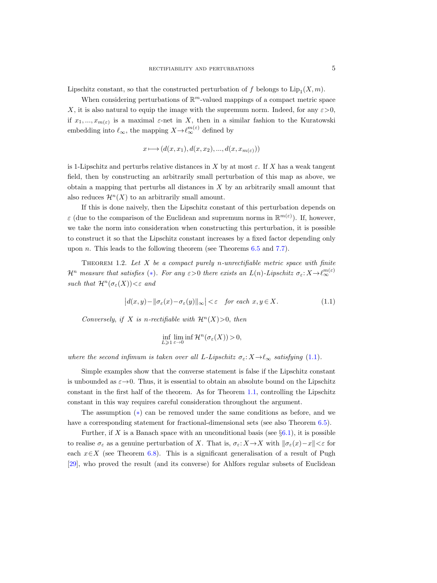Lipschitz constant, so that the constructed perturbation of  $f$  belongs to  $\text{Lip}_1(X, m)$ .

When considering perturbations of  $\mathbb{R}^m$ -valued mappings of a compact metric space X, it is also natural to equip the image with the supremum norm. Indeed, for any  $\varepsilon > 0$ , if  $x_1, ..., x_{m(\varepsilon)}$  is a maximal  $\varepsilon$ -net in X, then in a similar fashion to the Kuratowski embedding into  $\ell_{\infty}$ , the mapping  $X \to \ell_{\infty}^{m(\varepsilon)}$  defined by

$$
x\longmapsto (d(x,x_1),d(x,x_2),...,d(x,x_{m(\varepsilon)}))
$$

is 1-Lipschitz and perturbs relative distances in X by at most  $\varepsilon$ . If X has a weak tangent field, then by constructing an arbitrarily small perturbation of this map as above, we obtain a mapping that perturbs all distances in  $X$  by an arbitrarily small amount that also reduces  $\mathcal{H}^n(X)$  to an arbitrarily small amount.

If this is done naively, then the Lipschitz constant of this perturbation depends on  $\varepsilon$  (due to the comparison of the Euclidean and supremum norms in  $\mathbb{R}^{m(\varepsilon)}$ ). If, however, we take the norm into consideration when constructing this perturbation, it is possible to construct it so that the Lipschitz constant increases by a fixed factor depending only upon *n*. This leads to the following theorem (see Theorems  $6.5$  and  $7.7$ ).

<span id="page-4-0"></span>THEOREM 1.2. Let  $X$  be a compact purely n-unrectifiable metric space with finite  $\mathcal{H}^n$  measure that satisfies (\*). For any  $\varepsilon > 0$  there exists an  $L(n)$ -Lipschitz  $\sigma_{\varepsilon}: X \to \ell_{\infty}^{m(\varepsilon)}$ such that  $\mathcal{H}^n(\sigma_{\varepsilon}(X)) < \varepsilon$  and

$$
\left|d(x,y) - \|\sigma_{\varepsilon}(x) - \sigma_{\varepsilon}(y)\|_{\infty}\right| < \varepsilon \quad \text{for each } x, y \in X. \tag{1.1}
$$

Conversely, if X is n-rectifiable with  $\mathcal{H}^n(X) > 0$ , then

$$
\inf_{L\geqslant 1}\liminf_{\varepsilon\to 0}\mathcal{H}^n(\sigma_{\varepsilon}(X))>0,
$$

where the second infimum is taken over all L-Lipschitz  $\sigma_{\varepsilon}: X \to \ell_{\infty}$  satisfying [\(1.1\)](#page-2-4).

Simple examples show that the converse statement is false if the Lipschitz constant is unbounded as  $\varepsilon \rightarrow 0$ . Thus, it is essential to obtain an absolute bound on the Lipschitz constant in the first half of the theorem. As for Theorem [1.1,](#page-2-1) controlling the Lipschitz constant in this way requires careful consideration throughout the argument.

The assumption ([∗](#page-2-0)) can be removed under the same conditions as before, and we have a corresponding statement for fractional-dimensional sets (see also Theorem [6.5\)](#page-49-1).

Further, if X is a Banach space with an unconditional basis (see  $\S 6.1$ ), it is possible to realise  $\sigma_{\varepsilon}$  as a genuine perturbation of X. That is,  $\sigma_{\varepsilon}: X \to X$  with  $\|\sigma_{\varepsilon}(x)-x\| < \varepsilon$  for each  $x \in X$  (see Theorem [6.8\)](#page-50-1). This is a significant generalisation of a result of Pugh [\[29\]](#page-64-2), who proved the result (and its converse) for Ahlfors regular subsets of Euclidean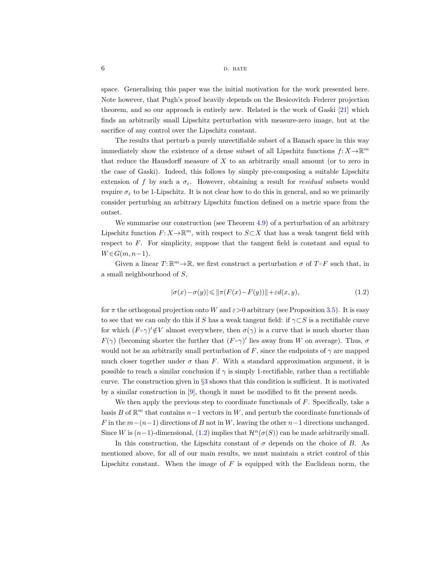space. Generalising this paper was the initial motivation for the work presented here. Note however, that Pugh's proof heavily depends on the Besicovitch–Federer projection theorem, and so our approach is entirely new. Related is the work of Gaski [\[21\]](#page-63-20) which finds an arbitrarily small Lipschitz perturbation with measure-zero image, but at the sacrifice of any control over the Lipschitz constant.

The results that perturb a purely unrectifiable subset of a Banach space in this way immediately show the existence of a dense subset of all Lipschitz functions  $f: X \to \mathbb{R}^m$ that reduce the Hausdorff measure of X to an arbitrarily small amount (or to zero in the case of Gaski). Indeed, this follows by simply pre-composing a suitable Lipschitz extension of f by such a  $\sigma_{\epsilon}$ . However, obtaining a result for residual subsets would require  $\sigma_{\varepsilon}$  to be 1-Lipschitz. It is not clear how to do this in general, and so we primarily consider perturbing an arbitrary Lipschitz function defined on a metric space from the outset.

We summarise our construction (see Theorem [4.9\)](#page-43-0) of a perturbation of an arbitrary Lipschitz function  $F: X \to \mathbb{R}^m$ , with respect to  $S \subset X$  that has a weak tangent field with respect to  $F$ . For simplicity, suppose that the tangent field is constant and equal to  $W \in G(m, n-1)$ .

Given a linear  $T: \mathbb{R}^m \to \mathbb{R}$ , we first construct a perturbation  $\sigma$  of  $T \circ F$  such that, in a small neighbourhood of S,

<span id="page-5-1"></span><span id="page-5-0"></span>
$$
|\sigma(x) - \sigma(y)| \le ||\pi(F(x) - F(y))|| + \varepsilon d(x, y), \tag{1.2}
$$

for  $\pi$  the orthogonal projection onto W and  $\varepsilon > 0$  arbitrary (see Proposition [3.5\)](#page-29-0). It is easy to see that we can only do this if S has a weak tangent field: if  $\gamma \subset S$  is a rectifiable curve for which  $(F \circ \gamma)' \notin V$  almost everywhere, then  $\sigma(\gamma)$  is a curve that is much shorter than  $F(\gamma)$  (becoming shorter the further that  $(F \circ \gamma)'$  lies away from W on average). Thus,  $\sigma$ would not be an arbitrarily small perturbation of F, since the endpoints of  $\gamma$  are mapped much closer together under  $\sigma$  than F. With a standard approximation argument, it is possible to reach a similar conclusion if  $\gamma$  is simply 1-rectifiable, rather than a rectifiable curve. The construction given in  $\S 3$  $\S 3$  shows that this condition is sufficient. It is motivated by a similar construction in [\[9\]](#page-63-17), though it must be modified to fit the present needs.

We then apply the previous step to coordinate functionals of  $F$ . Specifically, take a basis B of  $\mathbb{R}^m$  that contains  $n-1$  vectors in W, and perturb the coordinate functionals of F in the  $m-(n-1)$  directions of B not in W, leaving the other  $n-1$  directions unchanged. Since W is  $(n-1)$ -dimensional,  $(1.2)$  implies that  $\mathcal{H}^n(\sigma(S))$  can be made arbitrarily small.

In this construction, the Lipschitz constant of  $\sigma$  depends on the choice of B. As mentioned above, for all of our main results, we must maintain a strict control of this Lipschitz constant. When the image of  $F$  is equipped with the Euclidean norm, the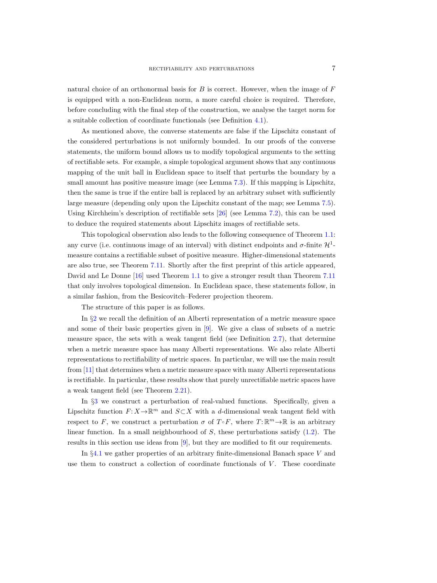natural choice of an orthonormal basis for  $B$  is correct. However, when the image of  $F$ is equipped with a non-Euclidean norm, a more careful choice is required. Therefore, before concluding with the final step of the construction, we analyse the target norm for a suitable collection of coordinate functionals (see Definition [4.1\)](#page-33-0).

As mentioned above, the converse statements are false if the Lipschitz constant of the considered perturbations is not uniformly bounded. In our proofs of the converse statements, the uniform bound allows us to modify topological arguments to the setting of rectifiable sets. For example, a simple topological argument shows that any continuous mapping of the unit ball in Euclidean space to itself that perturbs the boundary by a small amount has positive measure image (see Lemma [7.3\)](#page-52-2). If this mapping is Lipschitz, then the same is true if the entire ball is replaced by an arbitrary subset with sufficiently large measure (depending only upon the Lipschitz constant of the map; see Lemma [7.5\)](#page-54-0). Using Kirchheim's description of rectifiable sets [\[26\]](#page-63-2) (see Lemma [7.2\)](#page-52-3), this can be used to deduce the required statements about Lipschitz images of rectifiable sets.

This topological observation also leads to the following consequence of Theorem [1.1:](#page-2-1) any curve (i.e. continuous image of an interval) with distinct endpoints and  $\sigma$ -finite  $\mathcal{H}^1$ measure contains a rectifiable subset of positive measure. Higher-dimensional statements are also true, see Theorem [7.11.](#page-62-2) Shortly after the first preprint of this article appeared, David and Le Donne [\[16\]](#page-63-21) used Theorem [1.1](#page-2-1) to give a stronger result than Theorem [7.11](#page-62-2) that only involves topological dimension. In Euclidean space, these statements follow, in a similar fashion, from the Besicovitch–Federer projection theorem.

The structure of this paper is as follows.

In §[2](#page-9-1) we recall the definition of an Alberti representation of a metric measure space and some of their basic properties given in [\[9\]](#page-63-22). We give a class of subsets of a metric measure space, the sets with a weak tangent field (see Definition [2.7\)](#page-13-1), that determine when a metric measure space has many Alberti representations. We also relate Alberti representations to rectifiability of metric spaces. In particular, we will use the main result from [\[11\]](#page-63-23) that determines when a metric measure space with many Alberti representations is rectifiable. In particular, these results show that purely unrectifiable metric spaces have a weak tangent field (see Theorem [2.21\)](#page-22-0).

In §[3](#page-23-1) we construct a perturbation of real-valued functions. Specifically, given a Lipschitz function  $F: X \to \mathbb{R}^m$  and  $S \subset X$  with a d-dimensional weak tangent field with respect to F, we construct a perturbation  $\sigma$  of  $T \circ F$ , where  $T: \mathbb{R}^m \to \mathbb{R}$  is an arbitrary linear function. In a small neighbourhood of  $S$ , these perturbations satisfy  $(1.2)$ . The results in this section use ideas from [\[9\]](#page-63-22), but they are modified to fit our requirements.

In §[4.1](#page-32-0) we gather properties of an arbitrary finite-dimensional Banach space V and use them to construct a collection of coordinate functionals of  $V$ . These coordinate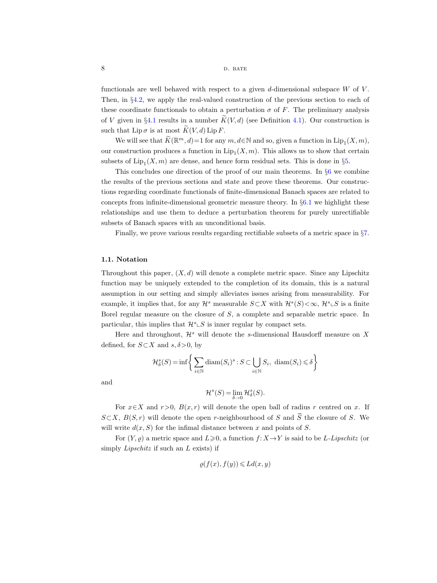functionals are well behaved with respect to a given  $d$ -dimensional subspace  $W$  of  $V$ . Then, in §[4.2,](#page-34-0) we apply the real-valued construction of the previous section to each of these coordinate functionals to obtain a perturbation  $\sigma$  of F. The preliminary analysis of V given in §[4.1](#page-32-1) results in a number  $K(V, d)$  (see Definition [4.1\)](#page-33-1). Our construction is such that  $\text{Lip }\sigma$  is at most  $\widetilde{K}(V, d) \text{Lip } F$ .

We will see that  $\widetilde{K}(\mathbb{R}^m,d) = 1$  for any  $m, d \in \mathbb{N}$  and so, given a function in  $\text{Lip}_1(X,m)$ , our construction produces a function in  $\text{Lip}_1(X, m)$ . This allows us to show that certain subsets of  $\text{Lip}_1(X,m)$  are dense, and hence form residual sets. This is done in §[5.](#page-44-0)

This concludes one direction of the proof of our main theorems. In §[6](#page-47-1) we combine the results of the previous sections and state and prove these theorems. Our constructions regarding coordinate functionals of finite-dimensional Banach spaces are related to concepts from infinite-dimensional geometric measure theory. In §[6.1](#page-50-2) we highlight these relationships and use them to deduce a perturbation theorem for purely unrectifiable subsets of Banach spaces with an unconditional basis.

Finally, we prove various results regarding rectifiable subsets of a metric space in §[7.](#page-51-0)

#### 1.1. Notation

Throughout this paper,  $(X, d)$  will denote a complete metric space. Since any Lipschitz function may be uniquely extended to the completion of its domain, this is a natural assumption in our setting and simply alleviates issues arising from measurability. For example, it implies that, for any  $\mathcal{H}^s$  measurable  $S\subset X$  with  $\mathcal{H}^s(S)<\infty$ ,  $\mathcal{H}^s\llcorner S$  is a finite Borel regular measure on the closure of S, a complete and separable metric space. In particular, this implies that  $\mathcal{H}^s \subset S$  is inner regular by compact sets.

Here and throughout,  $\mathcal{H}^s$  will denote the s-dimensional Hausdorff measure on X defined, for  $S\subset X$  and  $s, \delta > 0$ , by

$$
\mathcal{H}^s_\delta(S) = \inf \bigg\{ \sum_{i \in \mathbb{N}} \text{diam}(S_i)^s : S \subset \bigcup_{i \in \mathbb{N}} S_i, \ \text{diam}(S_i) \leq \delta \bigg\}
$$

and

$$
\mathcal{H}^s(S)=\lim_{\delta\to 0}\mathcal{H}^s_\delta(S).
$$

For  $x \in X$  and  $r > 0$ ,  $B(x, r)$  will denote the open ball of radius r centred on x. If  $S\subset X, B(S,r)$  will denote the open r-neighbourhood of S and  $\overline{S}$  the closure of S. We will write  $d(x, S)$  for the infimal distance between x and points of S.

For  $(Y, \rho)$  a metric space and  $L \geq 0$ , a function  $f: X \to Y$  is said to be L-Lipschitz (or simply Lipschitz if such an L exists) if

$$
\varrho(f(x), f(y)) \leqslant Ld(x, y)
$$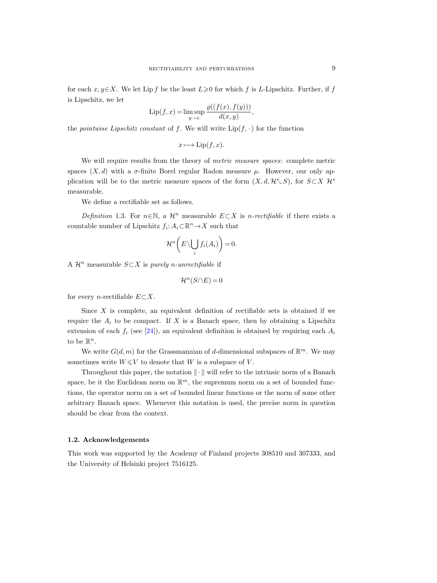for each  $x, y \in X$ . We let Lip f be the least  $L \geq 0$  for which f is L-Lipschitz. Further, if f is Lipschitz, we let

$$
\operatorname{Lip}(f, x) = \limsup_{y \to x} \frac{\varrho((f(x), f(y)))}{d(x, y)},
$$

the pointwise Lipschitz constant of f. We will write  $\text{Lip}(f, \cdot)$  for the function

 $x \longmapsto$  Lip(f, x).

We will require results from the theory of *metric measure spaces*: complete metric spaces  $(X, d)$  with a  $\sigma$ -finite Borel regular Radon measure  $\mu$ . However, our only application will be to the metric measure spaces of the form  $(X, d, \mathcal{H}^s \subset S)$ , for  $S \subset X$   $\mathcal{H}^s$ measurable.

We define a rectifiable set as follows.

<span id="page-8-0"></span>Definition 1.3. For  $n \in \mathbb{N}$ , a  $\mathcal{H}^n$  measurable  $E \subset X$  is n-rectifiable if there exists a countable number of Lipschitz  $f_i: A_i \subset \mathbb{R}^n \to X$  such that

$$
\mathcal{H}^n\bigg(E\backslash \bigcup_i f_i(A_i)\bigg)=0.
$$

A  $\mathcal{H}^n$  measurable  $S\subset X$  is purely n-unrectifiable if

$$
\mathcal{H}^n(S \cap E) = 0
$$

for every *n*-rectifiable  $E \subset X$ .

Since  $X$  is complete, an equivalent definition of rectifiable sets is obtained if we require the  $A_i$  to be compact. If X is a Banach space, then by obtaining a Lipschitz extension of each  $f_i$  (see [\[24\]](#page-63-24)), an equivalent definition is obtained by requiring each  $A_i$ to be  $\mathbb{R}^n$ .

We write  $G(d, m)$  for the Grassmannian of d-dimensional subspaces of  $\mathbb{R}^m$ . We may sometimes write  $W \leq V$  to denote that W is a subspace of V.

Throughout this paper, the notation  $\|\cdot\|$  will refer to the intrinsic norm of a Banach space, be it the Euclidean norm on  $\mathbb{R}^m$ , the supremum norm on a set of bounded functions, the operator norm on a set of bounded linear functions or the norm of some other arbitrary Banach space. Whenever this notation is used, the precise norm in question should be clear from the context.

#### 1.2. Acknowledgements

This work was supported by the Academy of Finland projects 308510 and 307333, and the University of Helsinki project 7516125.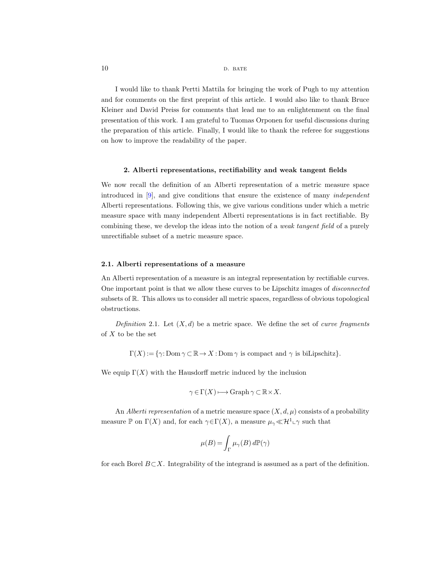I would like to thank Pertti Mattila for bringing the work of Pugh to my attention and for comments on the first preprint of this article. I would also like to thank Bruce Kleiner and David Preiss for comments that lead me to an enlightenment on the final presentation of this work. I am grateful to Tuomas Orponen for useful discussions during the preparation of this article. Finally, I would like to thank the referee for suggestions on how to improve the readability of the paper.

## <span id="page-9-1"></span>2. Alberti representations, rectifiability and weak tangent fields

<span id="page-9-2"></span>We now recall the definition of an Alberti representation of a metric measure space introduced in [\[9\]](#page-63-17), and give conditions that ensure the existence of many independent Alberti representations. Following this, we give various conditions under which a metric measure space with many independent Alberti representations is in fact rectifiable. By combining these, we develop the ideas into the notion of a *weak tangent field* of a purely unrectifiable subset of a metric measure space.

## 2.1. Alberti representations of a measure

An Alberti representation of a measure is an integral representation by rectifiable curves. One important point is that we allow these curves to be Lipschitz images of disconnected subsets of R. This allows us to consider all metric spaces, regardless of obvious topological obstructions.

<span id="page-9-0"></span>Definition 2.1. Let  $(X, d)$  be a metric space. We define the set of curve fragments of  $X$  to be the set

 $\Gamma(X) := \{ \gamma : \text{Dom } \gamma \subset \mathbb{R} \to X : \text{Dom } \gamma \text{ is compact and } \gamma \text{ is biLipschitz} \}.$ 

We equip  $\Gamma(X)$  with the Hausdorff metric induced by the inclusion

$$
\gamma \in \Gamma(X) \longmapsto \text{Graph } \gamma \subset \mathbb{R} \times X.
$$

An Alberti representation of a metric measure space  $(X, d, \mu)$  consists of a probability measure P on  $\Gamma(X)$  and, for each  $\gamma \in \Gamma(X)$ , a measure  $\mu_{\gamma} \ll \mathcal{H}^{1} \sim \gamma$  such that

$$
\mu(B) = \int_{\Gamma} \mu_{\gamma}(B) d\mathbb{P}(\gamma)
$$

for each Borel  $B\subset X$ . Integrability of the integrand is assumed as a part of the definition.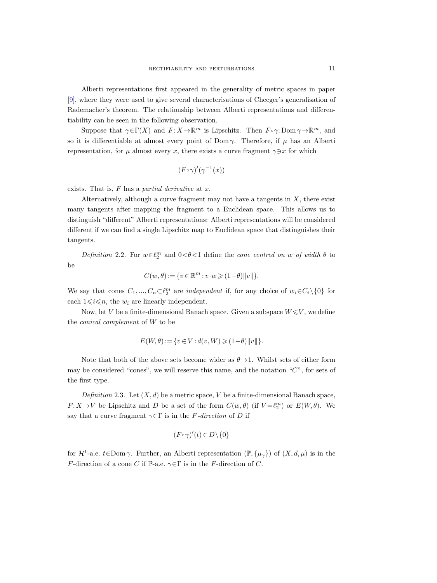Alberti representations first appeared in the generality of metric spaces in paper [\[9\]](#page-63-22), where they were used to give several characterisations of Cheeger's generalisation of Rademacher's theorem. The relationship between Alberti representations and differentiability can be seen in the following observation.

Suppose that  $\gamma \in \Gamma(X)$  and  $F: X \to \mathbb{R}^m$  is Lipschitz. Then  $F \circ \gamma: \text{Dom } \gamma \to \mathbb{R}^m$ , and so it is differentiable at almost every point of Dom  $\gamma$ . Therefore, if  $\mu$  has an Alberti representation, for  $\mu$  almost every x, there exists a curve fragment  $\gamma \ni x$  for which

$$
(F\circ\gamma)'(\gamma^{-1}(x))
$$

exists. That is,  $F$  has a partial derivative at  $x$ .

Alternatively, although a curve fragment may not have a tangents in  $X$ , there exist many tangents after mapping the fragment to a Euclidean space. This allows us to distinguish "different" Alberti representations: Alberti representations will be considered different if we can find a single Lipschitz map to Euclidean space that distinguishes their tangents.

<span id="page-10-1"></span>Definition 2.2. For  $w \in \ell_2^m$  and  $0 < \theta < 1$  define the cone centred on w of width  $\theta$  to be

$$
C(w, \theta) := \{ v \in \mathbb{R}^m : v \cdot w \geqslant (1 - \theta) ||v|| \}.
$$

We say that cones  $C_1, ..., C_n \subset \ell_2^m$  are *independent* if, for any choice of  $w_i \in C_i \setminus \{0\}$  for each  $1 \leq i \leq n$ , the  $w_i$  are linearly independent.

Now, let V be a finite-dimensional Banach space. Given a subspace  $W \leq V$ , we define the conical complement of W to be

$$
E(W, \theta) := \{ v \in V : d(v, W) \geq (1 - \theta) ||v|| \}.
$$

Note that both of the above sets become wider as  $\theta \rightarrow 1$ . Whilst sets of either form may be considered "cones", we will reserve this name, and the notation " $C$ ", for sets of the first type.

<span id="page-10-0"></span>Definition 2.3. Let  $(X, d)$  be a metric space, V be a finite-dimensional Banach space,  $F: X \to V$  be Lipschitz and D be a set of the form  $C(w, \theta)$  (if  $V = \ell_2^m$ ) or  $E(W, \theta)$ . We say that a curve fragment  $\gamma \in \Gamma$  is in the F-direction of D if

$$
(F\circ\gamma)'(t)\in D\backslash\{0\}
$$

for  $\mathcal{H}^1$ -a.e.  $t \in \text{Dom } \gamma$ . Further, an Alberti representation  $(\mathbb{P}, {\mu_\gamma})$  of  $(X, d, \mu)$  is in the *F*-direction of a cone C if P-a.e.  $\gamma \in \Gamma$  is in the F-direction of C.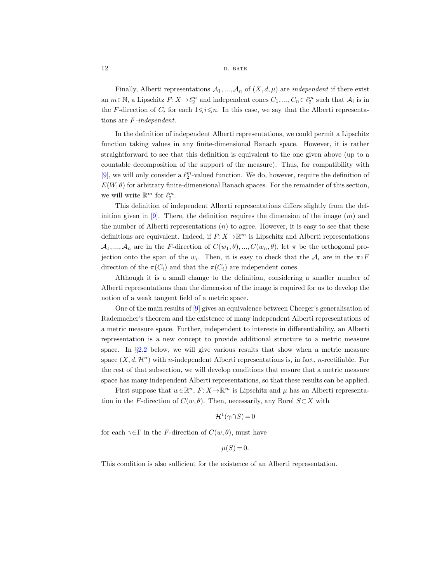Finally, Alberti representations  $\mathcal{A}_1, ..., \mathcal{A}_n$  of  $(X, d, \mu)$  are *independent* if there exist an  $m \in \mathbb{N}$ , a Lipschitz  $F: X \to \ell_2^m$  and independent cones  $C_1, ..., C_n \subset \ell_2^m$  such that  $\mathcal{A}_i$  is in the F-direction of  $C_i$  for each  $1 \leq i \leq n$ . In this case, we say that the Alberti representations are F-independent.

In the definition of independent Alberti representations, we could permit a Lipschitz function taking values in any finite-dimensional Banach space. However, it is rather straightforward to see that this definition is equivalent to the one given above (up to a countable decomposition of the support of the measure). Thus, for compatibility with [\[9\]](#page-63-17), we will only consider a  $\ell_2^m$ -valued function. We do, however, require the definition of  $E(W, \theta)$  for arbitrary finite-dimensional Banach spaces. For the remainder of this section, we will write  $\mathbb{R}^m$  for  $\ell_2^m$ .

This definition of independent Alberti representations differs slightly from the definition given in  $[9]$ . There, the definition requires the dimension of the image  $(m)$  and the number of Alberti representations  $(n)$  to agree. However, it is easy to see that these definitions are equivalent. Indeed, if  $F: X \to \mathbb{R}^m$  is Lipschitz and Alberti representations  $\mathcal{A}_1, ..., \mathcal{A}_n$  are in the F-direction of  $C(w_1, \theta), ..., C(w_n, \theta)$ , let  $\pi$  be the orthogonal projection onto the span of the  $w_i$ . Then, it is easy to check that the  $\mathcal{A}_i$  are in the  $\pi \circ F$ direction of the  $\pi(C_i)$  and that the  $\pi(C_i)$  are independent cones.

Although it is a small change to the definition, considering a smaller number of Alberti representations than the dimension of the image is required for us to develop the notion of a weak tangent field of a metric space.

One of the main results of [\[9\]](#page-63-17) gives an equivalence between Cheeger's generalisation of Rademacher's theorem and the existence of many independent Alberti representations of a metric measure space. Further, independent to interests in differentiability, an Alberti representation is a new concept to provide additional structure to a metric measure space. In §[2.2](#page-18-0) below, we will give various results that show when a metric measure space  $(X, d, \mathcal{H}^n)$  with *n*-independent Alberti representations is, in fact, *n*-rectifiable. For the rest of that subsection, we will develop conditions that ensure that a metric measure space has many independent Alberti representations, so that these results can be applied.

First suppose that  $w \in \mathbb{R}^n$ ,  $F: X \to \mathbb{R}^m$  is Lipschitz and  $\mu$  has an Alberti representation in the F-direction of  $C(w, \theta)$ . Then, necessarily, any Borel  $S \subset X$  with

$$
\mathcal{H}^1(\gamma \cap S) = 0
$$

for each  $\gamma \in \Gamma$  in the F-direction of  $C(w, \theta)$ , must have

$$
\mu(S) = 0.
$$

This condition is also sufficient for the existence of an Alberti representation.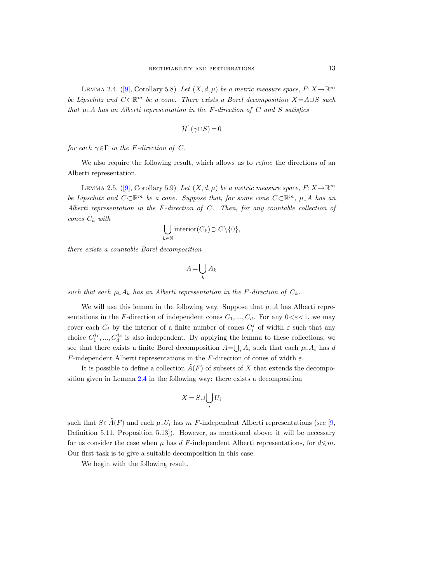<span id="page-12-1"></span><span id="page-12-0"></span>LEMMA2.4. ([\[9\]](#page-63-22), Corollary 5.8) Let  $(X, d, \mu)$  be a metric measure space,  $F: X \to \mathbb{R}^m$ be Lipschitz and  $C\subset\mathbb{R}^m$  be a cone. There exists a Borel decomposition  $X = A\cup S$  such that  $\mu \Delta$  has an Alberti representation in the F-direction of C and S satisfies

$$
\mathcal{H}^1(\gamma \cap S) = 0
$$

for each  $\gamma \in \Gamma$  in the F-direction of C.

We also require the following result, which allows us to *refine* the directions of an Alberti representation.

<span id="page-12-2"></span>LEMMA2.5. ([\[9\]](#page-63-22), Corollary 5.9) Let  $(X, d, \mu)$  be a metric measure space,  $F: X \to \mathbb{R}^m$ be Lipschitz and  $C\subset\mathbb{R}^m$  be a cone. Suppose that, for some cone  $C\subset\mathbb{R}^m$ ,  $\mu\mathcal{A}$  has an Alberti representation in the F-direction of C. Then, for any countable collection of cones  $C_k$  with

$$
\bigcup_{k \in \mathbb{N}} \text{interior}(C_k) \supset C \setminus \{0\},\
$$

there exists a countable Borel decomposition

$$
A = \bigcup_k A_k
$$

such that each  $\mu \Delta_k$  has an Alberti representation in the F-direction of  $C_k$ .

We will use this lemma in the following way. Suppose that  $\mu\Delta A$  has Alberti representations in the F-direction of independent cones  $C_1, ..., C_d$ . For any  $0 < \varepsilon < 1$ , we may cover each  $C_i$  by the interior of a finite number of cones  $C_i^j$  of width  $\varepsilon$  such that any choice  $C_1^{j_1},..., C_d^{j_d}$  is also independent. By applying the lemma to these collections, we see that there exists a finite Borel decomposition  $A = \bigcup_i A_i$  such that each  $\mu \Delta A_i$  has d F-independent Alberti representations in the F-direction of cones of width  $\varepsilon$ .

It is possible to define a collection  $A(F)$  of subsets of X that extends the decomposition given in Lemma [2.4](#page-12-0) in the following way: there exists a decomposition

$$
X = S \cup \bigcup_i U_i
$$

such that  $S \in \tilde{A}(F)$  and each  $\mu \cup U_i$  has m F-independent Alberti representations (see [\[9,](#page-63-22) Definition 5.11, Proposition 5.13]). However, as mentioned above, it will be necessary for us consider the case when  $\mu$  has d F-independent Alberti representations, for  $d \leq m$ . Our first task is to give a suitable decomposition in this case.

We begin with the following result.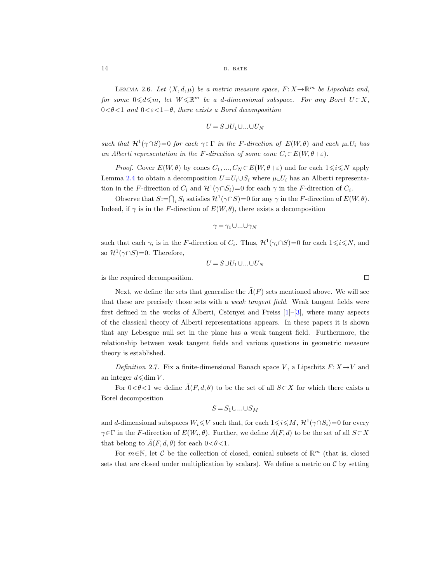#### 14 D. BATE

<span id="page-13-2"></span>LEMMA 2.6. Let  $(X, d, \mu)$  be a metric measure space,  $F: X \to \mathbb{R}^m$  be Lipschitz and, for some  $0 \leq d \leq m$ , let  $W \leq \mathbb{R}^m$  be a d-dimensional subspace. For any Borel  $U \subset X$ ,  $0 < \theta < 1$  and  $0 < \varepsilon < 1-\theta$ , there exists a Borel decomposition

$$
U = S \cup U_1 \cup \ldots \cup U_N
$$

such that  $\mathcal{H}^1(\gamma \cap S) = 0$  for each  $\gamma \in \Gamma$  in the F-direction of  $E(W, \theta)$  and each  $\mu \cup U_i$  has an Alberti representation in the F-direction of some cone  $C_i \subset E(W, \theta + \varepsilon)$ .

*Proof.* Cover  $E(W, \theta)$  by cones  $C_1, ..., C_N \subset E(W, \theta + \varepsilon)$  and for each  $1 \le i \le N$  apply Lemma [2.4](#page-12-1) to obtain a decomposition  $U = U_i \cup S_i$  where  $\mu \cup U_i$  has an Alberti representation in the F-direction of  $C_i$  and  $\mathcal{H}^1(\gamma \cap S_i) = 0$  for each  $\gamma$  in the F-direction of  $C_i$ .

Observe that  $S := \bigcap_i S_i$  satisfies  $\mathcal{H}^1(\gamma \cap S) = 0$  for any  $\gamma$  in the F-direction of  $E(W, \theta)$ . Indeed, if  $\gamma$  is in the F-direction of  $E(W, \theta)$ , there exists a decomposition

$$
\gamma = \gamma_1 \cup \ldots \cup \gamma_N
$$

such that each  $\gamma_i$  is in the F-direction of  $C_i$ . Thus,  $\mathcal{H}^1(\gamma_i \cap S) = 0$  for each  $1 \leq i \leq N$ , and so  $\mathcal{H}^1(\gamma \cap S) = 0$ . Therefore,

$$
U = S \cup U_1 \cup \ldots \cup U_N
$$

is the required decomposition.

Next, we define the sets that generalise the  $\tilde{A}(F)$  sets mentioned above. We will see that these are precisely those sets with a *weak tangent field*. Weak tangent fields were first defined in the works of Alberti, Csörnyei and Preiss  $[1]-[3]$  $[1]-[3]$ , where many aspects of the classical theory of Alberti representations appears. In these papers it is shown that any Lebesgue null set in the plane has a weak tangent field. Furthermore, the relationship between weak tangent fields and various questions in geometric measure theory is established.

<span id="page-13-1"></span><span id="page-13-0"></span>Definition 2.7. Fix a finite-dimensional Banach space V, a Lipschitz  $F: X \rightarrow V$  and an integer  $d \leq d$ im V.

For  $0<\theta<1$  we define  $\tilde{A}(F, d, \theta)$  to be the set of all  $S\subset X$  for which there exists a Borel decomposition

$$
S = S_1 \cup \ldots \cup S_M
$$

and d-dimensional subspaces  $W_i \leq V$  such that, for each  $1 \leq i \leq M$ ,  $\mathcal{H}^1(\gamma \cap S_i) = 0$  for every  $\gamma \in \Gamma$  in the F-direction of  $E(W_i, \theta)$ . Further, we define  $\tilde{A}(F, d)$  to be the set of all  $S \subset X$ that belong to  $\tilde{A}(F, d, \theta)$  for each  $0 < \theta < 1$ .

For  $m \in \mathbb{N}$ , let C be the collection of closed, conical subsets of  $\mathbb{R}^m$  (that is, closed sets that are closed under multiplication by scalars). We define a metric on  $\mathcal C$  by setting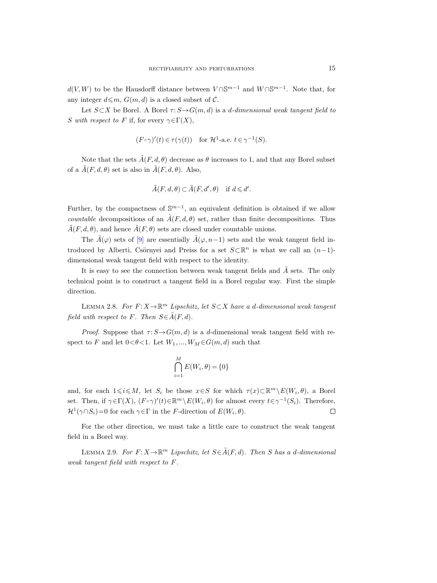$d(V, W)$  to be the Hausdorff distance between  $V \cap \mathbb{S}^{m-1}$  and  $W \cap \mathbb{S}^{m-1}$ . Note that, for any integer  $d \leq m$ ,  $G(m, d)$  is a closed subset of C.

Let  $S \subset X$  be Borel. A Borel  $\tau: S \to G(m, d)$  is a d-dimensional weak tangent field to S with respect to F if, for every  $\gamma \in \Gamma(X)$ ,

$$
(F \circ \gamma)'(t) \in \tau(\gamma(t))
$$
 for  $\mathcal{H}^1$ -a.e.  $t \in \gamma^{-1}(S)$ .

Note that the sets  $\tilde{A}(F, d, \theta)$  decrease as  $\theta$  increases to 1, and that any Borel subset of a  $\tilde{A}(F, d, \theta)$  set is also in  $\tilde{A}(F, d, \theta)$ . Also,

$$
\tilde{A}(F, d, \theta) \subset \tilde{A}(F, d', \theta) \quad \text{if } d \leq d'.
$$

Further, by the compactness of  $\mathbb{S}^{m-1}$ , an equivalent definition is obtained if we allow *countable* decompositions of an  $\tilde{A}(F, d, \theta)$  set, rather than finite decompositions. Thus  $\tilde{A}(F, d, \theta)$ , and hence  $\tilde{A}(F, \theta)$  sets are closed under countable unions.

The  $\tilde{A}(\varphi)$  sets of [\[9\]](#page-63-22) are essentially  $\tilde{A}(\varphi, n-1)$  sets and the weak tangent field introduced by Alberti, Csörnyei and Preiss for a set  $S\subset\mathbb{R}^n$  is what we call an  $(n-1)$ dimensional weak tangent field with respect to the identity.

It is easy to see the connection between weak tangent fields and  $A$  sets. The only technical point is to construct a tangent field in a Borel regular way. First the simple direction.

LEMMA 2.8. For  $F: X \to \mathbb{R}^m$  Lipschitz, let  $S \subset X$  have a d-dimensional weak tangent field with respect to F. Then  $S \in \tilde{A}(F,d)$ .

*Proof.* Suppose that  $\tau: S \rightarrow G(m, d)$  is a d-dimensional weak tangent field with respect to F and let  $0<\theta<1$ . Let  $W_1, ..., W_M \in G(m, d)$  such that

$$
\bigcap_{i=1}^{M} E(W_i, \theta) = \{0\}
$$

and, for each  $1 \leq i \leq M$ , let  $S_i$  be those  $x \in S$  for which  $\tau(x) \subset \mathbb{R}^m \setminus E(W_i, \theta)$ , a Borel set. Then, if  $\gamma \in \Gamma(X)$ ,  $(F \circ \gamma)'(t) \in \mathbb{R}^m \setminus E(W_i, \theta)$  for almost every  $t \in \gamma^{-1}(S_i)$ . Therefore,  $\mathcal{H}^1(\gamma \cap S_i) = 0$  for each  $\gamma \in \Gamma$  in the *F*-direction of  $E(W_i, \theta)$ . □

For the other direction, we must take a little care to construct the weak tangent field in a Borel way.

LEMMA 2.9. For  $F: X \to \mathbb{R}^m$  Lipschitz, let  $S \in \tilde{A}(F,d)$ . Then S has a d-dimensional weak tangent field with respect to F.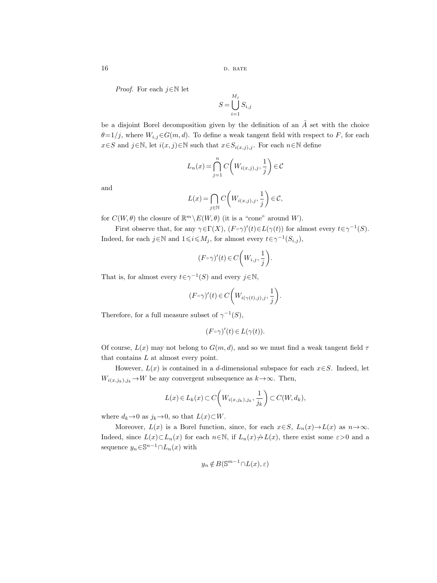*Proof.* For each  $j \in \mathbb{N}$  let

$$
S = \bigcup_{i=1}^{M_j} S_{i,j}
$$

be a disjoint Borel decomposition given by the definition of an  $\tilde{A}$  set with the choice  $\theta=1/j$ , where  $W_{i,j}\in G(m,d)$ . To define a weak tangent field with respect to F, for each  $x \in S$  and  $j \in \mathbb{N}$ , let  $i(x, j) \in \mathbb{N}$  such that  $x \in S_{i(x, j), j}$ . For each  $n \in \mathbb{N}$  define

$$
L_n(x) = \bigcap_{j=1}^n C\bigg(W_{i(x,j),j}, \frac{1}{j}\bigg) \in \mathcal{C}
$$

and

$$
L(x) = \bigcap_{j \in \mathbb{N}} C\bigg(W_{i(x,j),j}, \frac{1}{j}\bigg) \in \mathcal{C},
$$

for  $C(W, \theta)$  the closure of  $\mathbb{R}^m \backslash E(W, \theta)$  (it is a "cone" around W).

First observe that, for any  $\gamma \in \Gamma(X)$ ,  $(F \circ \gamma)'(t) \in L(\gamma(t))$  for almost every  $t \in \gamma^{-1}(S)$ . Indeed, for each  $j \in \mathbb{N}$  and  $1 \leq i \leq M_j$ , for almost every  $t \in \gamma^{-1}(S_{i,j}),$ 

$$
(F\circ\gamma)'(t)\in C\bigg(W_{i,j},\frac{1}{j}\bigg).
$$

That is, for almost every  $t \in \gamma^{-1}(S)$  and every  $j \in \mathbb{N}$ ,

$$
(F\circ\gamma)'(t)\in C\bigg(W_{i(\gamma(t),j),j},\frac{1}{j}\bigg).
$$

Therefore, for a full measure subset of  $\gamma^{-1}(S)$ ,

$$
(F\circ\gamma)'(t)\in L(\gamma(t)).
$$

Of course,  $L(x)$  may not belong to  $G(m, d)$ , and so we must find a weak tangent field  $\tau$ that contains L at almost every point.

However,  $L(x)$  is contained in a d-dimensional subspace for each  $x \in S$ . Indeed, let  $W_{i(x,j_k),j_k} \to W$  be any convergent subsequence as  $k \to \infty$ . Then,

$$
L(x) \in L_k(x) \subset C\left(W_{i(x,j_k),j_k}, \frac{1}{j_k}\right) \subset C(W,d_k),
$$

where  $d_k \to 0$  as  $j_k \to 0$ , so that  $L(x) \subset W$ .

Moreover,  $L(x)$  is a Borel function, since, for each  $x \in S$ ,  $L_n(x) \to L(x)$  as  $n \to \infty$ . Indeed, since  $L(x) \subset L_n(x)$  for each  $n \in \mathbb{N}$ , if  $L_n(x) \neq L(x)$ , there exist some  $\varepsilon > 0$  and a sequence  $y_n \in \mathbb{S}^{n-1} \cap L_n(x)$  with

$$
y_n \notin B(\mathbb{S}^{m-1} \cap L(x), \varepsilon)
$$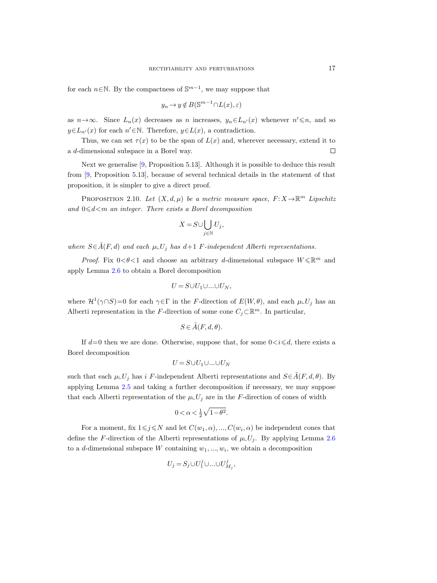for each  $n \in \mathbb{N}$ . By the compactness of  $\mathbb{S}^{m-1}$ , we may suppose that

$$
y_n \to y \notin B(\mathbb{S}^{m-1} \cap L(x), \varepsilon)
$$

as  $n \to \infty$ . Since  $L_n(x)$  decreases as n increases,  $y_n \in L_{n'}(x)$  whenever  $n' \leq n$ , and so  $y \in L_{n'}(x)$  for each  $n' \in \mathbb{N}$ . Therefore,  $y \in L(x)$ , a contradiction.

Thus, we can set  $\tau(x)$  to be the span of  $L(x)$  and, wherever necessary, extend it to a d-dimensional subspace in a Borel way.  $\Box$ 

Next we generalise [\[9,](#page-63-22) Proposition 5.13]. Although it is possible to deduce this result from [\[9,](#page-63-22) Proposition 5.13], because of several technical details in the statement of that proposition, it is simpler to give a direct proof.

PROPOSITION 2.10. Let  $(X, d, \mu)$  be a metric measure space,  $F: X \to \mathbb{R}^m$  Lipschitz and  $0 \le d \le m$  an integer. There exists a Borel decomposition

$$
X = S \cup \bigcup_{j \in \mathbb{N}} U_j,
$$

where  $S \in \tilde{A}(F,d)$  and each  $\mu \cup U_j$  has  $d+1$  F-independent Alberti representations.

*Proof.* Fix  $0 < \theta < 1$  and choose an arbitrary d-dimensional subspace  $W \leq \mathbb{R}^m$  and apply Lemma [2.6](#page-13-2) to obtain a Borel decomposition

$$
U=S\cup U_1\cup\ldots\cup U_N,
$$

where  $\mathcal{H}^1(\gamma \cap S) = 0$  for each  $\gamma \in \Gamma$  in the F-direction of  $E(W, \theta)$ , and each  $\mu \llcorner U_j$  has an Alberti representation in the F-direction of some cone  $C_j \subset \mathbb{R}^m$ . In particular,

$$
S \in \tilde{A}(F, d, \theta).
$$

If  $d=0$  then we are done. Otherwise, suppose that, for some  $0 \lt i \leq d$ , there exists a Borel decomposition

$$
U = S \cup U_1 \cup \ldots \cup U_N
$$

such that each  $\mu\llcorner U_j$  has i F-independent Alberti representations and  $S\in\mathring{A}(F,d,\theta)$ . By applying Lemma [2.5](#page-12-2) and taking a further decomposition if necessary, we may suppose that each Alberti representation of the  $\mu\llcorner U_i$  are in the F-direction of cones of width

$$
0 < \alpha < \frac{1}{2}\sqrt{1-\theta^2}.
$$

For a moment, fix  $1 \leq j \leq N$  and let  $C(w_1, \alpha), ..., C(w_i, \alpha)$  be independent cones that define the F-direction of the Alberti representations of  $\mu\llcorner U_i$ . By applying Lemma [2.6](#page-13-2) to a d-dimensional subspace W containing  $w_1, ..., w_i$ , we obtain a decomposition

$$
U_j=S_j\cup U_1^j\cup\ldots\cup U_{M_j}^j,
$$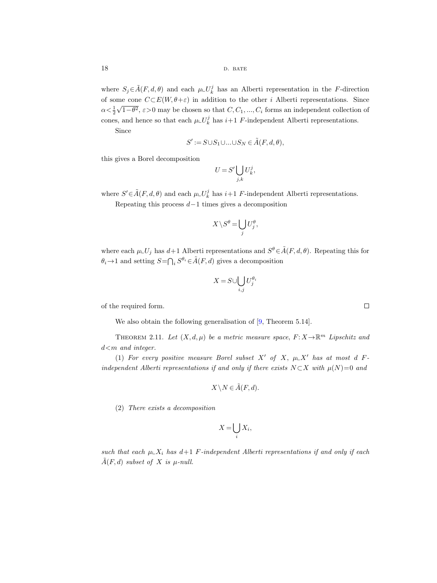where  $S_j \in \tilde{A}(F, d, \theta)$  and each  $\mu \llcorner U_k^j$  has an Alberti representation in the F-direction of some cone  $C\subset E(W, \theta + \varepsilon)$  in addition to the other *i* Alberti representations. Since  $\alpha < \frac{1}{2}$ √ 1− $\theta^2$ ,  $\varepsilon > 0$  may be chosen so that  $C, C_1, ..., C_i$  forms an independent collection of cones, and hence so that each  $\mu \llcorner U_k^j$  has  $i+1$  F-independent Alberti representations.

Since

$$
S' := S \cup S_1 \cup \ldots \cup S_N \in \tilde{A}(F, d, \theta),
$$

this gives a Borel decomposition

$$
U = S' \bigcup_{j,k} U_k^j,
$$

where  $S' \in \tilde{A}(F, d, \theta)$  and each  $\mu \cup U_k^j$  has  $i+1$  F-independent Alberti representations.

Repeating this process  $d-1$  times gives a decomposition

$$
X\setminus S^{\theta}=\bigcup_{j}U_j^{\theta},
$$

where each  $\mu \llcorner U_j$  has  $d+1$  Alberti representations and  $S^{\theta} \in \tilde{A}(F, d, \theta)$ . Repeating this for  $\theta_i \to 1$  and setting  $S = \bigcap_i S^{\theta_i} \in \tilde{A}(F, d)$  gives a decomposition

$$
X = S \cup \bigcup_{i,j} U_j^{\theta_i}
$$

of the required form.

<span id="page-17-1"></span>We also obtain the following generalisation of  $[9,$  Theorem 5.14].

<span id="page-17-0"></span>THEOREM 2.11. Let  $(X, d, \mu)$  be a metric measure space,  $F: X \to \mathbb{R}^m$  Lipschitz and  $d$ <m and integer.

(1) For every positive measure Borel subset X' of X,  $\mu \subset X'$  has at most d Findependent Alberti representations if and only if there exists  $N \subset X$  with  $\mu(N)=0$  and

$$
X \setminus N \in \tilde{A}(F, d).
$$

(2) There exists a decomposition

$$
X = \bigcup_i X_i,
$$

such that each  $\mu \perp X_i$  has  $d+1$  F-independent Alberti representations if and only if each  $\tilde{A}(F, d)$  subset of X is  $\mu$ -null.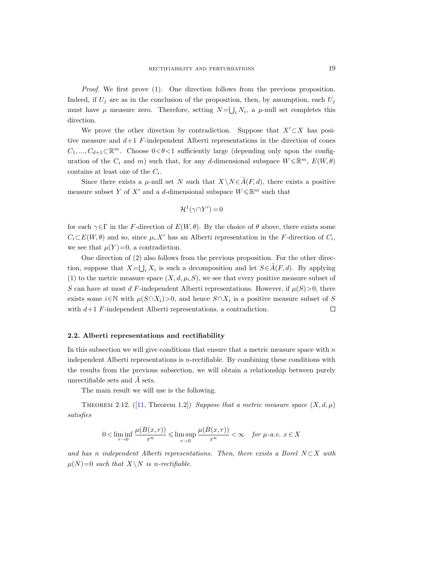Proof. We first prove (1). One direction follows from the previous proposition. Indeed, if  $U_j$  are as in the conclusion of the proposition, then, by assumption, each  $U_j$ must have  $\mu$  measure zero. Therefore, setting  $N=\bigcup_i N_i$ , a  $\mu$ -null set completes this direction.

We prove the other direction by contradiction. Suppose that  $X'\subset X$  has positive measure and  $d+1$  F-independent Alberti representations in the direction of cones  $C_1, ..., C_{d+1} \subset \mathbb{R}^m$ . Choose  $0 < \theta < 1$  sufficiently large (depending only upon the configuration of the  $C_i$  and m) such that, for any d-dimensional subspace  $W \leq \mathbb{R}^m$ ,  $E(W, \theta)$ contains at least one of the  $C_i$ .

Since there exists a  $\mu$ -null set N such that  $X\setminus N\in \tilde{A}(F,d)$ , there exists a positive measure subset Y of X' and a d-dimensional subspace  $W \leq \mathbb{R}^m$  such that

$$
\mathcal{H}^1(\gamma \cap Y') = 0
$$

for each  $\gamma \in \Gamma$  in the F-direction of  $E(W, \theta)$ . By the choice of  $\theta$  above, there exists some  $C_i\subset E(W,\theta)$  and so, since  $\mu\llcorner X'$  has an Alberti representation in the F-direction of  $C_i$ , we see that  $\mu(Y)=0$ , a contradiction.

One direction of (2) also follows from the previous proposition. For the other direction, suppose that  $X = \bigcup_i X_i$  is such a decomposition and let  $S \in \tilde{A}(F,d)$ . By applying (1) to the metric measure space  $(X, d, \mu \in S)$ , we see that every positive measure subset of S can have at most d F-independent Alberti representations. However, if  $\mu(S) > 0$ , there exists some  $i \in \mathbb{N}$  with  $\mu(S \cap X_i) > 0$ , and hence  $S \cap X_i$  is a positive measure subset of S with  $d+1$  F-independent Alberti representations, a contradiction.  $\Box$ 

#### <span id="page-18-0"></span>2.2. Alberti representations and rectifiability

In this subsection we will give conditions that ensure that a metric measure space with  $n$ independent Alberti representations is n-rectifiable. By combining these conditions with the results from the previous subsection, we will obtain a relationship between purely unrectifiable sets and  $\tilde{A}$  sets.

The main result we will use is the following.

<span id="page-18-2"></span><span id="page-18-1"></span>THEOREM2.12. ([\[11,](#page-63-23) Theorem 1.2]) Suppose that a metric measure space  $(X, d, \mu)$ satisfies

$$
0 < \liminf_{r \to 0} \frac{\mu(B(x,r))}{r^n} \leqslant \limsup_{r \to 0} \frac{\mu(B(x,r))}{r^n} < \infty \quad \text{for } \mu\text{-}a.e. \ x \in X
$$

and has n independent Alberti representations. Then, there exists a Borel  $N\subset X$  with  $\mu(N)=0$  such that  $X\setminus N$  is n-rectifiable.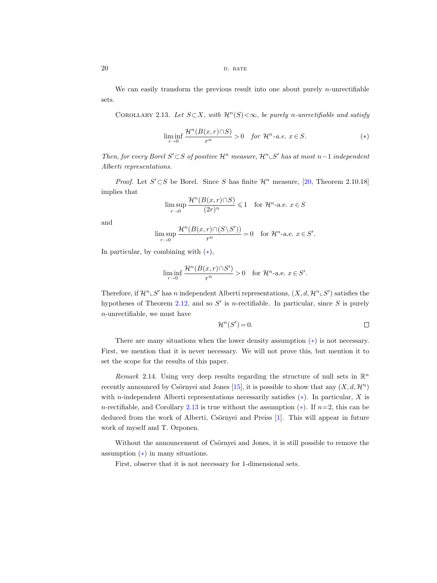## $20$  D. BATE

We can easily transform the previous result into one about purely  $n$ -unrectifiable sets.

<span id="page-19-1"></span><span id="page-19-0"></span>COROLLARY 2.13. Let  $S \subset X$ , with  $\mathcal{H}^n(S) < \infty$ , be purely n-unrectifiable and satisfy

$$
\liminf_{r \to 0} \frac{\mathcal{H}^n(B(x,r) \cap S)}{r^n} > 0 \quad \text{for } \mathcal{H}^n\text{-a.e. } x \in S. \tag{*}
$$

Then, for every Borel S' ⊂ S of positive  $\mathcal{H}^n$  measure,  $\mathcal{H}^n \llcorner S'$  has at most  $n-1$  independent Alberti representations.

*Proof.* Let  $S' \subset S$  be Borel. Since S has finite  $\mathcal{H}^n$  measure, [\[20,](#page-63-25) Theorem 2.10.18] implies that

$$
\limsup_{r \to 0} \frac{\mathcal{H}^n(B(x,r) \cap S)}{(2r)^n} \leq 1 \quad \text{for } \mathcal{H}^n\text{-a.e. } x \in S
$$

and

$$
\limsup_{r \to 0} \frac{\mathcal{H}^n(B(x,r) \cap (S \setminus S'))}{r^n} = 0 \quad \text{for } \mathcal{H}^n\text{-a.e. } x \in S'.
$$

In particular, by combining with  $(*)$ ,

$$
\liminf_{r \to 0} \frac{\mathcal{H}^n(B(x,r) \cap S')}{r^n} > 0 \quad \text{for } \mathcal{H}^n\text{-a.e. } x \in S'.
$$

Therefore, if  $\mathcal{H}^n \rightharpoonup S'$  has n independent Alberti representations,  $(X, d, \mathcal{H}^n \rightharpoonup S')$  satisfies the hypotheses of Theorem [2.12,](#page-18-1) and so  $S'$  is n-rectifiable. In particular, since S is purely n-unrectifiable, we must have

$$
\mathcal{H}^n(S') = 0. \qquad \qquad \Box
$$

There are many situations when the lower density assumption ([∗](#page-2-2)) is not necessary. First, we mention that it is never necessary. We will not prove this, but mention it to set the scope for the results of this paper.

<span id="page-19-2"></span>Remark 2.14. Using very deep results regarding the structure of null sets in  $\mathbb{R}^n$ recently announced by Csörnyei and Jones [\[15\]](#page-63-26), it is possible to show that any  $(X, d, \mathcal{H}^n)$ with *n*-independent Alberti representations necessarily satisfies  $(*)$ . In particular, X is n-rectifiable, and Corollary [2.13](#page-19-0) is true without the assumption  $(*)$ . If  $n=2$ , this can be deduced from the work of Alberti, Csörnyei and Preiss [\[1\]](#page-62-0). This will appear in future work of myself and T. Orponen.

Without the announcement of Csörnyei and Jones, it is still possible to remove the assumption ([∗](#page-2-2)) in many situations.

First, observe that it is not necessary for 1-dimensional sets.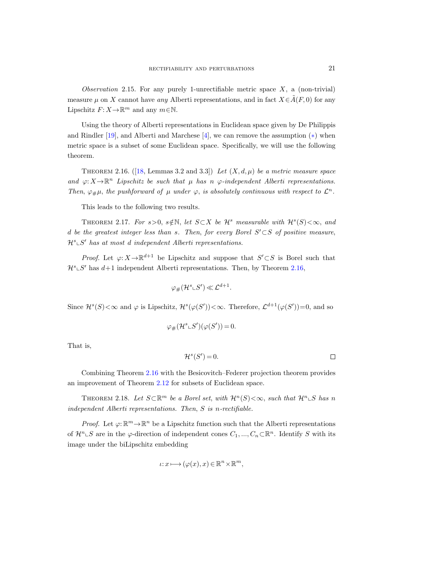<span id="page-20-3"></span>Observation 2.15. For any purely 1-unrectifiable metric space  $X$ , a (non-trivial) measure  $\mu$  on X cannot have any Alberti representations, and in fact  $X \in \tilde{A}(F, 0)$  for any Lipschitz  $F: X \to \mathbb{R}^m$  and any  $m \in \mathbb{N}$ .

Using the theory of Alberti representations in Euclidean space given by De Philippis and Rindler [\[19\]](#page-63-27), and Alberti and Marchese [\[4\]](#page-63-28), we can remove the assumption  $(*)$  when metric space is a subset of some Euclidean space. Specifically, we will use the following theorem.

<span id="page-20-1"></span><span id="page-20-0"></span>THEOREM2.16. ([\[18,](#page-63-29) Lemmas 3.2 and 3.3]) Let  $(X, d, \mu)$  be a metric measure space and  $\varphi: X \to \mathbb{R}^n$  Lipschitz be such that  $\mu$  has n  $\varphi$ -independent Alberti representations. Then,  $\varphi_{\#}\mu$ , the pushforward of  $\mu$  under  $\varphi$ , is absolutely continuous with respect to  $\mathcal{L}^n$ .

This leads to the following two results.

<span id="page-20-2"></span>THEOREM 2.17. For  $s > 0$ ,  $s \notin \mathbb{N}$ , let  $S \subset X$  be  $\mathcal{H}^s$  measurable with  $\mathcal{H}^s(S) < \infty$ , and d be the greatest integer less than s. Then, for every Borel  $S' \subset S$  of positive measure,  $\mathcal{H}^s \subset S'$  has at most d independent Alberti representations.

*Proof.* Let  $\varphi: X \to \mathbb{R}^{d+1}$  be Lipschitz and suppose that  $S' \subset S$  is Borel such that  $\mathcal{H}^s \subset S'$  has  $d+1$  independent Alberti representations. Then, by Theorem [2.16,](#page-20-0)

$$
\varphi_{\#}(\mathcal{H}^s\llcorner S')\ll \mathcal{L}^{d+1}.
$$

Since  $\mathcal{H}^s(S) < \infty$  and  $\varphi$  is Lipschitz,  $\mathcal{H}^s(\varphi(S')) < \infty$ . Therefore,  $\mathcal{L}^{d+1}(\varphi(S'))=0$ , and so

$$
\varphi_{\#}(\mathcal{H}^s \llcorner S')(\varphi(S')) = 0.
$$

That is,

$$
\mathcal{H}^s(S') = 0. \qquad \qquad \square
$$

Combining Theorem [2.16](#page-20-0) with the Besicovitch–Federer projection theorem provides an improvement of Theorem [2.12](#page-18-2) for subsets of Euclidean space.

THEOREM 2.18. Let  $S\subset \mathbb{R}^m$  be a Borel set, with  $\mathcal{H}^n(S)<\infty$ , such that  $\mathcal{H}^n\llcorner S$  has n independent Alberti representations. Then, S is n-rectifiable.

*Proof.* Let  $\varphi: \mathbb{R}^m \to \mathbb{R}^n$  be a Lipschitz function such that the Alberti representations of  $\mathcal{H}^n \rightharpoonup S$  are in the  $\varphi$ -direction of independent cones  $C_1, ..., C_n \rightharpoonup \mathbb{R}^n$ . Identify S with its image under the biLipschitz embedding

$$
\iota: x \longmapsto (\varphi(x), x) \in \mathbb{R}^n \times \mathbb{R}^m,
$$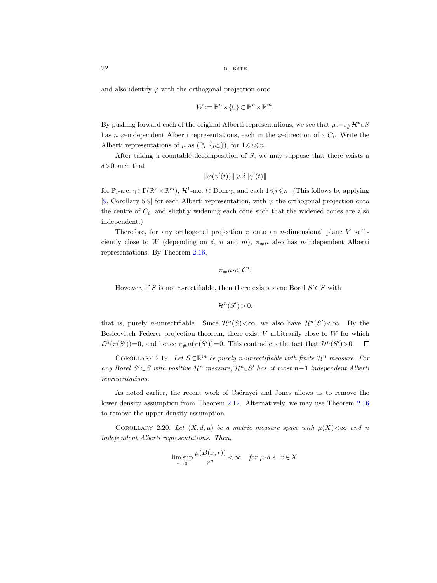and also identify  $\varphi$  with the orthogonal projection onto

$$
W := \mathbb{R}^n \times \{0\} \subset \mathbb{R}^n \times \mathbb{R}^m.
$$

By pushing forward each of the original Alberti representations, we see that  $\mu = \iota_{\#}\mathcal{H}^n \mathcal{L}S$ has  $n \varphi$ -independent Alberti representations, each in the  $\varphi$ -direction of a  $C_i$ . Write the Alberti representations of  $\mu$  as  $(\mathbb{P}_i, {\mu^i_{\gamma}})$ , for  $1 \leq i \leq n$ .

After taking a countable decomposition of S, we may suppose that there exists a  $\delta$ >0 such that

$$
\|\varphi(\gamma'(t))\|\geqslant \delta \|\gamma'(t)\|
$$

for  $\mathbb{P}_i$ -a.e.  $\gamma \in \Gamma(\mathbb{R}^n \times \mathbb{R}^m)$ ,  $\mathcal{H}^1$ -a.e.  $t \in \text{Dom } \gamma$ , and each  $1 \leq i \leq n$ . (This follows by applying [\[9,](#page-63-17) Corollary 5.9] for each Alberti representation, with  $\psi$  the orthogonal projection onto the centre of  $C_i$ , and slightly widening each cone such that the widened cones are also independent.)

Therefore, for any orthogonal projection  $\pi$  onto an *n*-dimensional plane V sufficiently close to W (depending on  $\delta$ , n and m),  $\pi_{\mu\mu}$  also has n-independent Alberti representations. By Theorem [2.16,](#page-20-1)

$$
\pi_{\#}\mu \ll \mathcal{L}^n.
$$

However, if S is not n-rectifiable, then there exists some Borel  $S' \subset S$  with

$$
\mathcal{H}^n(S') > 0,
$$

that is, purely *n*-unrectifiable. Since  $\mathcal{H}^n(S) < \infty$ , we also have  $\mathcal{H}^n(S') < \infty$ . By the Besicovitch–Federer projection theorem, there exist  $V$  arbitrarily close to  $W$  for which  $\mathcal{L}^n(\pi(S'))=0$ , and hence  $\pi_{\#}\mu(\pi(S'))=0$ . This contradicts the fact that  $\mathcal{H}^n(S')>0$ .

<span id="page-21-0"></span>COROLLARY 2.19. Let  $S\subset \mathbb{R}^m$  be purely n-unrectifiable with finite  $\mathcal{H}^n$  measure. For any Borel S'⊂S with positive  $\mathcal{H}^n$  measure,  $\mathcal{H}^n \subset S'$  has at most n-1 independent Alberti representations.

As noted earlier, the recent work of Csörnyei and Jones allows us to remove the lower density assumption from Theorem [2.12.](#page-18-1) Alternatively, we may use Theorem [2.16](#page-20-1) to remove the upper density assumption.

COROLLARY 2.20. Let  $(X, d, \mu)$  be a metric measure space with  $\mu(X) < \infty$  and n independent Alberti representations. Then,

$$
\limsup_{r \to 0} \frac{\mu(B(x,r))}{r^n} < \infty \quad \text{for } \mu\text{-}a.e. \ x \in X.
$$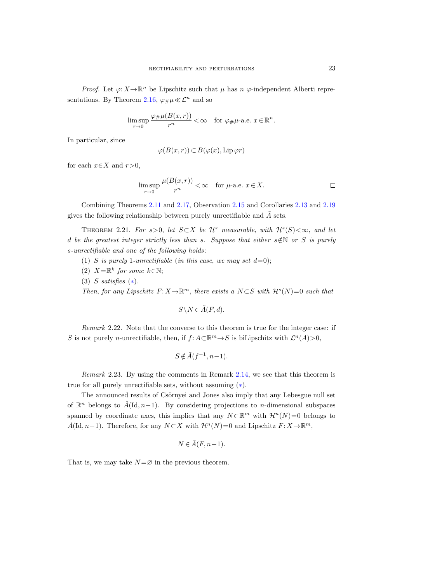*Proof.* Let  $\varphi: X \to \mathbb{R}^n$  be Lipschitz such that  $\mu$  has  $n \varphi$ -independent Alberti repre-sentations. By Theorem [2.16,](#page-20-0)  $\varphi_{\#}\mu \ll \mathcal{L}^n$  and so

$$
\limsup_{r \to 0} \frac{\varphi_{\#}\mu(B(x,r))}{r^n} < \infty \quad \text{for } \varphi_{\#}\mu\text{-a.e. } x \in \mathbb{R}^n.
$$

In particular, since

$$
\varphi(B(x,r)) \subset B(\varphi(x), \operatorname{Lip} \varphi r)
$$

for each  $x \in X$  and  $r > 0$ ,

$$
\limsup_{r \to 0} \frac{\mu(B(x,r))}{r^n} < \infty \quad \text{for } \mu\text{-a.e. } x \in X.
$$

Combining Theorems [2.11](#page-17-1) and [2.17,](#page-20-2) Observation [2.15](#page-20-3) and Corollaries [2.13](#page-19-1) and [2.19](#page-21-0) gives the following relationship between purely unrectifiable and  $\tilde{A}$  sets.

<span id="page-22-1"></span><span id="page-22-0"></span>THEOREM 2.21. For  $s > 0$ , let  $S \subset X$  be  $\mathcal{H}^s$  measurable, with  $\mathcal{H}^s(S) < \infty$ , and let d be the greatest integer strictly less than s. Suppose that either  $s \notin N$  or S is purely s-unrectifiable and one of the following holds:

- (1) S is purely 1-unrectifiable (in this case, we may set  $d=0$ );
- (2)  $X = \mathbb{R}^k$  for some  $k \in \mathbb{N}$ ;
- (3) S satisfies  $(*).$

Then, for any Lipschitz  $F: X \to \mathbb{R}^m$ , there exists a  $N \subset S$  with  $\mathcal{H}^s(N)=0$  such that

$$
S \setminus N \in \tilde{A}(F, d).
$$

Remark 2.22. Note that the converse to this theorem is true for the integer case: if S is not purely n-unrectifiable, then, if  $f: A \subset \mathbb{R}^m \to S$  is biLipschitz with  $\mathcal{L}^n(A) > 0$ ,

$$
S \notin \tilde{A}(f^{-1}, n-1).
$$

<span id="page-22-2"></span>Remark 2.23. By using the comments in Remark [2.14,](#page-19-2) we see that this theorem is true for all purely unrectifiable sets, without assuming  $(*).$ 

The announced results of Csörnyei and Jones also imply that any Lebesgue null set of  $\mathbb{R}^n$  belongs to  $\tilde{A}(\mathrm{Id}, n-1)$ . By considering projections to *n*-dimensional subspaces spanned by coordinate axes, this implies that any  $N \subset \mathbb{R}^m$  with  $\mathcal{H}^n(N)=0$  belongs to  $\tilde{A}(\mathrm{Id}, n-1)$ . Therefore, for any  $N\subset X$  with  $\mathcal{H}^n(N)=0$  and Lipschitz  $F: X\to\mathbb{R}^m$ ,

$$
N \in \tilde{A}(F, n-1).
$$

That is, we may take  $N = \emptyset$  in the previous theorem.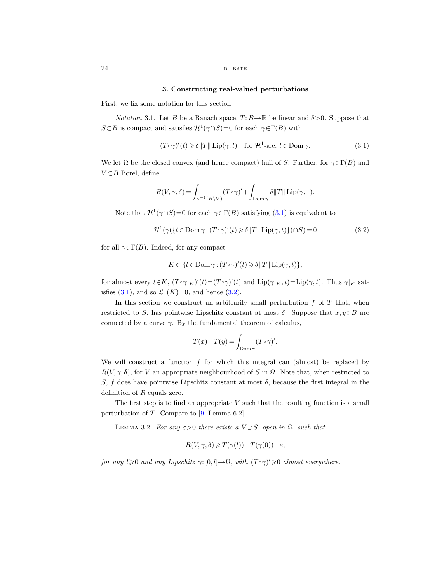## <span id="page-23-1"></span>3. Constructing real-valued perturbations

<span id="page-23-0"></span>First, we fix some notation for this section.

<span id="page-23-6"></span>*Notation* 3.1. Let B be a Banach space,  $T: B \to \mathbb{R}$  be linear and  $\delta > 0$ . Suppose that  $S \subset B$  is compact and satisfies  $\mathcal{H}^1(\gamma \cap S) = 0$  for each  $\gamma \in \Gamma(B)$  with

<span id="page-23-2"></span>
$$
(T \circ \gamma)'(t) \ge \delta ||T|| \operatorname{Lip}(\gamma, t) \quad \text{for } \mathcal{H}^1\text{-a.e. } t \in \text{Dom }\gamma. \tag{3.1}
$$

We let  $\Omega$  be the closed convex (and hence compact) hull of S. Further, for  $\gamma \in \Gamma(B)$  and  $V \subset B$  Borel, define

$$
R(V,\gamma,\delta) = \int_{\gamma^{-1}(B\setminus V)} (T \circ \gamma)' + \int_{\text{Dom }\gamma} \delta ||T|| \operatorname{Lip}(\gamma,\cdot).
$$

Note that  $\mathcal{H}^1(\gamma \cap S) = 0$  for each  $\gamma \in \Gamma(B)$  satisfying  $(3.1)$  is equivalent to

<span id="page-23-3"></span>
$$
\mathcal{H}^1(\gamma(\lbrace t \in \text{Dom}\,\gamma\colon (T \circ \gamma)'(t) \geq \delta \|T\| \operatorname{Lip}(\gamma, t) \rbrace) \cap S) = 0 \tag{3.2}
$$

for all  $\gamma \in \Gamma(B)$ . Indeed, for any compact

$$
K \subset \{t \in \text{Dom}\,\gamma : (T \circ \gamma)'(t) \geq \delta ||T|| \, \text{Lip}(\gamma, t)\},\
$$

for almost every  $t \in K$ ,  $(T \circ \gamma|_K)'(t) = (T \circ \gamma)'(t)$  and  $\text{Lip}(\gamma|_K, t) = \text{Lip}(\gamma, t)$ . Thus  $\gamma|_K$  sat-isfies [\(3.1\)](#page-23-2), and so  $\mathcal{L}^1(K)=0$ , and hence [\(3.2\)](#page-23-3).

In this section we construct an arbitrarily small perturbation  $f$  of  $T$  that, when restricted to S, has pointwise Lipschitz constant at most  $\delta$ . Suppose that  $x, y \in B$  are connected by a curve  $\gamma$ . By the fundamental theorem of calculus,

$$
T(x) - T(y) = \int_{\text{Dom }\gamma} (T \circ \gamma)'.
$$

We will construct a function  $f$  for which this integral can (almost) be replaced by  $R(V, \gamma, \delta)$ , for V an appropriate neighbourhood of S in  $\Omega$ . Note that, when restricted to S, f does have pointwise Lipschitz constant at most  $\delta$ , because the first integral in the definition of R equals zero.

The first step is to find an appropriate  $V$  such that the resulting function is a small perturbation of T. Compare to [\[9,](#page-63-17) Lemma 6.2].

<span id="page-23-5"></span><span id="page-23-4"></span>LEMMA 3.2. For any  $\varepsilon > 0$  there exists a  $V \supset S$ , open in  $\Omega$ , such that

$$
R(V, \gamma, \delta) \geqslant T(\gamma(l)) - T(\gamma(0)) - \varepsilon,
$$

for any  $l \geqslant 0$  and any Lipschitz  $\gamma: [0, l] \to \Omega$ , with  $(T \circ \gamma)' \geqslant 0$  almost everywhere.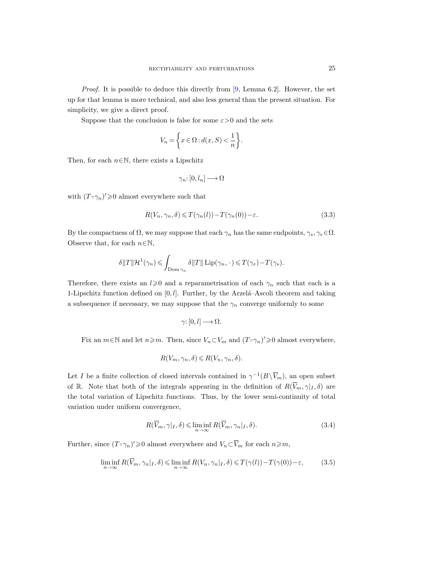*Proof.* It is possible to deduce this directly from  $[9, \text{ Lemma } 6.2]$ . However, the set up for that lemma is more technical, and also less general than the present situation. For simplicity, we give a direct proof.

Suppose that the conclusion is false for some  $\varepsilon > 0$  and the sets

$$
V_n = \left\{ x \in \Omega : d(x, S) < \frac{1}{n} \right\}.
$$

Then, for each  $n \in \mathbb{N}$ , there exists a Lipschitz

$$
\gamma_n\hbox{\rm :}\ [0,l_n]\longrightarrow\Omega
$$

with  $(T \circ \gamma_n)' \geq 0$  almost everywhere such that

<span id="page-24-0"></span>
$$
R(V_n, \gamma_n, \delta) \leq T(\gamma_n(l)) - T(\gamma_n(0)) - \varepsilon.
$$
\n(3.3)

By the compactness of  $\Omega$ , we may suppose that each  $\gamma_n$  has the same endpoints,  $\gamma_s, \gamma_e \in \Omega$ . Observe that, for each  $n \in \mathbb{N}$ ,

$$
\delta ||T|| \mathcal{H}^{1}(\gamma_{n}) \leqslant \int_{\text{Dom } \gamma_{n}} \delta ||T|| \operatorname{Lip}(\gamma_{n}, \cdot) \leqslant T(\gamma_{e}) - T(\gamma_{s}).
$$

Therefore, there exists an  $l\geqslant 0$  and a reparametrisation of each  $\gamma_n$  such that each is a 1-Lipschitz function defined on  $[0, l]$ . Further, by the Arzela–Ascoli theorem and taking a subsequence if necessary, we may suppose that the  $\gamma_n$  converge uniformly to some

$$
\gamma\colon [0,l]\longrightarrow \Omega.
$$

Fix an  $m \in \mathbb{N}$  and let  $n \geq m$ . Then, since  $V_n \subset V_m$  and  $(T \circ \gamma_n)' \geq 0$  almost everywhere,

$$
R(V_m, \gamma_n, \delta) \le R(V_n, \gamma_n, \delta).
$$

Let I be a finite collection of closed intervals contained in  $\gamma^{-1}(B\setminus \overline{V}_m)$ , an open subset of R. Note that both of the integrals appearing in the definition of  $R(\bar{V}_m, \gamma|_I, \delta)$  are the total variation of Lipschitz functions. Thus, by the lower semi-continuity of total variation under uniform convergence,

<span id="page-24-1"></span>
$$
R(\overline{V}_m, \gamma|_I, \delta) \leq \liminf_{n \to \infty} R(\overline{V}_m, \gamma_n|_I, \delta).
$$
 (3.4)

<span id="page-24-2"></span>Further, since  $(T \circ \gamma_n)' \geq 0$  almost everywhere and  $V_n \subset \overline{V}_m$  for each  $n \geq m$ ,

$$
\liminf_{n \to \infty} R(\overline{V}_m, \gamma_n|_I, \delta) \le \liminf_{n \to \infty} R(V_n, \gamma_n|_I, \delta) \le T(\gamma(l)) - T(\gamma(0)) - \varepsilon,
$$
\n(3.5)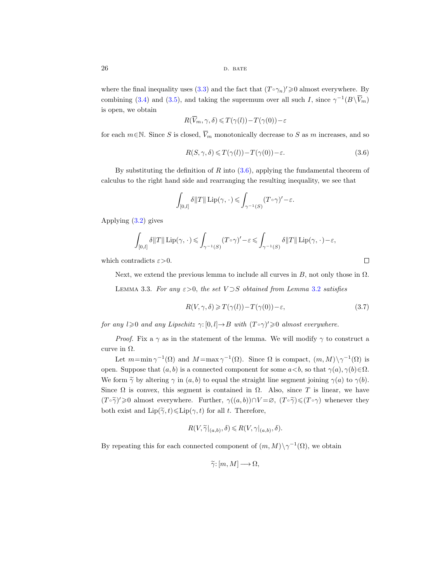where the final inequality uses [\(3.3\)](#page-24-0) and the fact that  $(T \circ \gamma_n)' \geq 0$  almost everywhere. By combining [\(3.4\)](#page-24-1) and [\(3.5\)](#page-24-2), and taking the supremum over all such I, since  $\gamma^{-1}(B\backslash \overline{V}_m)$ is open, we obtain

$$
R(\overline{V}_m, \gamma, \delta) \leq T(\gamma(l)) - T(\gamma(0)) - \varepsilon
$$

for each  $m \in \mathbb{N}$ . Since S is closed,  $\overline{V}_m$  monotonically decrease to S as m increases, and so

<span id="page-25-0"></span>
$$
R(S, \gamma, \delta) \leq T(\gamma(l)) - T(\gamma(0)) - \varepsilon.
$$
\n(3.6)

By substituting the definition of R into  $(3.6)$ , applying the fundamental theorem of calculus to the right hand side and rearranging the resulting inequality, we see that

$$
\int_{[0,l]} \delta ||T|| \operatorname{Lip}(\gamma, \cdot) \leqslant \int_{\gamma^{-1}(S)} (T \circ \gamma)' - \varepsilon.
$$

Applying [\(3.2\)](#page-23-3) gives

$$
\int_{[0,l]} \delta \|T\| \operatorname{Lip}(\gamma,\,\cdot\, ) \leqslant \int_{\gamma^{-1}(S)} (T\circ\gamma)' - \varepsilon \leqslant \int_{\gamma^{-1}(S)} \delta \|T\| \operatorname{Lip}(\gamma,\,\cdot\, ) - \varepsilon,
$$

which contradicts  $\varepsilon > 0$ .

Next, we extend the previous lemma to include all curves in B, not only those in  $\Omega$ .

<span id="page-25-1"></span>LEMMA 3.3. For any  $\varepsilon > 0$ , the set  $V \supset S$  obtained from Lemma [3.2](#page-23-4) satisfies

<span id="page-25-2"></span>
$$
R(V,\gamma,\delta) \geqslant T(\gamma(l)) - T(\gamma(0)) - \varepsilon,\tag{3.7}
$$

for any  $l \geqslant 0$  and any Lipschitz  $\gamma: [0, l] \to B$  with  $(T \circ \gamma)' \geqslant 0$  almost everywhere.

*Proof.* Fix a  $\gamma$  as in the statement of the lemma. We will modify  $\gamma$  to construct a curve in  $\Omega$ .

Let  $m = \min \gamma^{-1}(\Omega)$  and  $M = \max \gamma^{-1}(\Omega)$ . Since  $\Omega$  is compact,  $(m, M) \setminus \gamma^{-1}(\Omega)$  is open. Suppose that  $(a, b)$  is a connected component for some  $a < b$ , so that  $\gamma(a), \gamma(b) \in \Omega$ . We form  $\tilde{\gamma}$  by altering  $\gamma$  in  $(a, b)$  to equal the straight line segment joining  $\gamma(a)$  to  $\gamma(b)$ . Since  $\Omega$  is convex, this segment is contained in  $\Omega$ . Also, since T is linear, we have  $(T\circ\widetilde{\gamma})'\geq 0$  almost everywhere. Further,  $\gamma((a, b))\cap V=\varnothing$ ,  $(T\circ\widetilde{\gamma})\leq (T\circ\gamma)$  whenever they both exist and  $\text{Lip}(\tilde{\gamma}, t) \leq \text{Lip}(\gamma, t)$  for all t. Therefore,

$$
R(V, \widetilde{\gamma}|_{(a,b)}, \delta) \le R(V, \gamma|_{(a,b)}, \delta).
$$

By repeating this for each connected component of  $(m, M) \setminus \gamma^{-1}(\Omega)$ , we obtain

$$
\widetilde{\gamma}\colon [m,M]\longrightarrow \Omega,
$$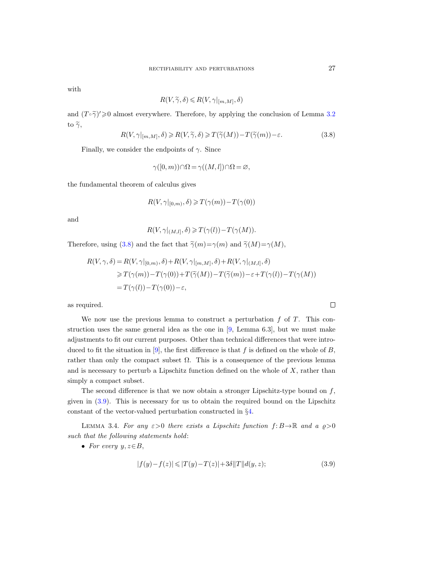with

$$
R(V, \widetilde{\gamma}, \delta) \le R(V, \gamma|_{[m,M]}, \delta)
$$

and  $(T \circ \tilde{\gamma})' \ge 0$  almost everywhere. Therefore, by applying the conclusion of Lemma [3.2](#page-23-5) to  $\widetilde{\gamma}$ ,

<span id="page-26-0"></span>
$$
R(V,\gamma|_{[m,M]},\delta) \ge R(V,\widetilde{\gamma},\delta) \ge T(\widetilde{\gamma}(M)) - T(\widetilde{\gamma}(m)) - \varepsilon. \tag{3.8}
$$

Finally, we consider the endpoints of  $\gamma$ . Since

$$
\gamma([0,m)) \cap \Omega = \gamma((M,l]) \cap \Omega = \varnothing,
$$

the fundamental theorem of calculus gives

$$
R(V, \gamma|_{[0,m)}, \delta) \geqslant T(\gamma(m)) - T(\gamma(0))
$$

and

$$
R(V, \gamma|_{(M,l]}, \delta) \geqslant T(\gamma(l)) - T(\gamma(M)).
$$

Therefore, using [\(3.8\)](#page-26-0) and the fact that  $\tilde{\gamma}(m)=\gamma(m)$  and  $\tilde{\gamma}(M)=\gamma(M)$ ,

$$
R(V, \gamma, \delta) = R(V, \gamma|_{[0,m)}, \delta) + R(V, \gamma|_{[m,M]}, \delta) + R(V, \gamma|_{(M,l]}, \delta)
$$
  
\n
$$
\geq T(\gamma(m)) - T(\gamma(0)) + T(\widetilde{\gamma}(M)) - T(\widetilde{\gamma}(m)) - \varepsilon + T(\gamma(l)) - T(\gamma(M))
$$
  
\n
$$
= T(\gamma(l)) - T(\gamma(0)) - \varepsilon,
$$

as required.

We now use the previous lemma to construct a perturbation  $f$  of  $T$ . This construction uses the same general idea as the one in [\[9,](#page-63-22) Lemma 6.3], but we must make adjustments to fit our current purposes. Other than technical differences that were intro-duced to fit the situation in [\[9\]](#page-63-22), the first difference is that f is defined on the whole of B, rather than only the compact subset  $\Omega$ . This is a consequence of the previous lemma and is necessary to perturb a Lipschitz function defined on the whole of  $X$ , rather than simply a compact subset.

The second difference is that we now obtain a stronger Lipschitz-type bound on  $f$ , given in [\(3.9\)](#page-26-1). This is necessary for us to obtain the required bound on the Lipschitz constant of the vector-valued perturbation constructed in §[4.](#page-31-0)

<span id="page-26-3"></span>LEMMA 3.4. For any  $\varepsilon > 0$  there exists a Lipschitz function  $f: B \to \mathbb{R}$  and a  $\rho > 0$ such that the following statements hold:

<span id="page-26-2"></span>• For every  $y, z \in B$ ,

<span id="page-26-1"></span>
$$
|f(y) - f(z)| \le |T(y) - T(z)| + 3\delta ||T|| d(y, z); \tag{3.9}
$$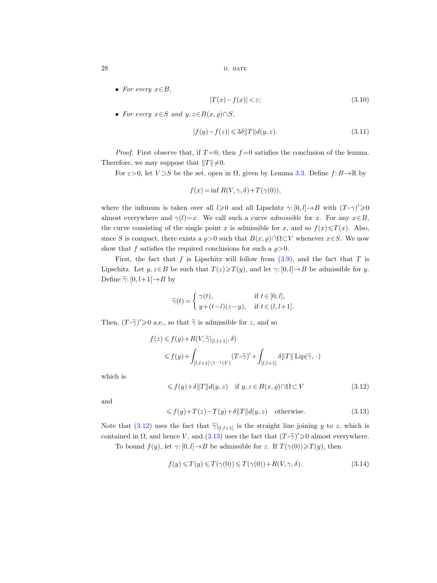• For every  $x \in B$ ,

<span id="page-27-4"></span>
$$
|T(x) - f(x)| < \varepsilon; \tag{3.10}
$$

• For every  $x \in S$  and  $y, z \in B(x, \rho) \cap S$ ,

<span id="page-27-3"></span>
$$
|f(y) - f(z)| \leqslant 3\delta ||T|| d(y, z). \tag{3.11}
$$

*Proof.* First observe that, if  $T=0$ , then  $f=0$  satisfies the conclusion of the lemma. Therefore, we may suppose that  $||T|| \neq 0$ .

For  $\varepsilon > 0$ , let  $V \supset S$  be the set, open in  $\Omega$ , given by Lemma [3.3.](#page-25-1) Define  $f: B \to \mathbb{R}$  by

$$
f(x) = \inf R(V, \gamma, \delta) + T(\gamma(0)),
$$

where the infimum is taken over all  $l \geqslant 0$  and all Lipschitz  $\gamma: [0, l] \to B$  with  $(T \circ \gamma)' \geqslant 0$ almost everywhere and  $\gamma(l)=x$ . We call such a curve *admissible* for x. For any  $x\in B$ , the curve consisting of the single point x is admissible for x, and so  $f(x) \leq T(x)$ . Also, since S is compact, there exists a  $\rho > 0$  such that  $B(x, \rho) \cap \Omega \subset V$  whenever  $x \in S$ . We now show that f satisfies the required conclusions for such a  $\rho > 0$ .

First, the fact that f is Lipschitz will follow from  $(3.9)$ , and the fact that T is Lipschitz. Let  $y, z \in B$  be such that  $T(z) \geq T(y)$ , and let  $\gamma: [0, l] \to B$  be admissible for y. Define  $\widetilde{\gamma}$ :  $[0, l+1] \rightarrow B$  by

$$
\widetilde{\gamma}(t) = \begin{cases} \gamma(t), & \text{if } t \in [0, l], \\ y + (t - l)(z - y), & \text{if } t \in (l, l + 1]. \end{cases}
$$

Then,  $(T \circ \tilde{\gamma})' \geq 0$  a.e., so that  $\tilde{\gamma}$  is admissible for z, and so

$$
f(z) \leq f(y) + R(V, \widetilde{\gamma}|_{[l, l+1]}, \delta)
$$
  

$$
\leq f(y) + \int_{[l, l+1] \setminus \widetilde{\gamma}^{-1}(V)} (T \circ \widetilde{\gamma})' + \int_{[l, l+1]} \delta ||T|| \operatorname{Lip}(\widetilde{\gamma}, \cdot)
$$

which is

<span id="page-27-0"></span>
$$
\leq f(y) + \delta ||T|| d(y, z) \quad \text{if } y, z \in B(x, \varrho) \cap \Omega \subset V \tag{3.12}
$$

and

<span id="page-27-1"></span>
$$
\leq f(y) + T(z) - T(y) + \delta ||T|| d(y, z) \quad \text{otherwise.} \tag{3.13}
$$

Note that [\(3.12\)](#page-27-0) uses the fact that  $\tilde{\gamma}|_{[l,l+1]}$  is the straight line joining y to z, which is contained in  $\Omega$ , and hence V, and [\(3.13\)](#page-27-1) uses the fact that  $(T \circ \tilde{\gamma})' \geq 0$  almost everywhere.

To bound  $f(y)$ , let  $\gamma: [0, l] \to B$  be admissible for z. If  $T(\gamma(0)) \geq T(y)$ , then

<span id="page-27-2"></span>
$$
f(y) \leq T(y) \leq T(\gamma(0)) \leq T(\gamma(0)) + R(V, \gamma, \delta).
$$
\n(3.14)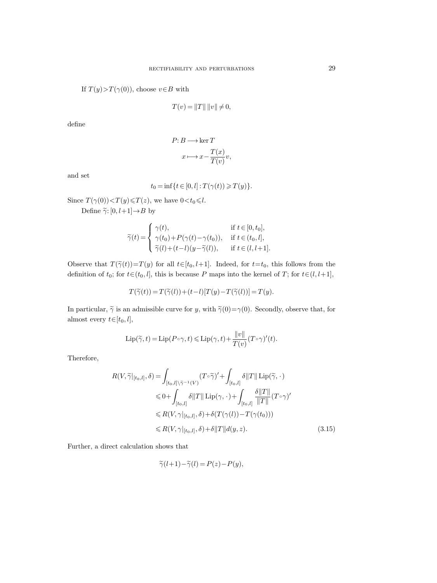If  $T(y) > T(\gamma(0))$ , choose  $v \in B$  with

$$
T(v) = ||T|| \, ||v|| \neq 0,
$$

define

$$
P: B \longrightarrow \ker T
$$

$$
x \longmapsto x - \frac{T(x)}{T(v)}v,
$$

and set

$$
t_0=\inf\{t\in[0,l]: T(\gamma(t))\geqslant T(y)\}.
$$

Since  $T(\gamma(0)) < T(y) \leq T(z)$ , we have  $0 < t_0 \leq l$ .

Define  $\widetilde{\gamma}$ :  $[0, l+1] \rightarrow B$  by

$$
\widetilde{\gamma}(t) = \begin{cases}\n\gamma(t), & \text{if } t \in [0, t_0], \\
\gamma(t_0) + P(\gamma(t) - \gamma(t_0)), & \text{if } t \in (t_0, l], \\
\widetilde{\gamma}(l) + (t - l)(y - \widetilde{\gamma}(l)), & \text{if } t \in (l, l + 1].\n\end{cases}
$$

Observe that  $T(\tilde{\gamma}(t))=T(y)$  for all  $t\in[t_0, l+1]$ . Indeed, for  $t=t_0$ , this follows from the definition of  $t_0$ ; for  $t \in (t_0, l]$ , this is because P maps into the kernel of T; for  $t \in (l, l+1]$ ,

$$
T(\widetilde{\gamma}(t)) = T(\widetilde{\gamma}(l)) + (t-l)[T(y) - T(\widetilde{\gamma}(l))] = T(y).
$$

In particular,  $\tilde{\gamma}$  is an admissible curve for y, with  $\tilde{\gamma}(0)=\gamma(0)$ . Secondly, observe that, for almost every  $t \in [t_0, l],$ 

$$
\operatorname{Lip}(\widetilde{\gamma},t) = \operatorname{Lip}(P \circ \gamma,t) \leqslant \operatorname{Lip}(\gamma,t) + \frac{\|v\|}{T(v)} (T \circ \gamma)'(t).
$$

Therefore,

$$
R(V, \widetilde{\gamma}|_{[t_0, l]}, \delta) = \int_{[t_0, l] \backslash \widetilde{\gamma}^{-1}(V)} (T \circ \widetilde{\gamma})' + \int_{[t_0, l]} \delta ||T|| \operatorname{Lip}(\widetilde{\gamma}, \cdot)
$$
  
\n
$$
\leq 0 + \int_{[t_0, l]} \delta ||T|| \operatorname{Lip}(\gamma, \cdot) + \int_{[t_0, l]} \frac{\delta ||T||}{||T||} (T \circ \gamma)'
$$
  
\n
$$
\leq R(V, \gamma|_{[t_0, l]}, \delta) + \delta(T(\gamma(l)) - T(\gamma(t_0)))
$$
  
\n
$$
\leq R(V, \gamma|_{[t_0, l]}, \delta) + \delta ||T|| d(y, z). \tag{3.15}
$$

Further, a direct calculation shows that

<span id="page-28-0"></span>
$$
\widetilde{\gamma}(l+1) - \widetilde{\gamma}(l) = P(z) - P(y),
$$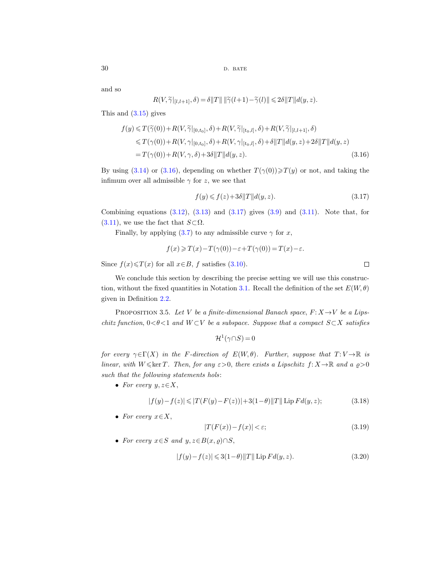and so

$$
R(V, \widetilde{\gamma}|_{[l,l+1]}, \delta) = \delta ||T|| ||\widetilde{\gamma}(l+1) - \widetilde{\gamma}(l)|| \leq 2\delta ||T|| d(y, z).
$$

This and [\(3.15\)](#page-28-0) gives

$$
f(y) \leq T(\tilde{\gamma}(0)) + R(V, \tilde{\gamma}|_{[0,t_0]}, \delta) + R(V, \tilde{\gamma}|_{[t_0,l]}, \delta) + R(V, \tilde{\gamma}|_{[l,l+1]}, \delta)
$$
  
\n
$$
\leq T(\gamma(0)) + R(V, \gamma|_{[0,t_0]}, \delta) + R(V, \gamma|_{[t_0,l]}, \delta) + \delta ||T|| d(y, z) + 2\delta ||T|| d(y, z)
$$
  
\n
$$
= T(\gamma(0)) + R(V, \gamma, \delta) + 3\delta ||T|| d(y, z).
$$
\n(3.16)

By using [\(3.14\)](#page-27-2) or [\(3.16\)](#page-29-1), depending on whether  $T(\gamma(0)) \geq T(y)$  or not, and taking the infimum over all admissible  $\gamma$  for z, we see that

<span id="page-29-2"></span><span id="page-29-1"></span>
$$
f(y) \leqslant f(z) + 3\delta ||T|| d(y, z). \tag{3.17}
$$

Combining equations  $(3.12)$ ,  $(3.13)$  and  $(3.17)$  gives  $(3.9)$  and  $(3.11)$ . Note that, for  $(3.11)$ , we use the fact that  $S\subset\Omega$ .

Finally, by applying  $(3.7)$  to any admissible curve  $\gamma$  for x,

$$
f(x) \geqslant T(x) - T(\gamma(0)) - \varepsilon + T(\gamma(0)) = T(x) - \varepsilon.
$$

Since  $f(x) \leq T(x)$  for all  $x \in B$ , f satisfies [\(3.10\)](#page-27-4).

We conclude this section by describing the precise setting we will use this construc-tion, without the fixed quantities in Notation [3.1.](#page-23-6) Recall the definition of the set  $E(W, \theta)$ given in Definition [2.2.](#page-10-1)

<span id="page-29-4"></span><span id="page-29-0"></span>PROPOSITION 3.5. Let V be a finite-dimensional Banach space,  $F: X \rightarrow V$  be a Lipschitz function,  $0 < \theta < 1$  and  $W \subset V$  be a subspace. Suppose that a compact  $S \subset X$  satisfies

 $\mathcal{H}^1(\gamma \cap S) = 0$ 

for every  $\gamma \in \Gamma(X)$  in the F-direction of  $E(W, \theta)$ . Further, suppose that  $T: V \to \mathbb{R}$  is linear, with  $W \leq \ker T$ . Then, for any  $\varepsilon > 0$ , there exists a Lipschitz  $f: X \to \mathbb{R}$  and a  $\rho > 0$ such that the following statements hols:

• For every  $y, z \in X$ ,

<span id="page-29-6"></span><span id="page-29-5"></span>
$$
|f(y) - f(z)| \le |T(F(y) - F(z))| + 3(1 - \theta) ||T|| \operatorname{Lip} F d(y, z); \tag{3.18}
$$

• For every  $x \in X$ ,

<span id="page-29-7"></span><span id="page-29-3"></span>
$$
|T(F(x)) - f(x)| < \varepsilon;\tag{3.19}
$$

• For every  $x \in S$  and  $y, z \in B(x, \rho) \cap S$ ,

$$
|f(y) - f(z)| \leq 3(1 - \theta) ||T|| \operatorname{Lip} F d(y, z). \tag{3.20}
$$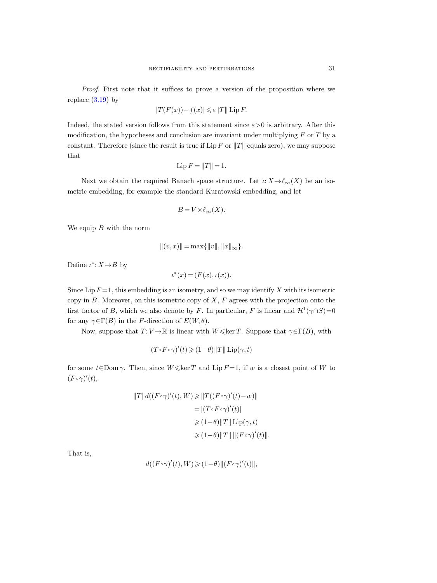Proof. First note that it suffices to prove a version of the proposition where we replace  $(3.19)$  by

$$
|T(F(x)) - f(x)| \leq \varepsilon ||T|| \operatorname{Lip} F.
$$

Indeed, the stated version follows from this statement since  $\varepsilon > 0$  is arbitrary. After this modification, the hypotheses and conclusion are invariant under multiplying  $F$  or  $T$  by a constant. Therefore (since the result is true if Lip F or  $||T||$  equals zero), we may suppose that

$$
Lip F = ||T|| = 1.
$$

Next we obtain the required Banach space structure. Let  $\iota: X \to \ell_{\infty}(X)$  be an isometric embedding, for example the standard Kuratowski embedding, and let

$$
B = V \times \ell_{\infty}(X).
$$

We equip  $B$  with the norm

$$
||(v, x)|| = \max{||v||, ||x||_{\infty}}.
$$

Define  $\iota^*$ :  $X \rightarrow B$  by

$$
\iota^*(x) = (F(x), \iota(x)).
$$

Since Lip  $F = 1$ , this embedding is an isometry, and so we may identify X with its isometric copy in  $B$ . Moreover, on this isometric copy of  $X$ ,  $F$  agrees with the projection onto the first factor of B, which we also denote by F. In particular, F is linear and  $\mathcal{H}^1(\gamma \cap S) = 0$ for any  $\gamma \in \Gamma(B)$  in the F-direction of  $E(W, \theta)$ .

Now, suppose that  $T: V \to \mathbb{R}$  is linear with  $W \leq \ker T$ . Suppose that  $\gamma \in \Gamma(B)$ , with

$$
(T \circ F \circ \gamma)'(t) \geq (1 - \theta) ||T|| \operatorname{Lip}(\gamma, t)
$$

for some  $t \in \text{Dom } \gamma$ . Then, since  $W \leq \ker T$  and Lip  $F = 1$ , if w is a closest point of W to  $(F \circ \gamma)'(t),$ 

$$
||T||d((F\circ\gamma)'(t), W) \ge ||T((F\circ\gamma)'(t) - w)||
$$
  
\n
$$
= |(T\circ F\circ\gamma)'(t)|
$$
  
\n
$$
\ge (1-\theta) ||T|| \operatorname{Lip}(\gamma, t)
$$
  
\n
$$
\ge (1-\theta) ||T|| ||(F\circ\gamma)'(t)||.
$$

That is,

$$
d((F\circ\gamma)'(t), W) \geq (1-\theta) \|(F\circ\gamma)'(t)\|,
$$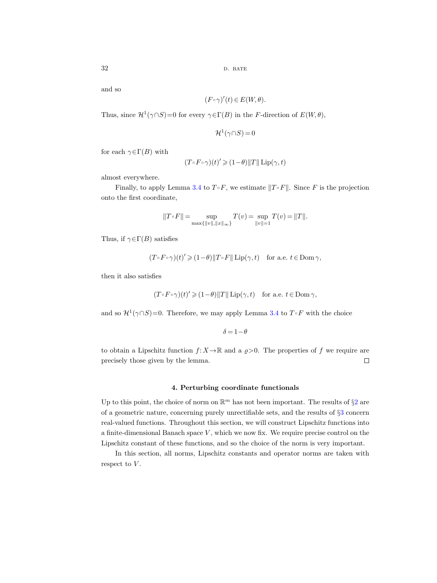and so

$$
(F\circ\gamma)'(t)\in E(W,\theta).
$$

Thus, since  $\mathcal{H}^1(\gamma \cap S) = 0$  for every  $\gamma \in \Gamma(B)$  in the F-direction of  $E(W, \theta)$ ,

$$
\mathcal{H}^1(\gamma \cap S) = 0
$$

for each  $\gamma \in \Gamma(B)$  with

$$
(T \circ F \circ \gamma)(t)' \geq (1 - \theta) ||T|| \operatorname{Lip}(\gamma, t)
$$

almost everywhere.

Finally, to apply Lemma [3.4](#page-26-3) to  $T \circ F$ , we estimate  $||T \circ F||$ . Since F is the projection onto the first coordinate,

$$
||T \circ F|| = \sup_{\max\{||v||, ||x||_{\infty}\}} T(v) = \sup_{||v||=1} T(v) = ||T||.
$$

Thus, if  $\gamma \in \Gamma(B)$  satisfies

$$
(T \circ F \circ \gamma)(t)' \geq (1 - \theta) \|T \circ F\| \operatorname{Lip}(\gamma, t) \quad \text{for a.e. } t \in \text{Dom } \gamma,
$$

then it also satisfies

$$
(T \circ F \circ \gamma)(t)' \geq (1 - \theta) ||T|| \operatorname{Lip}(\gamma, t) \quad \text{for a.e. } t \in \text{Dom } \gamma,
$$

and so  $\mathcal{H}^1(\gamma \cap S) = 0$ . Therefore, we may apply Lemma [3.4](#page-26-3) to  $T \circ F$  with the choice

 $\delta = 1 - \theta$ 

to obtain a Lipschitz function  $f: X \to \mathbb{R}$  and a  $g > 0$ . The properties of f we require are precisely those given by the lemma.  $\Box$ 

## <span id="page-31-0"></span>4. Perturbing coordinate functionals

Up to this point, the choice of norm on  $\mathbb{R}^m$  has not been important. The results of  $\S 2$  $\S 2$  are of a geometric nature, concerning purely unrectifiable sets, and the results of §[3](#page-23-0) concern real-valued functions. Throughout this section, we will construct Lipschitz functions into a finite-dimensional Banach space  $V$ , which we now fix. We require precise control on the Lipschitz constant of these functions, and so the choice of the norm is very important.

In this section, all norms, Lipschitz constants and operator norms are taken with respect to  $V$ .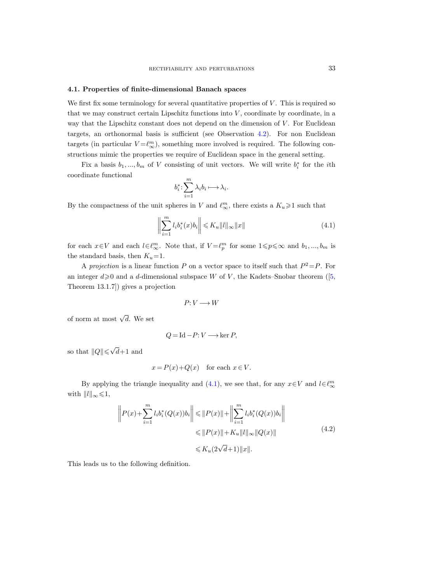#### <span id="page-32-1"></span><span id="page-32-0"></span>4.1. Properties of finite-dimensional Banach spaces

We first fix some terminology for several quantitative properties of  $V$ . This is required so that we may construct certain Lipschitz functions into  $V$ , coordinate by coordinate, in a way that the Lipschitz constant does not depend on the dimension of  $V$ . For Euclidean targets, an orthonormal basis is sufficient (see Observation [4.2\)](#page-33-2). For non Euclidean targets (in particular  $V = \ell_{\infty}^m$ ), something more involved is required. The following constructions mimic the properties we require of Euclidean space in the general setting.

Fix a basis  $b_1, ..., b_m$  of V consisting of unit vectors. We will write  $b_i^*$  for the *i*th coordinate functional

$$
b_i^* \colon \sum_{i=1}^m \lambda_i b_i \longmapsto \lambda_i.
$$

By the compactness of the unit spheres in V and  $\ell_{\infty}^m$ , there exists a  $K_u \geq 1$  such that

<span id="page-32-4"></span><span id="page-32-2"></span>
$$
\left\| \sum_{i=1}^{m} l_i b_i^*(x) b_i \right\| \leq K_u \|l\|_{\infty} \|x\| \tag{4.1}
$$

for each  $x \in V$  and each  $l \in \ell_{\infty}^m$ . Note that, if  $V = \ell_p^m$  for some  $1 \leq p \leq \infty$  and  $b_1, ..., b_m$  is the standard basis, then  $K_u=1$ .

A projection is a linear function P on a vector space to itself such that  $P^2 = P$ . For aninteger  $d \ge 0$  and a d-dimensional subspace W of V, the Kadets–Snobar theorem ([\[5,](#page-63-30) Theorem 13.1.7]) gives a projection

$$
P\colon\! V\longrightarrow W
$$

of norm at most  $\sqrt{d}$ . We set

$$
Q = \text{Id} - P: V \longrightarrow \ker P,
$$

so that  $||Q|| \leq \sqrt{\frac{2}{\pi}}$  $d+1$  and

$$
x = P(x) + Q(x) \quad \text{for each } x \in V.
$$

By applying the triangle inequality and [\(4.1\)](#page-32-2), we see that, for any  $x \in V$  and  $l \in \ell_{\infty}^m$ with  $||l||_{\infty} \leq 1$ ,

$$
\left\| P(x) + \sum_{i=1}^{m} l_i b_i^* (Q(x)) b_i \right\| \leq \| P(x) \| + \left\| \sum_{i=1}^{m} l_i b_i^* (Q(x)) b_i \right\|
$$
  

$$
\leq \| P(x) \| + K_u \| l \|_{\infty} \| Q(x) \|
$$
  

$$
\leq K_u (2\sqrt{d} + 1) \| x \|.
$$
 (4.2)

<span id="page-32-3"></span>This leads us to the following definition.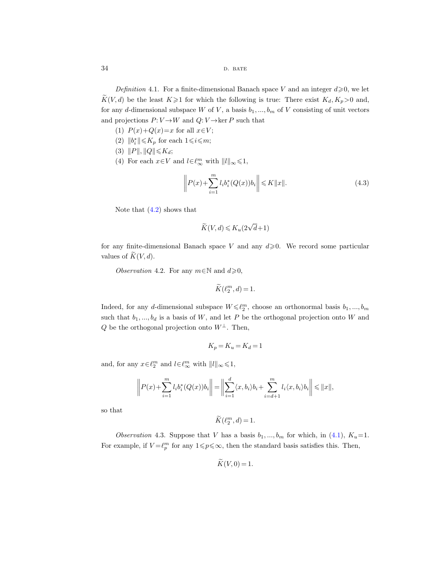<span id="page-33-1"></span><span id="page-33-0"></span>Definition 4.1. For a finite-dimensional Banach space V and an integer  $d \geqslant 0$ , we let  $\widetilde{K}(V, d)$  be the least  $K \geq 1$  for which the following is true: There exist  $K_d, K_p > 0$  and, for any d-dimensional subspace W of V, a basis  $b_1, ..., b_m$  of V consisting of unit vectors and projections  $P: V \to W$  and  $Q: V \to \text{ker } P$  such that

- (1)  $P(x)+Q(x)=x$  for all  $x\in V$ ;
- (2)  $||b_i^*|| \leq K_p$  for each  $1 \leq i \leq m$ ;
- (3)  $||P||, ||Q|| \leqslant K_d;$
- (4) For each  $x \in V$  and  $l \in \ell_{\infty}^m$  with  $||l||_{\infty} \leq 1$ ,

<span id="page-33-5"></span><span id="page-33-3"></span>
$$
\left\| P(x) + \sum_{i=1}^{m} l_i b_i^* (Q(x)) b_i \right\| \leq K \|x\|.
$$
 (4.3)

Note that  $(4.2)$  shows that

$$
\widetilde{K}(V,d) \leqslant K_u(2\sqrt{d}+1)
$$

for any finite-dimensional Banach space V and any  $d \ge 0$ . We record some particular values of  $\widetilde{K}(V, d)$ .

<span id="page-33-2"></span>Observation 4.2. For any  $m \in \mathbb{N}$  and  $d \geqslant 0$ ,

$$
\widetilde{K}(\ell_2^m, d) = 1.
$$

Indeed, for any d-dimensional subspace  $W \leq \ell_2^m$ , choose an orthonormal basis  $b_1, ..., b_m$ such that  $b_1, ..., b_d$  is a basis of W, and let P be the orthogonal projection onto W and Q be the orthogonal projection onto  $W^{\perp}$ . Then,

$$
K_p = K_u = K_d = 1
$$

and, for any  $x \in \ell_2^m$  and  $l \in \ell_\infty^m$  with  $||l||_{\infty} \leq 1$ ,

$$
\left\| P(x) + \sum_{i=1}^m l_i b_i^*(Q(x)) b_i \right\| = \left\| \sum_{i=1}^d \langle x, b_i \rangle b_i + \sum_{i=d+1}^m l_i \langle x, b_i \rangle b_i \right\| \leq \|x\|,
$$

so that

$$
\widetilde{K}(\ell_2^m, d) = 1.
$$

<span id="page-33-6"></span><span id="page-33-4"></span>Observation 4.3. Suppose that V has a basis  $b_1, ..., b_m$  for which, in [\(4.1\)](#page-32-4),  $K_u=1$ . For example, if  $V = \ell_p^m$  for any  $1 \leq p \leq \infty$ , then the standard basis satisfies this. Then,

$$
K(V,0)=1.
$$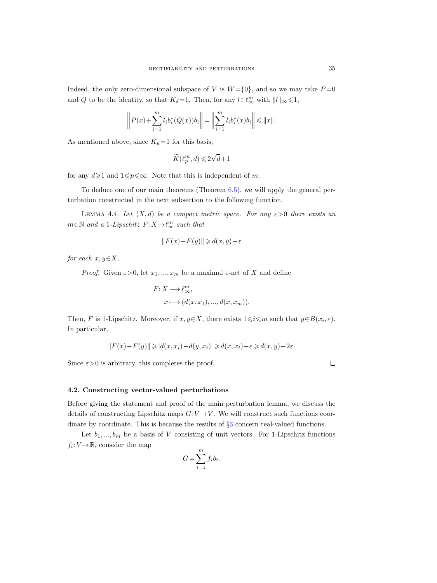Indeed, the only zero-dimensional subspace of V is  $W = \{0\}$ , and so we may take  $P = 0$ and Q to be the identity, so that  $K_d=1$ . Then, for any  $l\in\ell_\infty^m$  with  $||l||_\infty\leq 1$ ,

$$
\left\| P(x) + \sum_{i=1}^{m} l_i b_i^* (Q(x)) b_i \right\| = \left\| \sum_{i=1}^{m} l_i b_i^* (x) b_i \right\| \leq \|x\|.
$$

As mentioned above, since  $K_u=1$  for this basis,

$$
\widetilde{K}(\ell_p^m,d)\leqslant 2\sqrt{d}\!+\!1
$$

for any  $d\geq 1$  and  $1\leq p\leq \infty$ . Note that this is independent of m.

To deduce one of our main theorems (Theorem [6.5\)](#page-49-1), we will apply the general perturbation constructed in the next subsection to the following function.

<span id="page-34-1"></span>LEMMA 4.4. Let  $(X, d)$  be a compact metric space. For any  $\varepsilon > 0$  there exists an  $m \in \mathbb{N}$  and a 1-Lipschitz  $F: X \to \ell_{\infty}^m$  such that

$$
||F(x) - F(y)|| \ge d(x, y) - \varepsilon
$$

for each  $x, y \in X$ .

*Proof.* Given  $\varepsilon > 0$ , let  $x_1, ..., x_m$  be a maximal  $\varepsilon$ -net of X and define

$$
F: X \longrightarrow \ell_{\infty}^m,
$$
  

$$
x \longmapsto (d(x, x_1), ..., d(x, x_m)).
$$

Then, F is 1-Lipschitz. Moreover, if  $x, y \in X$ , there exists  $1 \leq i \leq m$  such that  $y \in B(x_i, \varepsilon)$ . In particular,

$$
||F(x)-F(y)|| \geqslant |d(x,x_i)-d(y,x_i)| \geqslant d(x,x_i)-\varepsilon \geqslant d(x,y)-2\varepsilon.
$$

Since  $\varepsilon > 0$  is arbitrary, this completes the proof.

## <span id="page-34-0"></span>4.2. Constructing vector-valued perturbations

Before giving the statement and proof of the main perturbation lemma, we discuss the details of constructing Lipschitz maps  $G: V \rightarrow V$ . We will construct such functions coordinate by coordinate. This is because the results of §[3](#page-23-1) concern real-valued functions.

Let  $b_1, ..., b_m$  be a basis of V consisting of unit vectors. For 1-Lipschitz functions  $f_i: V \to \mathbb{R}$ , consider the map

$$
G = \sum_{i=1}^{m} f_i b_i.
$$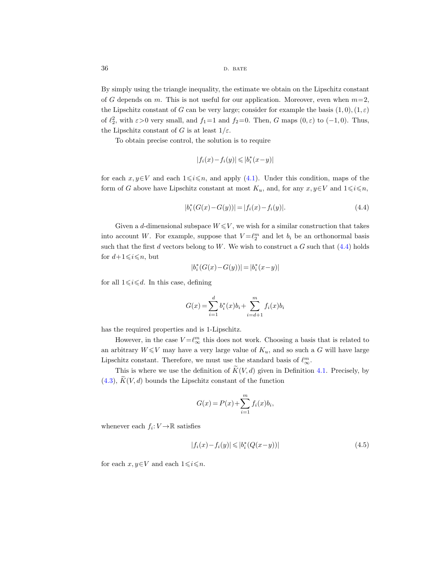By simply using the triangle inequality, the estimate we obtain on the Lipschitz constant of G depends on m. This is not useful for our application. Moreover, even when  $m=2$ , the Lipschitz constant of G can be very large; consider for example the basis  $(1,0), (1,\varepsilon)$ of  $\ell_2^2$ , with  $\varepsilon > 0$  very small, and  $f_1 = 1$  and  $f_2 = 0$ . Then, G maps  $(0, \varepsilon)$  to  $(-1, 0)$ . Thus, the Lipschitz constant of G is at least  $1/\varepsilon$ .

To obtain precise control, the solution is to require

$$
|f_i(x) \!-\! f_i(y)| \leqslant |b_i^*(x\!-\!y)|
$$

for each  $x, y \in V$  and each  $1 \leq i \leq n$ , and apply [\(4.1\)](#page-32-4). Under this condition, maps of the form of G above have Lipschitz constant at most  $K_u$ , and, for any  $x, y \in V$  and  $1 \leq i \leq n$ ,

<span id="page-35-0"></span>
$$
|b_i^*(G(x) - G(y))| = |f_i(x) - f_i(y)|.
$$
\n(4.4)

Given a d-dimensional subspace  $W \leqslant V$ , we wish for a similar construction that takes into account W. For example, suppose that  $V = \ell_2^m$  and let  $b_i$  be an orthonormal basis such that the first  $d$  vectors belong to  $W$ . We wish to construct a  $G$  such that  $(4.4)$  holds for  $d+1\leqslant i\leqslant n$ , but

$$
\vert b_i^*(G(x)-G(y))\vert = \vert b_i^*(x-y)\vert
$$

for all  $1 \leq i \leq d$ . In this case, defining

$$
G(x) = \sum_{i=1}^{d} b_i^*(x)b_i + \sum_{i=d+1}^{m} f_i(x)b_i
$$

has the required properties and is 1-Lipschitz.

However, in the case  $V = \ell_{\infty}^m$  this does not work. Choosing a basis that is related to an arbitrary  $W \leq V$  may have a very large value of  $K_u$ , and so such a G will have large Lipschitz constant. Therefore, we must use the standard basis of  $\ell_\infty^m.$ 

This is where we use the definition of  $\widetilde{K}(V, d)$  given in Definition [4.1.](#page-33-1) Precisely, by  $(4.3), K(V, d)$  $(4.3), K(V, d)$  bounds the Lipschitz constant of the function

$$
G(x) = P(x) + \sum_{i=1}^{m} f_i(x) b_i,
$$

whenever each  $f_i: V \to \mathbb{R}$  satisfies

<span id="page-35-1"></span>
$$
|f_i(x) - f_i(y)| \leq |b_i^*(Q(x - y))|
$$
\n(4.5)

for each  $x, y \in V$  and each  $1 \leq i \leq n$ .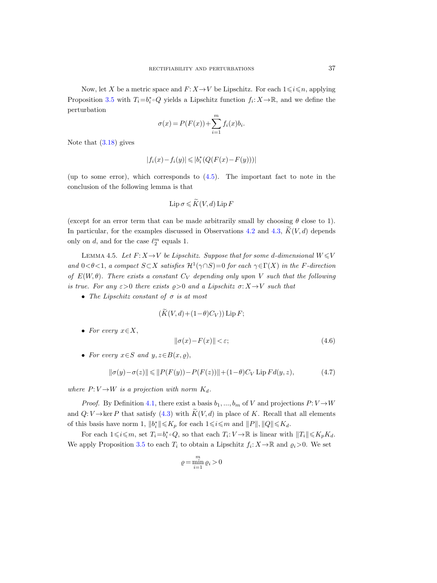Now, let X be a metric space and  $F: X \to V$  be Lipschitz. For each  $1 \leq i \leq n$ , applying Proposition [3.5](#page-29-4) with  $T_i = b_i^* \circ Q$  yields a Lipschitz function  $f_i: X \to \mathbb{R}$ , and we define the perturbation

$$
\sigma(x) = P(F(x)) + \sum_{i=1}^{m} f_i(x)b_i.
$$

Note that  $(3.18)$  gives

$$
|f_i(x)-f_i(y)|\leqslant |b_i^*(Q(F(x)-F(y)))|
$$

(up to some error), which corresponds to [\(4.5\)](#page-35-1). The important fact to note in the conclusion of the following lemma is that

$$
\operatorname{Lip} \sigma \leqslant \widetilde{K}(V, d) \operatorname{Lip} F
$$

(except for an error term that can be made arbitrarily small by choosing  $\theta$  close to 1). In particular, for the examples discussed in Observations [4.2](#page-33-2) and [4.3,](#page-33-4)  $K(V, d)$  depends only on d, and for the case  $\ell_2^m$  equals 1.

<span id="page-36-3"></span>LEMMA 4.5. Let  $F: X \rightarrow V$  be Lipschitz. Suppose that for some d-dimensional  $W \leq V$ and  $0 < \theta < 1$ , a compact  $S \subset X$  satisfies  $\mathcal{H}^1(\gamma \cap S) = 0$  for each  $\gamma \in \Gamma(X)$  in the F-direction of  $E(W, \theta)$ . There exists a constant  $C_V$  depending only upon V such that the following is true. For any  $\varepsilon > 0$  there exists  $\rho > 0$  and a Lipschitz  $\sigma: X \to V$  such that

• The Lipschitz constant of  $\sigma$  is at most

<span id="page-36-0"></span>
$$
(\tilde{K}(V, d) + (1 - \theta)C_V)) \operatorname{Lip} F;
$$

• For every  $x \in X$ ,

<span id="page-36-2"></span>
$$
\|\sigma(x) - F(x)\| < \varepsilon;\tag{4.6}
$$

<span id="page-36-1"></span>• For every  $x \in S$  and  $y, z \in B(x, \varrho)$ ,

$$
\|\sigma(y) - \sigma(z)\| \le \|P(F(y)) - P(F(z))\| + (1 - \theta)C_V \text{ Lip } Fd(y, z),\tag{4.7}
$$

where  $P: V \rightarrow W$  is a projection with norm  $K_d$ .

*Proof.* By Definition [4.1,](#page-33-0) there exist a basis  $b_1, ..., b_m$  of V and projections  $P: V \rightarrow W$ and  $Q: V \to \text{ker } P$  that satisfy [\(4.3\)](#page-33-5) with  $K(V, d)$  in place of K. Recall that all elements of this basis have norm 1,  $||b_i^*|| \leq K_p$  for each  $1 \leq i \leq m$  and  $||P||, ||Q|| \leq K_d$ .

For each  $1 \leq i \leq m$ , set  $T_i = b_i^* \circ Q$ , so that each  $T_i: V \to \mathbb{R}$  is linear with  $||T_i|| \leq K_p K_d$ . We apply Proposition [3.5](#page-29-4) to each  $T_i$  to obtain a Lipschitz  $f_i: X \to \mathbb{R}$  and  $\varrho_i > 0$ . We set

$$
\varrho = \min_{i=1}^m \varrho_i > 0
$$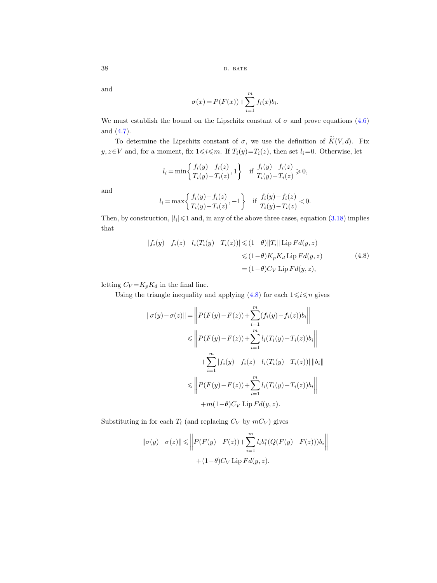and

$$
\sigma(x) = P(F(x)) + \sum_{i=1}^{m} f_i(x) b_i.
$$

We must establish the bound on the Lipschitz constant of  $\sigma$  and prove equations [\(4.6\)](#page-36-0) and [\(4.7\)](#page-36-1).

To determine the Lipschitz constant of  $\sigma$ , we use the definition of  $\widetilde{K}(V, d)$ . Fix  $y, z \in V$  and, for a moment, fix  $1 \leq i \leq m$ . If  $T_i(y)=T_i(z)$ , then set  $l_i=0$ . Otherwise, let

$$
l_i = \min\left\{\frac{f_i(y) - f_i(z)}{T_i(y) - T_i(z)}, 1\right\} \quad \text{if } \frac{f_i(y) - f_i(z)}{T_i(y) - T_i(z)} \geqslant 0,
$$

and

$$
l_i = \max\left\{\frac{f_i(y) - f_i(z)}{T_i(y) - T_i(z)}, -1\right\} \quad \text{if } \frac{f_i(y) - f_i(z)}{T_i(y) - T_i(z)} < 0.
$$

Then, by construction,  $|l_i| \leq 1$  and, in any of the above three cases, equation [\(3.18\)](#page-29-6) implies that

$$
|f_i(y) - f_i(z) - l_i(T_i(y) - T_i(z))| \leq (1 - \theta) ||T_i|| \operatorname{Lip} Fd(y, z)
$$
  
\n
$$
\leq (1 - \theta) K_p K_d \operatorname{Lip} Fd(y, z)
$$
  
\n
$$
= (1 - \theta) C_V \operatorname{Lip} Fd(y, z),
$$
\n(4.8)

<span id="page-37-0"></span>letting  $C_V = K_p K_d$  in the final line.

Using the triangle inequality and applying  $(4.8)$  for each  $1 \le i \le n$  gives

$$
\|\sigma(y) - \sigma(z)\| = \left\| P(F(y) - F(z)) + \sum_{i=1}^{m} (f_i(y) - f_i(z))b_i \right\|
$$
  
\n
$$
\leq \left\| P(F(y) - F(z)) + \sum_{i=1}^{m} l_i(T_i(y) - T_i(z))b_i \right\|
$$
  
\n
$$
+ \sum_{i=1}^{m} |f_i(y) - f_i(z) - l_i(T_i(y) - T_i(z))| ||b_i||
$$
  
\n
$$
\leq \left\| P(F(y) - F(z)) + \sum_{i=1}^{m} l_i(T_i(y) - T_i(z))b_i \right\|
$$
  
\n
$$
+ m(1 - \theta)C_V \text{ Lip } F d(y, z).
$$

Substituting in for each  $T_i$  (and replacing  $C_V$  by  $mC_V$ ) gives

$$
\begin{aligned} \|\sigma(y)-\sigma(z)\|&\leqslant \bigg\|P(F(y)-F(z))+\sum_{i=1}^ml_ib_i^*(Q(F(y)-F(z)))b_i\bigg\|\\ &+(1-\theta)C_V\operatorname{Lip} Fd(y,z).\end{aligned}
$$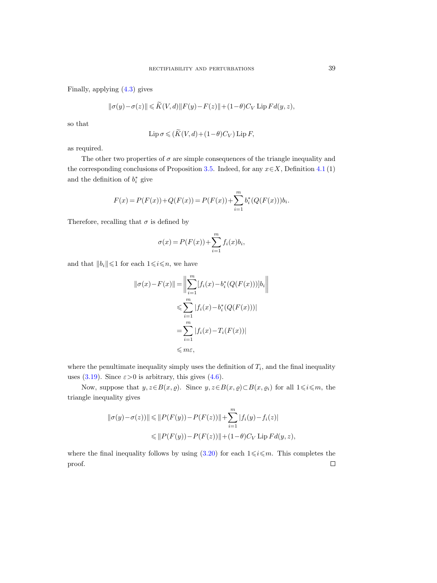Finally, applying [\(4.3\)](#page-33-5) gives

$$
\|\sigma(y)-\sigma(z)\| \leq \widetilde{K}(V,d) \|F(y)-F(z)\| + (1-\theta)C_V \operatorname{Lip} Fd(y,z),
$$

so that

$$
\operatorname{Lip} \sigma \leqslant (\widetilde{K}(V, d) + (1 - \theta)C_V) \operatorname{Lip} F,
$$

as required.

The other two properties of  $\sigma$  are simple consequences of the triangle inequality and the corresponding conclusions of Proposition [3.5.](#page-29-4) Indeed, for any  $x \in X$ , Definition [4.1](#page-33-0) (1) and the definition of  $b_i^*$  give

$$
F(x) = P(F(x)) + Q(F(x)) = P(F(x)) + \sum_{i=1}^{m} b_i^* (Q(F(x))) b_i.
$$

Therefore, recalling that  $\sigma$  is defined by

$$
\sigma(x) = P(F(x)) + \sum_{i=1}^{m} f_i(x)b_i,
$$

and that  $||b_i|| \leq 1$  for each  $1 \leq i \leq n$ , we have

$$
||\sigma(x) - F(x)|| = \left\| \sum_{i=1}^{m} [f_i(x) - b_i^*(Q(F(x)))]b_i \right\|
$$
  

$$
\leqslant \sum_{i=1}^{m} |f_i(x) - b_i^*(Q(F(x)))|
$$
  

$$
= \sum_{i=1}^{m} |f_i(x) - T_i(F(x))|
$$
  

$$
\leqslant m\varepsilon,
$$

where the penultimate inequality simply uses the definition of  $T_i$ , and the final inequality uses [\(3.19\)](#page-29-3). Since  $\varepsilon > 0$  is arbitrary, this gives [\(4.6\)](#page-36-2).

Now, suppose that  $y, z \in B(x, \varrho)$ . Since  $y, z \in B(x, \varrho) \subset B(x, \varrho_i)$  for all  $1 \leq i \leq m$ , the triangle inequality gives

$$
||\sigma(y) - \sigma(z))|| \le ||P(F(y)) - P(F(z))|| + \sum_{i=1}^{m} |f_i(y) - f_i(z)|
$$
  

$$
\le ||P(F(y)) - P(F(z))|| + (1 - \theta)C_V \text{ Lip } Fd(y, z),
$$

where the final inequality follows by using [\(3.20\)](#page-29-7) for each  $1 \le i \le m$ . This completes the proof. $\Box$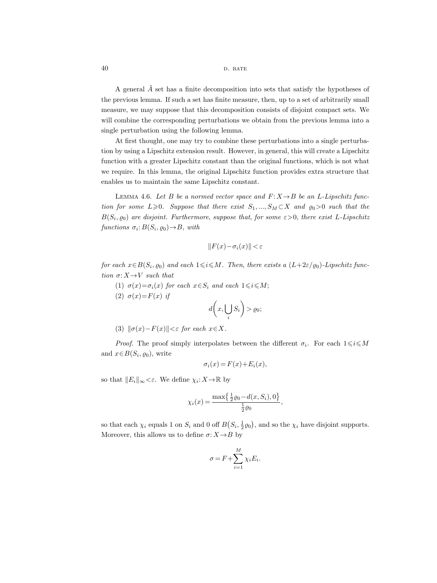A general  $\tilde{A}$  set has a finite decomposition into sets that satisfy the hypotheses of the previous lemma. If such a set has finite measure, then, up to a set of arbitrarily small measure, we may suppose that this decomposition consists of disjoint compact sets. We will combine the corresponding perturbations we obtain from the previous lemma into a single perturbation using the following lemma.

At first thought, one may try to combine these perturbations into a single perturbation by using a Lipschitz extension result. However, in general, this will create a Lipschitz function with a greater Lipschitz constant than the original functions, which is not what we require. In this lemma, the original Lipschitz function provides extra structure that enables us to maintain the same Lipschitz constant.

<span id="page-39-0"></span>LEMMA 4.6. Let B be a normed vector space and  $F: X \rightarrow B$  be an L-Lipschitz function for some  $L\geqslant 0$ . Suppose that there exist  $S_1, ..., S_M \subset X$  and  $\varrho_0>0$  such that the  $B(S_i, \varrho_0)$  are disjoint. Furthermore, suppose that, for some  $\varepsilon > 0$ , there exist L-Lipschitz functions  $\sigma_i: B(S_i, \varrho_0) \to B$ , with

$$
\|F(x)-\sigma_i(x)\|<\varepsilon
$$

for each  $x \in B(S_i, \varrho_0)$  and each  $1 \leq i \leq M$ . Then, there exists a  $(L+2\varepsilon/\varrho_0)$ -Lipschitz function  $\sigma: X \rightarrow V$  such that

(1)  $\sigma(x) = \sigma_i(x)$  for each  $x \in S_i$  and each  $1 \leq i \leq M$ ; (2)  $\sigma(x) = F(x)$  if

$$
d\bigg(x,\bigcup_i S_i\bigg)>\varrho_0;
$$

(3)  $\|\sigma(x)-F(x)\|<\varepsilon$  for each  $x\in X$ .

*Proof.* The proof simply interpolates between the different  $\sigma_i$ . For each  $1 \leq i \leq M$ and  $x \in B(S_i, \varrho_0)$ , write

$$
\sigma_i(x) = F(x) + E_i(x),
$$

so that  $||E_i||_{\infty} < \varepsilon$ . We define  $\chi_i: X \to \mathbb{R}$  by

$$
\chi_i(x) = \frac{\max\{\frac{1}{2}\varrho_0 - d(x, S_i), 0\}}{\frac{1}{2}\varrho_0},
$$

so that each  $\chi_i$  equals 1 on  $S_i$  and 0 off  $B(S_i, \frac{1}{2}\varrho_0)$ , and so the  $\chi_i$  have disjoint supports. Moreover, this allows us to define  $\sigma: X \to B$  by

$$
\sigma = F + \sum_{i=1}^{M} \chi_i E_i.
$$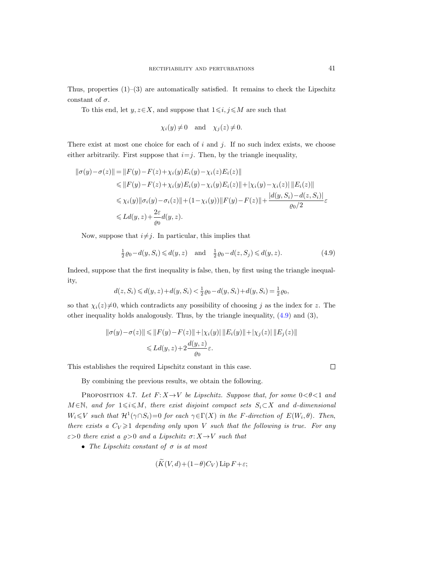Thus, properties  $(1)-(3)$  are automatically satisfied. It remains to check the Lipschitz constant of  $\sigma$ .

To this end, let  $y, z \in X$ , and suppose that  $1 \leq i, j \leq M$  are such that

$$
\chi_i(y) \neq 0
$$
 and  $\chi_j(z) \neq 0$ .

There exist at most one choice for each of  $i$  and  $j$ . If no such index exists, we choose either arbitrarily. First suppose that  $i=j$ . Then, by the triangle inequality,

$$
\begin{aligned} ||\sigma(y) - \sigma(z)|| &= ||F(y) - F(z) + \chi_i(y)E_i(y) - \chi_i(z)E_i(z)|| \\ &\le ||F(y) - F(z) + \chi_i(y)E_i(y) - \chi_i(y)E_i(z)|| + |\chi_i(y) - \chi_i(z)||E_i(z)|| \\ &\le \chi_i(y)||\sigma_i(y) - \sigma_i(z)|| + (1 - \chi_i(y))||F(y) - F(z)|| + \frac{|d(y, S_i) - d(z, S_i)|}{\varrho_0/2}\varepsilon \\ &\le Ld(y, z) + \frac{2\varepsilon}{\varrho_0}d(y, z). \end{aligned}
$$

Now, suppose that  $i\neq j$ . In particular, this implies that

<span id="page-40-0"></span>
$$
\frac{1}{2}\varrho_0 - d(y, S_i) \le d(y, z) \quad \text{and} \quad \frac{1}{2}\varrho_0 - d(z, S_j) \le d(y, z). \tag{4.9}
$$

Indeed, suppose that the first inequality is false, then, by first using the triangle inequality,

$$
d(z, S_i) \le d(y, z) + d(y, S_i) < \frac{1}{2}\varrho_0 - d(y, S_i) + d(y, S_i) = \frac{1}{2}\varrho_0,
$$

so that  $\chi_i(z)\neq0$ , which contradicts any possibility of choosing j as the index for z. The other inequality holds analogously. Thus, by the triangle inequality,  $(4.9)$  and  $(3)$ ,

$$
\|\sigma(y) - \sigma(z)\| \le \|F(y) - F(z)\| + |\chi_i(y)| \|E_i(y)\| + |\chi_j(z)| \|E_j(z)\|
$$
  

$$
\le Ld(y, z) + 2\frac{d(y, z)}{\varrho_0}\varepsilon.
$$

This establishes the required Lipschitz constant in this case.

By combining the previous results, we obtain the following.

<span id="page-40-1"></span>PROPOSITION 4.7. Let  $F: X \rightarrow V$  be Lipschitz. Suppose that, for some  $0 < \theta < 1$  and  $M \in \mathbb{N}$ , and for  $1 \leq i \leq M$ , there exist disjoint compact sets  $S_i \subset X$  and d-dimensional  $W_i \leq V$  such that  $\mathcal{H}^1(\gamma \cap S_i) = 0$  for each  $\gamma \in \Gamma(X)$  in the F-direction of  $E(W_i, \theta)$ . Then, there exists a  $C_V \geq 1$  depending only upon V such that the following is true. For any  $\varepsilon > 0$  there exist a  $\rho > 0$  and a Lipschitz  $\sigma: X \to V$  such that

• The Lipschitz constant of  $\sigma$  is at most

$$
(K(V, d) + (1 - \theta)C_V) \operatorname{Lip} F + \varepsilon;
$$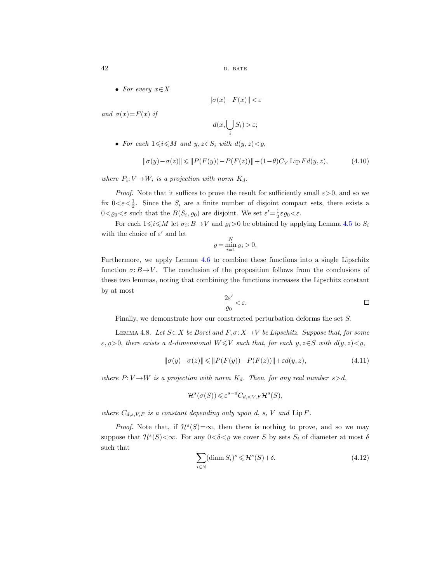• For every  $x \in X$ 

 $\|\sigma(x)-F(x)\|<\varepsilon$ 

and  $\sigma(x)=F(x)$  if

$$
d(x,\bigcup_i S_i) > \varepsilon;
$$

• For each  $1 \le i \le M$  and  $y, z \in S_i$  with  $d(y, z) < \rho$ ,

$$
\|\sigma(y) - \sigma(z)\| \le \|P(F(y)) - P(F(z))\| + (1 - \theta)C_V \text{ Lip } Fd(y, z),\tag{4.10}
$$

where  $P_i: V \to W_i$  is a projection with norm  $K_d$ .

*Proof.* Note that it suffices to prove the result for sufficiently small  $\varepsilon > 0$ , and so we fix  $0 < \varepsilon < \frac{1}{2}$ . Since the  $S_i$  are a finite number of disjoint compact sets, there exists a  $0 < \varrho_0 < \varepsilon$  such that the  $B(S_i, \varrho_0)$  are disjoint. We set  $\varepsilon' = \frac{1}{2}\varepsilon\varrho_0 < \varepsilon$ .

For each  $1 \le i \le M$  let  $\sigma_i : B \to V$  and  $\varrho_i > 0$  be obtained by applying Lemma [4.5](#page-36-3) to  $S_i$ with the choice of  $\varepsilon'$  and let

$$
\varrho = \min_{i=1}^N \varrho_i > 0.
$$

Furthermore, we apply Lemma [4.6](#page-39-0) to combine these functions into a single Lipschitz function  $\sigma: B \to V$ . The conclusion of the proposition follows from the conclusions of these two lemmas, noting that combining the functions increases the Lipschitz constant by at most

$$
\frac{2\varepsilon'}{\varrho_0} < \varepsilon. \tag{}
$$

<span id="page-41-2"></span>Finally, we demonstrate how our constructed perturbation deforms the set S.

LEMMA 4.8. Let  $S \subset X$  be Borel and  $F, \sigma: X \to V$  be Lipschitz. Suppose that, for some  $\varepsilon, \varrho > 0$ , there exists a d-dimensional  $W \leq V$  such that, for each y,  $z \in S$  with  $d(y, z) < \varrho$ ,

<span id="page-41-0"></span>
$$
\|\sigma(y)-\sigma(z)\| \leqslant \|P(F(y))-P(F(z))\|+\varepsilon d(y,z), \tag{4.11}
$$

where  $P: V \rightarrow W$  is a projection with norm  $K_d$ . Then, for any real number  $s > d$ ,

$$
\mathcal{H}^s(\sigma(S)) \leqslant \varepsilon^{s-d} C_{d,s,V,F} \mathcal{H}^s(S),
$$

where  $C_{d,s,V,F}$  is a constant depending only upon d, s, V and  $\text{Lip } F$ .

*Proof.* Note that, if  $\mathcal{H}^s(S) = \infty$ , then there is nothing to prove, and so we may suppose that  $\mathcal{H}^s(S) < \infty$ . For any  $0 < \delta < \varrho$  we cover S by sets  $S_i$  of diameter at most  $\delta$ such that

<span id="page-41-1"></span>
$$
\sum_{i \in \mathbb{N}} (\text{diam } S_i)^s \leqslant \mathcal{H}^s(S) + \delta. \tag{4.12}
$$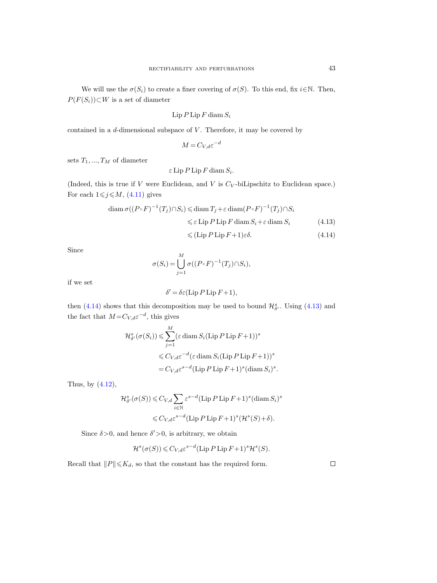We will use the  $\sigma(S_i)$  to create a finer covering of  $\sigma(S)$ . To this end, fix  $i \in \mathbb{N}$ . Then,  $P(F(S_i))\subset W$  is a set of diameter

$$
\operatorname{Lip} P \operatorname{Lip} F \operatorname{diam} S_i
$$

contained in a  $d$ -dimensional subspace of  $V$ . Therefore, it may be covered by

$$
M = C_{V,d} \varepsilon^{-d}
$$

sets  $T_1, ..., T_M$  of diameter

 $\varepsilon$  Lip P Lip F diam  $S_i$ .

(Indeed, this is true if  $V$  were Euclidean, and  $V$  is  $C_V$ -biLipschitz to Euclidean space.) For each  $1 \leq j \leq M$ , [\(4.11\)](#page-41-0) gives

$$
\operatorname{diam} \sigma((P \circ F)^{-1}(T_j) \cap S_i) \leq \operatorname{diam} T_j + \varepsilon \operatorname{diam}(P \circ F)^{-1}(T_j) \cap S_i
$$
  

$$
\leq \varepsilon \operatorname{Lip} P \operatorname{Lip} F \operatorname{diam} S_i + \varepsilon \operatorname{diam} S_i \tag{4.13}
$$

<span id="page-42-1"></span><span id="page-42-0"></span>
$$
\leqslant (\text{Lip } P \text{ Lip } F+1)\varepsilon \delta. \tag{4.14}
$$

Since

$$
\sigma(S_i) = \bigcup_{j=1}^M \sigma((P \circ F)^{-1}(T_j) \cap S_i),
$$

if we set

$$
\delta' = \delta \varepsilon (\text{Lip } P \text{ Lip } F + 1),
$$

then [\(4.14\)](#page-42-0) shows that this decomposition may be used to bound  $\mathcal{H}_{\delta'}^{s}$ . Using [\(4.13\)](#page-42-1) and the fact that  $M = C_{V,d} \varepsilon^{-d}$ , this gives

$$
\mathcal{H}_{\delta'}^{s}(\sigma(S_i)) \leq \sum_{j=1}^{M} (\varepsilon \operatorname{diam} S_i(\operatorname{Lip} P \operatorname{Lip} F + 1))^s
$$
  

$$
\leq C_{V,d} \varepsilon^{-d} (\varepsilon \operatorname{diam} S_i(\operatorname{Lip} P \operatorname{Lip} F + 1))^s
$$
  

$$
= C_{V,d} \varepsilon^{s-d} (\operatorname{Lip} P \operatorname{Lip} F + 1)^s (\operatorname{diam} S_i)^s.
$$

Thus, by  $(4.12)$ ,

$$
\mathcal{H}^s_{\delta'}(\sigma(S)) \leqslant C_{V,d} \sum_{i \in \mathbb{N}} \varepsilon^{s-d} (\operatorname{Lip} P \operatorname{Lip} F + 1)^s (\operatorname{diam} S_i)^s
$$
  

$$
\leqslant C_{V,d} \varepsilon^{s-d} (\operatorname{Lip} P \operatorname{Lip} F + 1)^s (\mathcal{H}^s(S) + \delta).
$$

Since  $\delta > 0$ , and hence  $\delta' > 0$ , is arbitrary, we obtain

$$
\mathcal{H}^s(\sigma(S)) \leqslant C_{V,d} \varepsilon^{s-d} (\operatorname{Lip} P \operatorname{Lip} F + 1)^s \mathcal{H}^s(S).
$$

Recall that  $||P|| \leq K_d$ , so that the constant has the required form.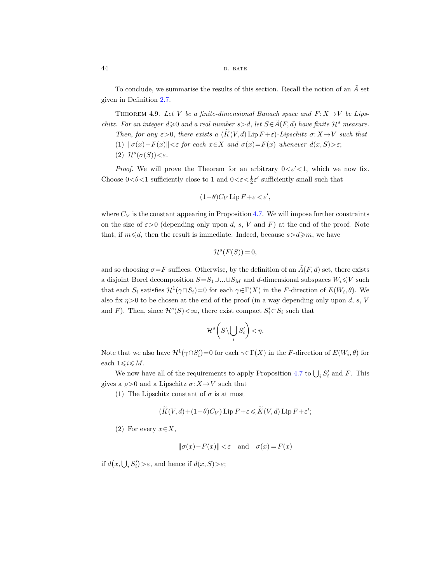#### 44 D. BATE

To conclude, we summarise the results of this section. Recall the notion of an  $\tilde{A}$  set given in Definition [2.7.](#page-13-0)

<span id="page-43-0"></span>THEOREM 4.9. Let V be a finite-dimensional Banach space and  $F: X \rightarrow V$  be Lipschitz. For an integer  $d \geq 0$  and a real number  $s > d$ , let  $S \in \tilde{A}(F,d)$  have finite  $\mathcal{H}^s$  measure.

- <span id="page-43-1"></span>Then, for any  $\varepsilon > 0$ , there exists a  $(\widetilde{K}(V, d) \operatorname{Lip} F + \varepsilon)$ -Lipschitz  $\sigma: X \to V$  such that
- (1)  $\|\sigma(x)-F(x)\|<\varepsilon$  for each  $x\in X$  and  $\sigma(x)=F(x)$  whenever  $d(x, S)>\varepsilon$ ;
- (2)  $\mathcal{H}^s(\sigma(S)) < \varepsilon$ .

*Proof.* We will prove the Theorem for an arbitrary  $0 \lt \epsilon' \lt 1$ , which we now fix. Choose  $0 < \theta < 1$  sufficiently close to 1 and  $0 < \varepsilon < \frac{1}{2} \varepsilon'$  sufficiently small such that

$$
(1-\theta)C_V \operatorname{Lip} F + \varepsilon < \varepsilon',
$$

where  $C_V$  is the constant appearing in Proposition [4.7.](#page-40-1) We will impose further constraints on the size of  $\varepsilon > 0$  (depending only upon d, s, V and F) at the end of the proof. Note that, if  $m \le d$ , then the result is immediate. Indeed, because  $s > d \ge m$ , we have

$$
\mathcal{H}^s(F(S)) = 0,
$$

and so choosing  $\sigma = F$  suffices. Otherwise, by the definition of an  $\tilde{A}(F, d)$  set, there exists a disjoint Borel decomposition  $S=S_1\cup...\cup S_M$  and d-dimensional subspaces  $W_i\leq V$  such that each  $S_i$  satisfies  $\mathcal{H}^1(\gamma \cap S_i) = 0$  for each  $\gamma \in \Gamma(X)$  in the F-direction of  $E(W_i, \theta)$ . We also fix  $\eta > 0$  to be chosen at the end of the proof (in a way depending only upon d, s, V and F). Then, since  $\mathcal{H}^s(S) < \infty$ , there exist compact  $S_i' \subset S_i$  such that

$$
\mathcal{H}^{s}\bigg(S\backslash\bigcup_{i}S'_{i}\bigg)<\eta.
$$

Note that we also have  $\mathcal{H}^1(\gamma \cap S_i')=0$  for each  $\gamma \in \Gamma(X)$  in the F-direction of  $E(W_i, \theta)$  for each  $1 \leq i \leq M$ .

We now have all of the requirements to apply Proposition [4.7](#page-40-1) to  $\bigcup_i S'_i$  and F. This gives a  $\rho > 0$  and a Lipschitz  $\sigma: X \to V$  such that

(1) The Lipschitz constant of  $\sigma$  is at most

$$
(\widetilde{K}(V,d) + (1-\theta)C_V) \operatorname{Lip} F + \varepsilon \leq \widetilde{K}(V,d) \operatorname{Lip} F + \varepsilon';
$$

(2) For every  $x \in X$ ,

$$
\|\sigma(x) - F(x)\| < \varepsilon \quad \text{and} \quad \sigma(x) = F(x)
$$

if  $d(x, \bigcup_i S'_i) > \varepsilon$ , and hence if  $d(x, S) > \varepsilon$ ;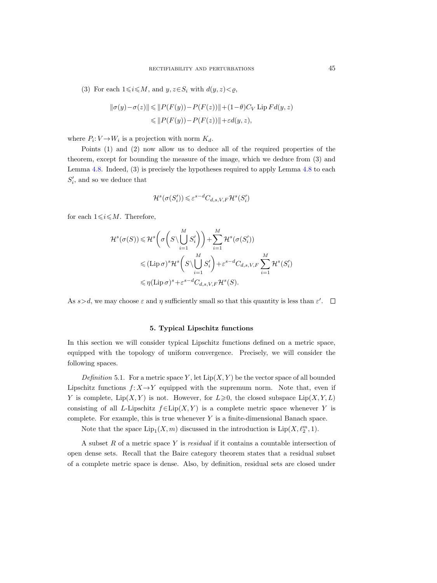(3) For each  $1 \leq i \leq M$ , and  $y, z \in S_i$  with  $d(y, z) < \varrho$ ,

$$
\|\sigma(y) - \sigma(z)\| \le \|P(F(y)) - P(F(z))\| + (1 - \theta)C_V \operatorname{Lip} Fd(y, z)
$$
  

$$
\le \|P(F(y)) - P(F(z))\| + \varepsilon d(y, z),
$$

where  $P_i: V \to W_i$  is a projection with norm  $K_d$ .

Points (1) and (2) now allow us to deduce all of the required properties of the theorem, except for bounding the measure of the image, which we deduce from (3) and Lemma [4.8.](#page-41-2) Indeed, (3) is precisely the hypotheses required to apply Lemma [4.8](#page-41-2) to each  $S_i'$ , and so we deduce that

$$
\mathcal{H}^s(\sigma(S'_i)) \leqslant \varepsilon^{s-d} C_{d,s,V,F} \mathcal{H}^s(S'_i)
$$

for each  $1\leq i\leq M$ . Therefore,

$$
\mathcal{H}^{s}(\sigma(S)) \leq \mathcal{H}^{s}\left(\sigma\left(S\setminus\bigcup_{i=1}^{M} S_{i}'\right)\right) + \sum_{i=1}^{M} \mathcal{H}^{s}(\sigma(S_{i}'))
$$
  

$$
\leqslant (\text{Lip }\sigma)^{s}\mathcal{H}^{s}\left(S\setminus\bigcup_{i=1}^{M} S_{i}'\right) + \varepsilon^{s-d}C_{d,s,V,F} \sum_{i=1}^{M} \mathcal{H}^{s}(S_{i}')
$$
  

$$
\leqslant \eta(\text{Lip }\sigma)^{s} + \varepsilon^{s-d}C_{d,s,V,F} \mathcal{H}^{s}(S).
$$

As  $s > d$ , we may choose  $\varepsilon$  and  $\eta$  sufficiently small so that this quantity is less than  $\varepsilon'$ .

## 5. Typical Lipschitz functions

<span id="page-44-0"></span>In this section we will consider typical Lipschitz functions defined on a metric space, equipped with the topology of uniform convergence. Precisely, we will consider the following spaces.

<span id="page-44-1"></span>Definition 5.1. For a metric space Y, let  $Lip(X, Y)$  be the vector space of all bounded Lipschitz functions  $f: X \rightarrow Y$  equipped with the supremum norm. Note that, even if Y is complete,  $\text{Lip}(X, Y)$  is not. However, for  $L \geq 0$ , the closed subspace  $\text{Lip}(X, Y, L)$ consisting of all L-Lipschitz  $f \in Lip(X, Y)$  is a complete metric space whenever Y is complete. For example, this is true whenever  $Y$  is a finite-dimensional Banach space.

Note that the space  $\text{Lip}_1(X, m)$  discussed in the introduction is  $\text{Lip}(X, \ell_2^m, 1)$ .

A subset R of a metric space Y is residual if it contains a countable intersection of open dense sets. Recall that the Baire category theorem states that a residual subset of a complete metric space is dense. Also, by definition, residual sets are closed under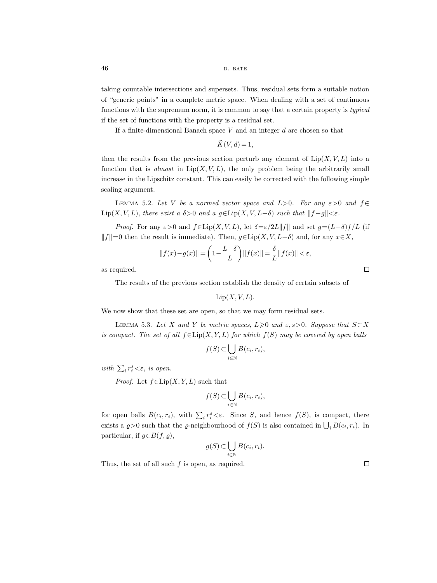taking countable intersections and supersets. Thus, residual sets form a suitable notion of "generic points" in a complete metric space. When dealing with a set of continuous functions with the supremum norm, it is common to say that a certain property is *typical* if the set of functions with the property is a residual set.

If a finite-dimensional Banach space  $V$  and an integer  $d$  are chosen so that

$$
\widetilde{K}(V,d) = 1,
$$

then the results from the previous section perturb any element of  $\text{Lip}(X, V, L)$  into a function that is almost in  $Lip(X, V, L)$ , the only problem being the arbitrarily small increase in the Lipschitz constant. This can easily be corrected with the following simple scaling argument.

<span id="page-45-2"></span><span id="page-45-1"></span>LEMMA 5.2. Let V be a normed vector space and  $L>0$ . For any  $\varepsilon>0$  and  $f \in$ Lip(X, V, L), there exist a  $\delta > 0$  and a  $g \in Lip(X, V, L-\delta)$  such that  $||f-g|| < \varepsilon$ .

*Proof.* For any  $\varepsilon > 0$  and  $f \in Lip(X, V, L)$ , let  $\delta = \varepsilon/2L||f||$  and set  $g = (L-\delta)f/L$  (if  $||f||=0$  then the result is immediate). Then,  $g\in Lip(X, V, L-\delta)$  and, for any  $x\in X$ ,

$$
||f(x) - g(x)|| = \left(1 - \frac{L - \delta}{L}\right) ||f(x)|| = \frac{\delta}{L} ||f(x)|| < \varepsilon,
$$

as required.

The results of the previous section establish the density of certain subsets of

## $Lip(X, V, L)$ .

We now show that these set are open, so that we may form residual sets.

<span id="page-45-0"></span>LEMMA 5.3. Let X and Y be metric spaces, L $\geq 0$  and  $\varepsilon$ , s $> 0$ . Suppose that  $S \subset X$ is compact. The set of all  $f \in Lip(X, Y, L)$  for which  $f(S)$  may be covered by open balls

$$
f(S) \subset \bigcup_{i \in \mathbb{N}} B(c_i, r_i),
$$

with  $\sum_i r_i^s < \varepsilon$ , is open.

*Proof.* Let  $f \in Lip(X, Y, L)$  such that

$$
f(S) \subset \bigcup_{i \in \mathbb{N}} B(c_i, r_i),
$$

for open balls  $B(c_i, r_i)$ , with  $\sum_i r_i^s \leq \varepsilon$ . Since S, and hence  $f(S)$ , is compact, there exists a  $\rho > 0$  such that the  $\rho$ -neighbourhood of  $f(S)$  is also contained in  $\bigcup_i B(c_i, r_i)$ . In particular, if  $g \in B(f, \rho)$ ,

$$
g(S) \subset \bigcup_{i \in \mathbb{N}} B(c_i, r_i).
$$

Thus, the set of all such  $f$  is open, as required.

 $\Box$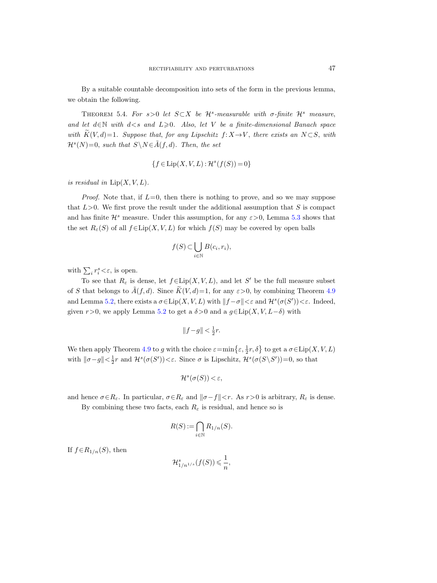By a suitable countable decomposition into sets of the form in the previous lemma, we obtain the following.

<span id="page-46-0"></span>THEOREM 5.4. For  $s > 0$  let  $S \subset X$  be  $\mathcal{H}^s$ -measurable with  $\sigma$ -finite  $\mathcal{H}^s$  measure, and let  $d \in \mathbb{N}$  with  $d \leq s$  and  $L \geq 0$ . Also, let V be a finite-dimensional Banach space with  $\widetilde{K}(V, d)=1$ . Suppose that, for any Lipschitz  $f: X \to V$ , there exists an  $N \subset S$ , with  $\mathcal{H}^s(N)=0$ , such that  $S \backslash N \in \tilde{A}(f,d)$ . Then, the set

$$
\{f \in \text{Lip}(X, V, L) : \mathcal{H}^s(f(S)) = 0\}
$$

is residual in  $\text{Lip}(X, V, L)$ .

*Proof.* Note that, if  $L=0$ , then there is nothing to prove, and so we may suppose that  $L>0$ . We first prove the result under the additional assumption that S is compact and has finite  $\mathcal{H}^s$  measure. Under this assumption, for any  $\varepsilon > 0$ , Lemma [5.3](#page-45-0) shows that the set  $R_{\varepsilon}(S)$  of all  $f \in \text{Lip}(X, V, L)$  for which  $f(S)$  may be covered by open balls

$$
f(S) \subset \bigcup_{i \in \mathbb{N}} B(c_i, r_i),
$$

with  $\sum_i r_i^s \langle \varepsilon$ , is open.

To see that  $R_{\varepsilon}$  is dense, let  $f \in Lip(X, V, L)$ , and let S' be the full measure subset of S that belongs to  $\tilde{A}(f, d)$ . Since  $\tilde{K}(V, d) = 1$ , for any  $\varepsilon > 0$ , by combining Theorem [4.9](#page-43-1) and Lemma [5.2,](#page-45-1) there exists a  $\sigma \in \text{Lip}(X, V, L)$  with  $||f - \sigma|| < \varepsilon$  and  $\mathcal{H}^s(\sigma(S')) < \varepsilon$ . Indeed, given  $r>0$ , we apply Lemma [5.2](#page-45-1) to get a  $\delta>0$  and a  $g\in \text{Lip}(X, V, L-\delta)$  with

$$
||f-g|| < \frac{1}{2}r.
$$

We then apply Theorem [4.9](#page-43-1) to g with the choice  $\varepsilon = \min\left\{\varepsilon, \frac{1}{2}r, \delta\right\}$  to get a  $\sigma \in \text{Lip}(X, V, L)$ with  $\|\sigma-g\| < \frac{1}{2}r$  and  $\mathcal{H}^s(\sigma(S')) < \varepsilon$ . Since  $\sigma$  is Lipschitz,  $\mathcal{H}^s(\sigma(S\setminus S'))=0$ , so that

$$
\mathcal{H}^s(\sigma(S)) < \varepsilon,
$$

and hence  $\sigma \in R_{\varepsilon}$ . In particular,  $\sigma \in R_{\varepsilon}$  and  $\|\sigma - f\| < r$ . As  $r > 0$  is arbitrary,  $R_{\varepsilon}$  is dense.

By combining these two facts, each  $R_{\varepsilon}$  is residual, and hence so is

$$
R(S) := \bigcap_{i \in \mathbb{N}} R_{1/n}(S).
$$

If  $f \in R_{1/n}(S)$ , then

 $\mathcal{H}^s_{1/n^{1/s}}(f(S)) \leqslant \frac{1}{n}$  $\frac{1}{n}$ ,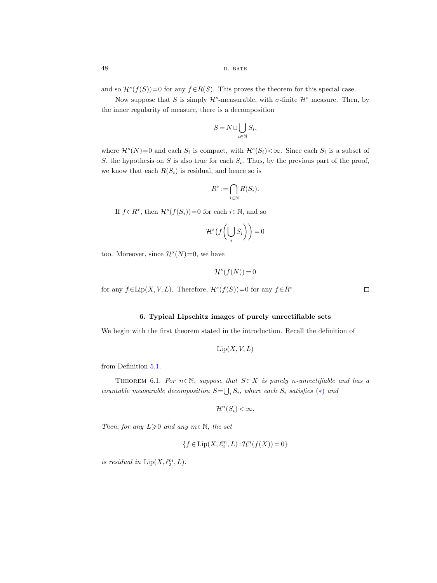and so  $\mathcal{H}^s(f(S))=0$  for any  $f \in R(S)$ . This proves the theorem for this special case.

Now suppose that S is simply  $\mathcal{H}^s$ -measurable, with  $\sigma$ -finite  $\mathcal{H}^s$  measure. Then, by the inner regularity of measure, there is a decomposition

$$
S = N \cup \bigcup_{i \in \mathbb{N}} S_i,
$$

where  $\mathcal{H}^s(N)=0$  and each  $S_i$  is compact, with  $\mathcal{H}^s(S_i) < \infty$ . Since each  $S_i$  is a subset of S, the hypothesis on S is also true for each  $S_i$ . Thus, by the previous part of the proof, we know that each  $R(S_i)$  is residual, and hence so is

$$
R^* := \bigcap_{i \in \mathbb{N}} R(S_i).
$$

If  $f \in \mathbb{R}^*$ , then  $\mathcal{H}^s(f(S_i))=0$  for each  $i \in \mathbb{N}$ , and so

$$
\mathcal{H}^s\big(f\bigg(\bigcup_i S_i\bigg)\bigg)=0
$$

too. Moreover, since  $\mathcal{H}^s(N)=0$ , we have

$$
\mathcal{H}^s(f(N)) = 0
$$

for any  $f \in \text{Lip}(X, V, L)$ . Therefore,  $\mathcal{H}^s(f(S)) = 0$  for any  $f \in R^*$ .

## 6. Typical Lipschitz images of purely unrectifiable sets

<span id="page-47-1"></span>We begin with the first theorem stated in the introduction. Recall the definition of

$$
\operatorname{Lip}(X, V, L)
$$

from Definition [5.1.](#page-44-1)

<span id="page-47-2"></span><span id="page-47-0"></span>THEOREM 6.1. For  $n \in \mathbb{N}$ , suppose that  $S \subset X$  is purely n-unrectifiable and has a countable measurable decomposition  $S = \bigcup_i S_i$ , where each  $S_i$  satisfies  $(*)$  and

$$
\mathcal{H}^n(S_i) < \infty.
$$

Then, for any  $L\geqslant 0$  and any  $m\in\mathbb{N}$ , the set

$$
\{f\in\text{Lip}(X,\ell_2^m,L):\mathcal{H}^n(f(X))=0\}
$$

is residual in  $\mathrm{Lip}(X,\ell_2^m,L).$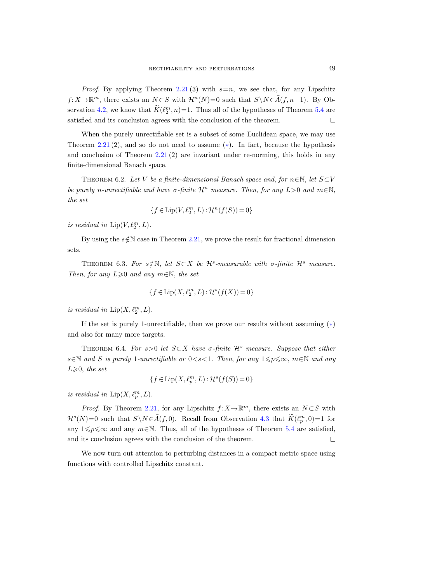*Proof.* By applying Theorem [2.21](#page-22-0) (3) with  $s=n$ , we see that, for any Lipschitz  $f: X \to \mathbb{R}^m$ , there exists an  $N \subset S$  with  $\mathcal{H}^n(N)=0$  such that  $S \setminus N \in \tilde{A}(f, n-1)$ . By Ob-servation [4.2,](#page-33-2) we know that  $K(\ell_2^m, n) = 1$ . Thus all of the hypotheses of Theorem [5.4](#page-46-0) are satisfied and its conclusion agrees with the conclusion of the theorem.  $\Box$ 

When the purely unrectifiable set is a subset of some Euclidean space, we may use Theorem [2.21](#page-22-0) (2), and so do not need to assume  $(*)$ . In fact, because the hypothesis and conclusion of Theorem  $2.21(2)$  $2.21(2)$  are invariant under re-norming, this holds in any finite-dimensional Banach space.

<span id="page-48-3"></span><span id="page-48-0"></span>THEOREM 6.2. Let V be a finite-dimensional Banach space and, for  $n \in \mathbb{N}$ , let  $S\subset V$ be purely n-unrectifiable and have  $\sigma$ -finite  $\mathcal{H}^n$  measure. Then, for any  $L>0$  and  $m\in\mathbb{N}$ , the set

$$
\{f\in\text{Lip}(V,\ell_2^m,L):\mathcal{H}^n(f(S))=0\}
$$

is residual in  $\text{Lip}(V, \ell_2^m, L)$ .

By using the  $s \notin \mathbb{N}$  case in Theorem [2.21,](#page-22-0) we prove the result for fractional dimension sets.

<span id="page-48-5"></span><span id="page-48-2"></span>THEOREM 6.3. For  $s \notin \mathbb{N}$ , let  $S \subset X$  be  $\mathcal{H}^s$ -measurable with  $\sigma$ -finite  $\mathcal{H}^s$  measure. Then, for any  $L\geq 0$  and any  $m\in\mathbb{N}$ , the set

$$
\{f\in\mathrm{Lip}(X,\ell_2^m,L):\mathcal{H}^s(f(X))=0\}
$$

is residual in  $\mathrm{Lip}(X,\ell_2^m,L).$ 

If the set is purely 1-unrectifiable, then we prove our results without assuming  $(*)$ and also for many more targets.

<span id="page-48-4"></span><span id="page-48-1"></span>THEOREM 6.4. For s>0 let  $S \subset X$  have  $\sigma$ -finite  $\mathcal{H}^s$  measure. Suppose that either  $s \in \mathbb{N}$  and S is purely 1-unrectifiable or  $0 < s < 1$ . Then, for any  $1 \leq p \leq \infty$ ,  $m \in \mathbb{N}$  and any  $L\geqslant 0$ , the set

$$
\{f\in\text{Lip}(X,\ell_p^m,L):\mathcal{H}^s(f(S))=0\}
$$

is residual in  $\text{Lip}(X, \ell_p^m, L)$ .

*Proof.* By Theorem [2.21,](#page-22-0) for any Lipschitz  $f: X \to \mathbb{R}^m$ , there exists an  $N \subset S$  with  $\mathcal{H}^s(N)=0$  such that  $S \backslash N \in \tilde{A}(f,0)$ . Recall from Observation [4.3](#page-33-4) that  $\tilde{K}(\ell_p^m,0)=1$  for any  $1\leqslant p\leqslant \infty$  and any  $m\in \mathbb{N}$ . Thus, all of the hypotheses of Theorem [5.4](#page-46-0) are satisfied, and its conclusion agrees with the conclusion of the theorem.  $\Box$ 

We now turn out attention to perturbing distances in a compact metric space using functions with controlled Lipschitz constant.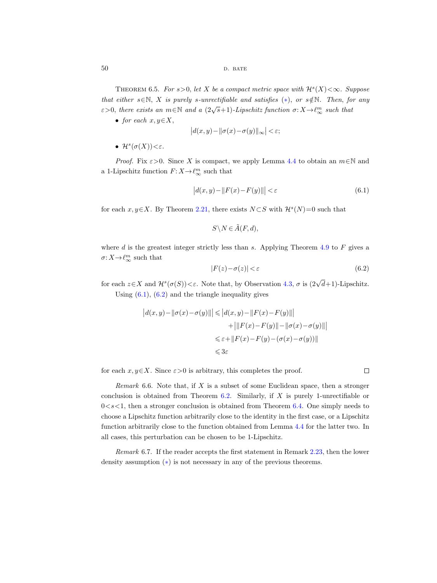<span id="page-49-1"></span>THEOREM 6.5. For  $s > 0$ , let X be a compact metric space with  $\mathcal{H}^s(X) < \infty$ . Suppose that either s∈N, X is purely s-unrectifiable and satisfies  $(*)$ , or  $s \notin N$ . Then, for any  $\varepsilon > 0$ , there exists an  $m \in \mathbb{N}$  and a  $(2\sqrt{s}+1)$ -Lipschitz function  $\sigma: X \to \ell_{\infty}^m$  such that

• for each  $x, y \in X$ ,

$$
\left|d(x,y) - ||\sigma(x) - \sigma(y)||_{\infty}\right| < \varepsilon;
$$

•  $\mathcal{H}^s(\sigma(X))<\varepsilon$ .

*Proof.* Fix  $\varepsilon > 0$ . Since X is compact, we apply Lemma [4.4](#page-34-1) to obtain an  $m \in \mathbb{N}$  and a 1-Lipschitz function  $F: X \to \ell_{\infty}^m$  such that

<span id="page-49-2"></span>
$$
\left|d(x,y) - \|F(x) - F(y)\|\right| < \varepsilon \tag{6.1}
$$

for each  $x, y \in X$ . By Theorem [2.21,](#page-22-1) there exists  $N \subset S$  with  $\mathcal{H}^s(N)=0$  such that

$$
S \setminus N \in \tilde{A}(F, d),
$$

where d is the greatest integer strictly less than s. Applying Theorem [4.9](#page-43-0) to  $F$  gives a  $\sigma\colon X \,{\to}\, \ell_\infty^m$  such that

<span id="page-49-3"></span>
$$
|F(z) - \sigma(z)| < \varepsilon \tag{6.2}
$$

for each  $z \in X$  and  $\mathcal{H}^s(\sigma(S)) < \varepsilon$ . Note that, by Observation [4.3,](#page-33-6)  $\sigma$  is  $(2\sqrt{d}+1)$ -Lipschitz. Using  $(6.1)$ ,  $(6.2)$  and the triangle inequality gives

$$
|d(x,y)-\|\sigma(x)-\sigma(y)\|| \leq |d(x,y)-\|F(x)-F(y)\||
$$
  
+ 
$$
+||F(x)-F(y)||- \|\sigma(x)-\sigma(y)\||
$$
  

$$
\leq \varepsilon + \|F(x)-F(y)-(\sigma(x)-\sigma(y))\|
$$
  

$$
\leq 3\varepsilon
$$

for each  $x, y \in X$ . Since  $\varepsilon > 0$  is arbitrary, this completes the proof.

Remark 6.6. Note that, if  $X$  is a subset of some Euclidean space, then a stronger conclusion is obtained from Theorem  $6.2$ . Similarly, if X is purely 1-unrectifiable or  $0 < s < 1$ , then a stronger conclusion is obtained from Theorem [6.4.](#page-48-4) One simply needs to choose a Lipschitz function arbitrarily close to the identity in the first case, or a Lipschitz function arbitrarily close to the function obtained from Lemma [4.4](#page-34-1) for the latter two. In all cases, this perturbation can be chosen to be 1-Lipschitz.

<span id="page-49-0"></span>Remark 6.7. If the reader accepts the first statement in Remark [2.23,](#page-22-2) then the lower density assumption  $(*)$  is not necessary in any of the previous theorems.

$$
\qquad \qquad \Box
$$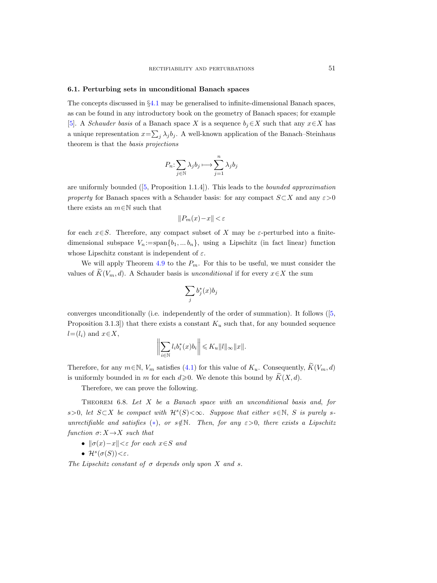#### <span id="page-50-2"></span><span id="page-50-0"></span>6.1. Perturbing sets in unconditional Banach spaces

The concepts discussed in §[4.1](#page-32-0) may be generalised to infinite-dimensional Banach spaces, as can be found in any introductory book on the geometry of Banach spaces; for example [\[5\]](#page-63-30). A *Schauder basis* of a Banach space X is a sequence  $b_j \in X$  such that any  $x \in X$  has a unique representation  $x = \sum_j \lambda_j b_j$ . A well-known application of the Banach–Steinhaus theorem is that the basis projections

$$
P_n\!\!: \sum_{j\in\mathbb{N}}\lambda_jb_j\longmapsto \sum_{j=1}^n\lambda_jb_j
$$

areuniformly bounded  $([5, Proposition 1.1.4])$  $([5, Proposition 1.1.4])$  $([5, Proposition 1.1.4])$ . This leads to the *bounded approximation* property for Banach spaces with a Schauder basis: for any compact  $S\subset X$  and any  $\varepsilon>0$ there exists an  $m \in \mathbb{N}$  such that

$$
\|P_m(x)\!-\!x\| \!<\! \varepsilon
$$

for each  $x \in S$ . Therefore, any compact subset of X may be  $\varepsilon$ -perturbed into a finitedimensional subspace  $V_n := \text{span}{b_1, \ldots, b_n}$ , using a Lipschitz (in fact linear) function whose Lipschitz constant is independent of  $\varepsilon$ .

We will apply Theorem [4.9](#page-43-1) to the  $P_m$ . For this to be useful, we must consider the values of  $\widetilde{K}(V_m, d)$ . A Schauder basis is unconditional if for every  $x \in X$  the sum

$$
\sum_j b_j^*(x)b_j
$$

converges unconditionally (i.e. independently of the order of summation). It follows([\[5,](#page-63-30) Proposition 3.1.3]) that there exists a constant  $K_u$  such that, for any bounded sequence  $l=(l_i)$  and  $x\in X$ ,

$$
\bigg\|\sum_{i\in\mathbb{N}}l_ib_i^*(x)b_i\bigg\|\leqslant K_u\|l\|_\infty\|x\|.
$$

Therefore, for any  $m \in \mathbb{N}$ ,  $V_m$  satisfies [\(4.1\)](#page-32-2) for this value of  $K_u$ . Consequently,  $\widetilde{K}(V_m, d)$ is uniformly bounded in m for each  $d\geqslant 0$ . We denote this bound by  $\widetilde{K}(X, d)$ .

Therefore, we can prove the following.

<span id="page-50-1"></span>THEOREM 6.8. Let  $X$  be a Banach space with an unconditional basis and, for s>0, let  $S\subset X$  be compact with  $\mathcal{H}^s(S)<\infty$ . Suppose that either s∈N, S is purely sunrectifiable and satisfies (\*), or  $s \notin \mathbb{N}$ . Then, for any  $\varepsilon > 0$ , there exists a Lipschitz function  $\sigma: X \to X$  such that

- $\|\sigma(x)-x\|<\varepsilon$  for each  $x\in S$  and
- $\mathcal{H}^s(\sigma(S)) < \varepsilon$ .

The Lipschitz constant of  $\sigma$  depends only upon X and s.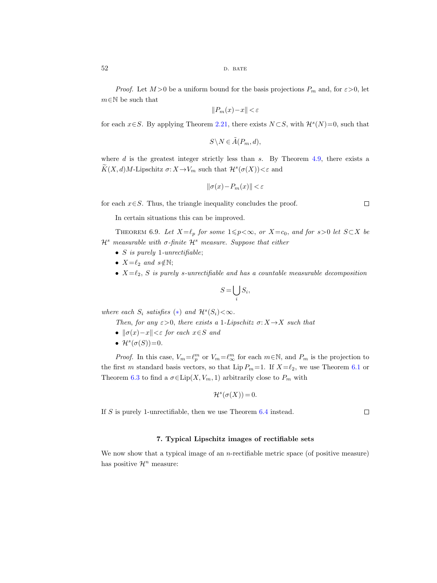*Proof.* Let  $M > 0$  be a uniform bound for the basis projections  $P_m$  and, for  $\varepsilon > 0$ , let  $m \in \mathbb{N}$  be such that

$$
\|P_m(x)\!-\!x\| \!<\! \varepsilon
$$

for each  $x \in S$ . By applying Theorem [2.21,](#page-22-1) there exists  $N \subset S$ , with  $\mathcal{H}^s(N)=0$ , such that

$$
S \backslash N \in \tilde{A}(P_m, d),
$$

where  $d$  is the greatest integer strictly less than  $s$ . By Theorem [4.9,](#page-43-0) there exists a  $K(X, d)M$ -Lipschitz  $\sigma: X \to V_m$  such that  $\mathcal{H}^s(\sigma(X)) < \varepsilon$  and

$$
\|\sigma(x)-P_m(x)\|<\varepsilon
$$

for each  $x \in S$ . Thus, the triangle inequality concludes the proof.

In certain situations this can be improved.

THEOREM 6.9. Let  $X=\ell_p$  for some  $1\leqslant p<\infty$ , or  $X=c_0$ , and for s>0 let  $S\subset X$  be  $\mathcal{H}^s$  measurable with  $\sigma$ -finite  $\mathcal{H}^s$  measure. Suppose that either

- $S$  is purely 1-unrectifiable;
- $X=\ell_2$  and  $s \notin \mathbb{N};$
- $X=\ell_2$ , S is purely s-unrectifiable and has a countable measurable decomposition

$$
S = \bigcup_i S_i,
$$

where each  $S_i$  satisfies  $(*)$  and  $\mathcal{H}^s(S_i) < \infty$ .

Then, for any  $\varepsilon > 0$ , there exists a 1-Lipschitz  $\sigma: X \to X$  such that

- $\|\sigma(x)-x\|<\varepsilon$  for each  $x\in S$  and
- $\mathcal{H}^s(\sigma(S))=0$ .

*Proof.* In this case,  $V_m = \ell_p^m$  or  $V_m = \ell_{\infty}^m$  for each  $m \in \mathbb{N}$ , and  $P_m$  is the projection to the first m standard basis vectors, so that Lip  $P_m=1$ . If  $X=\ell_2$ , we use Theorem [6.1](#page-47-2) or Theorem [6.3](#page-48-5) to find a  $\sigma \in \text{Lip}(X, V_m, 1)$  arbitrarily close to  $P_m$  with

$$
\mathcal{H}^s(\sigma(X)) = 0.
$$

If S is purely 1-unrectifiable, then we use Theorem [6.4](#page-48-4) instead.

 $\Box$ 

#### 7. Typical Lipschitz images of rectifiable sets

<span id="page-51-0"></span>We now show that a typical image of an *n*-rectifiable metric space (of positive measure) has positive  $\mathcal{H}^n$  measure: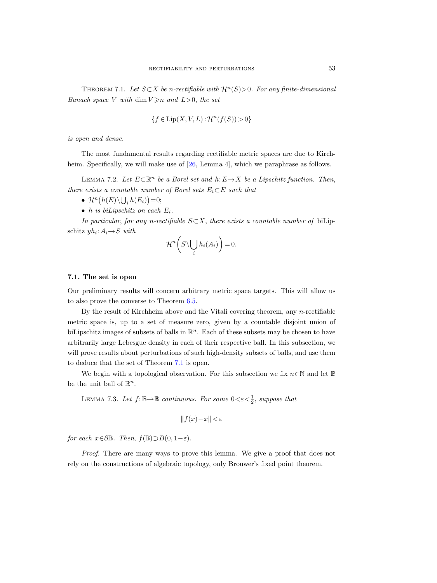<span id="page-52-4"></span><span id="page-52-1"></span>THEOREM 7.1. Let  $S \subset X$  be n-rectifiable with  $\mathcal{H}^n(S) > 0$ . For any finite-dimensional Banach space V with dim  $V \geq n$  and  $L > 0$ , the set

$$
\{f \in \text{Lip}(X, V, L) : \mathcal{H}^n(f(S)) > 0\}
$$

is open and dense.

The most fundamental results regarding rectifiable metric spaces are due to Kirch-heim. Specifically, we will make use of [\[26,](#page-63-2) Lemma 4], which we paraphrase as follows.

<span id="page-52-3"></span><span id="page-52-0"></span>LEMMA 7.2. Let  $E \subset \mathbb{R}^n$  be a Borel set and  $h: E \to X$  be a Lipschitz function. Then, there exists a countable number of Borel sets  $E_i \subset E$  such that

- $\mathcal{H}^n(h(E)\backslash \bigcup_i h(E_i))=0;$
- h is biLipschitz on each  $E_i$ .

In particular, for any n-rectifiable  $S\subset X$ , there exists a countable number of biLipschitz  $yh_i: A_i \rightarrow S$  with

$$
\mathcal{H}^n\bigg(S\backslash \bigcup_i h_i(A_i)\bigg)=0.
$$

#### 7.1. The set is open

Our preliminary results will concern arbitrary metric space targets. This will allow us to also prove the converse to Theorem [6.5.](#page-49-1)

By the result of Kirchheim above and the Vitali covering theorem, any n-rectifiable metric space is, up to a set of measure zero, given by a countable disjoint union of biLipschitz images of subsets of balls in  $\mathbb{R}^n$ . Each of these subsets may be chosen to have arbitrarily large Lebesgue density in each of their respective ball. In this subsection, we will prove results about perturbations of such high-density subsets of balls, and use them to deduce that the set of Theorem [7.1](#page-52-1) is open.

We begin with a topological observation. For this subsection we fix  $n \in \mathbb{N}$  and let  $\mathbb{B}$ be the unit ball of  $\mathbb{R}^n$ .

<span id="page-52-2"></span>LEMMA 7.3. Let  $f: \mathbb{B} \to \mathbb{B}$  continuous. For some  $0 < \varepsilon < \frac{1}{2}$ , suppose that

$$
||f(x) - x|| < \varepsilon
$$

for each  $x \in \partial \mathbb{B}$ . Then,  $f(\mathbb{B}) \supset B(0, 1-\varepsilon)$ .

Proof. There are many ways to prove this lemma. We give a proof that does not rely on the constructions of algebraic topology, only Brouwer's fixed point theorem.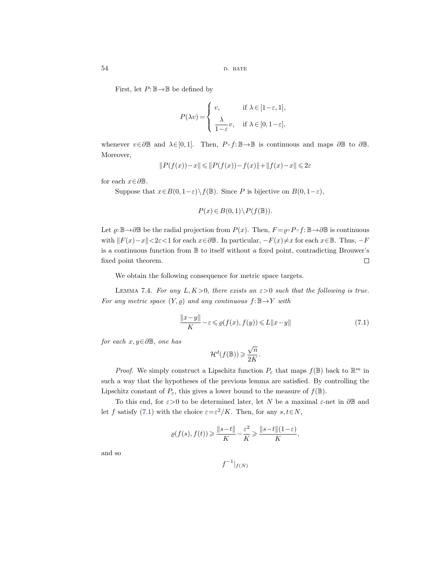First, let  $P: \mathbb{B} \to \mathbb{B}$  be defined by

$$
P(\lambda v) = \begin{cases} v, & \text{if } \lambda \in [1-\varepsilon, 1], \\ \frac{\lambda}{1-\varepsilon}v, & \text{if } \lambda \in [0, 1-\varepsilon], \end{cases}
$$

whenever  $v \in \partial \mathbb{B}$  and  $\lambda \in [0, 1]$ . Then,  $P \circ f : \mathbb{B} \to \mathbb{B}$  is continuous and maps  $\partial \mathbb{B}$  to  $\partial \mathbb{B}$ . Moreover,

$$
\|P(f(x))-x\|\leqslant \|P(f(x))-f(x)\|+\|f(x)-x\|\leqslant 2\varepsilon
$$

for each  $x \in \partial \mathbb{B}$ .

Suppose that  $x \in B(0, 1-\varepsilon) \setminus f(\mathbb{B})$ . Since P is bijective on  $B(0, 1-\varepsilon)$ ,

$$
P(x) \in B(0,1) \backslash P(f(\mathbb{B})).
$$

Let  $\rho: \mathbb{B} \to \partial \mathbb{B}$  be the radial projection from  $P(x)$ . Then,  $F = \rho \circ P \circ f: \mathbb{B} \to \partial \mathbb{B}$  is continuous with  $||F(x)-x|| < 2\varepsilon < 1$  for each  $x \in \partial \mathbb{B}$ . In particular,  $-F(x) \neq x$  for each  $x \in \mathbb{B}$ . Thus,  $-F$ is a continuous function from B to itself without a fixed point, contradicting Brouwer's fixed point theorem.  $\Box$ 

We obtain the following consequence for metric space targets.

LEMMA 7.4. For any  $L, K>0$ , there exists an  $\varepsilon>0$  such that the following is true. For any metric space  $(Y, \rho)$  and any continuous  $f: \mathbb{B} \to Y$  with

<span id="page-53-0"></span>
$$
\frac{\|x-y\|}{K} - \varepsilon \leq \varrho(f(x), f(y)) \leq L\|x-y\| \tag{7.1}
$$

for each  $x, y \in \partial \mathbb{B}$ , one has

$$
\mathcal{H}^d(f(\mathbb{B})) \geqslant \frac{\sqrt{n}}{2K}.
$$

*Proof.* We simply construct a Lipschitz function  $P_{\varepsilon}$  that maps  $f(\mathbb{B})$  back to  $\mathbb{R}^m$  in such a way that the hypotheses of the previous lemma are satisfied. By controlling the Lipschitz constant of  $P_{\varepsilon}$ , this gives a lower bound to the measure of  $f(\mathbb{B})$ .

To this end, for  $\varepsilon > 0$  to be determined later, let N be a maximal  $\varepsilon$ -net in ∂B and let f satisfy [\(7.1\)](#page-53-0) with the choice  $\varepsilon = \varepsilon^2/K$ . Then, for any  $s, t \in N$ ,

$$
\varrho(f(s),f(t)) \geqslant \frac{\|s-t\|}{K} - \frac{\varepsilon^2}{K} \geqslant \frac{\|s-t\|(1-\varepsilon)}{K},
$$

and so

$$
f^{-1}|_{f(N)}
$$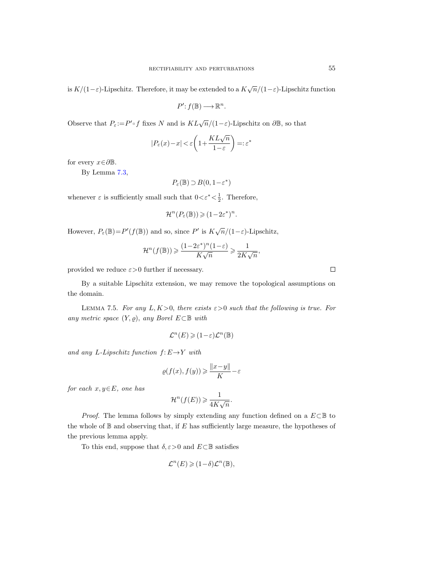is  $K/(1-\varepsilon)$ -Lipschitz. Therefore, it may be extended to a  $K\sqrt{n}/(1-\varepsilon)$ -Lipschitz function

 $P': f(\mathbb{B}) \longrightarrow \mathbb{R}^n$ .

Observe that  $P_{\varepsilon} := P' \circ f$  fixes N and is  $KL\sqrt{n}/(1-\varepsilon)$ -Lipschitz on  $\partial \mathbb{B}$ , so that

$$
|P_\varepsilon(x) - x| < \varepsilon \bigg(1 + \frac{KL\sqrt{n}}{1 - \varepsilon}\bigg) =: \varepsilon^*
$$

for every  $x \in \partial \mathbb{B}$ .

By Lemma [7.3,](#page-52-2)

 $P_{\varepsilon}(\mathbb{B}) \supset B(0, 1-\varepsilon^*)$ 

whenever  $\varepsilon$  is sufficiently small such that  $0 < \varepsilon^* < \frac{1}{2}$ . Therefore,

$$
\mathcal{H}^n(P_{\varepsilon}(\mathbb{B})) \geqslant (1 - 2\varepsilon^*)^n.
$$

However,  $P_{\varepsilon}(\mathbb{B}) = P'(f(\mathbb{B}))$  and so, since P' is  $K\sqrt{n}/(1-\varepsilon)$ -Lipschitz,

$$
\mathcal{H}^n(f(\mathbb{B})) \ge \frac{(1 - 2\varepsilon^*)^n (1 - \varepsilon)}{K\sqrt{n}} \ge \frac{1}{2K\sqrt{n}},
$$

provided we reduce  $\varepsilon > 0$  further if necessary.

By a suitable Lipschitz extension, we may remove the topological assumptions on the domain.

<span id="page-54-0"></span>LEMMA 7.5. For any L,  $K>0$ , there exists  $\varepsilon>0$  such that the following is true. For any metric space  $(Y, \rho)$ , any Borel  $E \subset \mathbb{B}$  with

$$
\mathcal{L}^n(E) \geqslant (1 - \varepsilon) \mathcal{L}^n(\mathbb{B})
$$

and any L-Lipschitz function  $f: E \rightarrow Y$  with

$$
\varrho(f(x),f(y)) \geqslant \frac{\|x-y\|}{K} - \varepsilon
$$

for each  $x, y \in E$ , one has

$$
\mathcal{H}^n(f(E)) \geqslant \frac{1}{4K\sqrt{n}}.
$$

*Proof.* The lemma follows by simply extending any function defined on a  $E\subset\mathbb{B}$  to the whole of  $\mathbb B$  and observing that, if E has sufficiently large measure, the hypotheses of the previous lemma apply.

To this end, suppose that  $\delta, \varepsilon > 0$  and  $E \subset \mathbb{B}$  satisfies

$$
\mathcal{L}^n(E) \geqslant (1 - \delta) \mathcal{L}^n(\mathbb{B}),
$$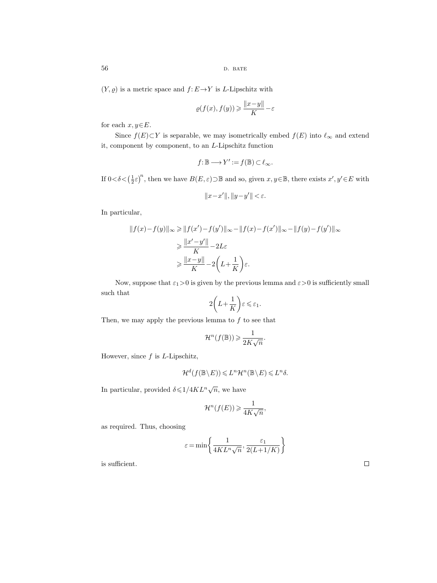56 d. bates b. bates b. bates b. bates b. bates b. bates b. bates b. bates b. bates b. bates b. bates b. b

 $(Y, \varrho)$  is a metric space and  $f: E \to Y$  is L-Lipschitz with

$$
\varrho(f(x), f(y)) \geq \frac{||x - y||}{K} - \varepsilon
$$

for each  $x, y \in E$ .

Since  $f(E) \subset Y$  is separable, we may isometrically embed  $f(E)$  into  $\ell_{\infty}$  and extend it, component by component, to an L-Lipschitz function

$$
f\!:\mathbb{B}\longrightarrow Y':=f(\mathbb{B})\subset\ell_{\infty}.
$$

If  $0 < \delta < (\frac{1}{2} \varepsilon)^n$ , then we have  $B(E, \varepsilon) \supset \mathbb{B}$  and so, given  $x, y \in \mathbb{B}$ , there exists  $x', y' \in E$  with

$$
||x-x'||, ||y-y'|| < \varepsilon.
$$

In particular,

$$
||f(x)-f(y)||_{\infty} \ge ||f(x')-f(y')||_{\infty} - ||f(x)-f(x')||_{\infty} - ||f(y)-f(y')||_{\infty}
$$

$$
\ge \frac{||x'-y'||}{K} - 2L\varepsilon
$$

$$
\ge \frac{||x-y||}{K} - 2\left(L + \frac{1}{K}\right)\varepsilon.
$$

Now, suppose that  $\varepsilon_1>0$  is given by the previous lemma and  $\varepsilon>0$  is sufficiently small such that

$$
2\bigg(L+\frac{1}{K}\bigg)\varepsilon\leqslant \varepsilon_1.
$$

Then, we may apply the previous lemma to  $f$  to see that

$$
\mathcal{H}^n(f(\mathbb{B})) \geqslant \frac{1}{2K\sqrt{n}}.
$$

However, since  $f$  is  $L$ -Lipschitz,

$$
\mathcal{H}^d(f(\mathbb{B}\setminus E)) \leqslant L^n\mathcal{H}^n(\mathbb{B}\setminus E) \leqslant L^n\delta.
$$

In particular, provided  $\delta \leqslant 1/4KL^n\sqrt{n}$ , we have

$$
\mathcal{H}^n(f(E)) \geqslant \frac{1}{4K\sqrt{n}},
$$

as required. Thus, choosing

$$
\varepsilon = \min\left\{\frac{1}{4KL^n\sqrt{n}}, \frac{\varepsilon_1}{2(L+1/K)}\right\}
$$

is sufficient.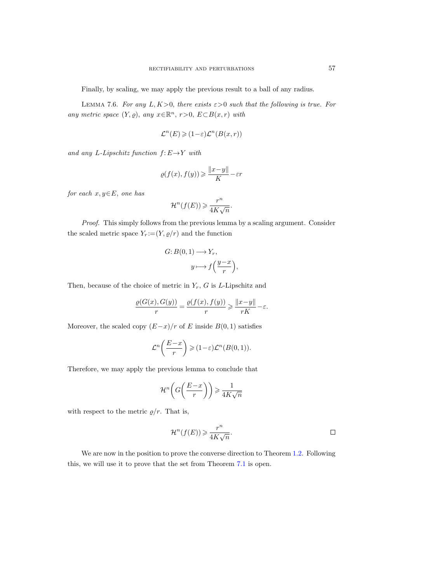Finally, by scaling, we may apply the previous result to a ball of any radius.

<span id="page-56-0"></span>LEMMA 7.6. For any L,  $K>0$ , there exists  $\varepsilon>0$  such that the following is true. For any metric space  $(Y, \varrho)$ , any  $x \in \mathbb{R}^n$ ,  $r > 0$ ,  $E \subset B(x, r)$  with

$$
\mathcal{L}^n(E) \geq (1 - \varepsilon)\mathcal{L}^n(B(x, r))
$$

and any L-Lipschitz function  $f: E \to Y$  with

$$
\varrho(f(x),f(y))\geqslant \frac{\|x-y\|}{K}-\varepsilon r
$$

for each  $x, y \in E$ , one has

$$
\mathcal{H}^n(f(E)) \geqslant \frac{r^n}{4K\sqrt{n}}.
$$

Proof. This simply follows from the previous lemma by a scaling argument. Consider the scaled metric space  $Y_r := (Y, \rho/r)$  and the function

$$
G: B(0,1) \longrightarrow Y_r,
$$
  

$$
y \longmapsto f\left(\frac{y-x}{r}\right)
$$

,

Then, because of the choice of metric in  $Y_r$ , G is L-Lipschitz and

$$
\frac{\varrho(G(x),G(y))}{r}=\frac{\varrho(f(x),f(y))}{r}\geqslant \frac{\|x-y\|}{rK}-\varepsilon.
$$

Moreover, the scaled copy  $(E-x)/r$  of E inside  $B(0, 1)$  satisfies

$$
\mathcal{L}^n\bigg(\frac{E-x}{r}\bigg) \geqslant (1-\varepsilon)\mathcal{L}^n(B(0,1)).
$$

Therefore, we may apply the previous lemma to conclude that

$$
\mathcal{H}^n\bigg(G\bigg(\frac{E-x}{r}\bigg)\bigg) \geqslant \frac{1}{4K\sqrt{n}}
$$

with respect to the metric  $\rho/r$ . That is,

$$
\mathcal{H}^n(f(E)) \geqslant \frac{r^n}{4K\sqrt{n}}.
$$

We are now in the position to prove the converse direction to Theorem [1.2.](#page-4-0) Following this, we will use it to prove that the set from Theorem [7.1](#page-52-1) is open.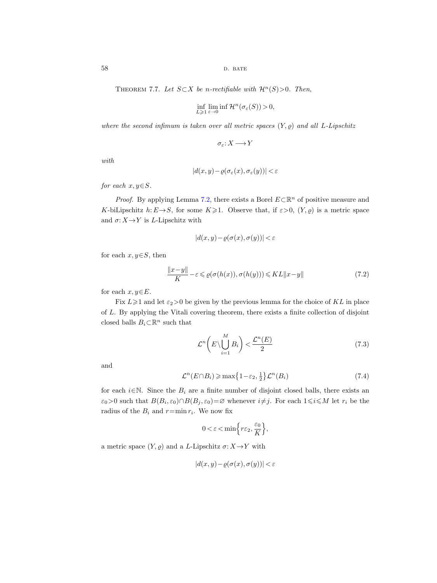<span id="page-57-0"></span>THEOREM 7.7. Let  $S \subset X$  be n-rectifiable with  $\mathcal{H}^n(S) > 0$ . Then,

$$
\inf_{L\geqslant 1}\lim_{\varepsilon\to 0}\inf\mathcal H^n(\sigma_{\varepsilon}(S))>0,
$$

where the second infimum is taken over all metric spaces  $(Y, \rho)$  and all L-Lipschitz

$$
\sigma_{\varepsilon}\!:\!X\longrightarrow\!Y
$$

with

$$
|d(x,y) - \varrho(\sigma_{\varepsilon}(x), \sigma_{\varepsilon}(y))| < \varepsilon
$$

for each  $x, y \in S$ .

*Proof.* By applying Lemma [7.2,](#page-52-0) there exists a Borel  $E \subset \mathbb{R}^n$  of positive measure and K-biLipschitz  $h: E \rightarrow S$ , for some  $K \geq 1$ . Observe that, if  $\varepsilon > 0$ ,  $(Y, \rho)$  is a metric space and  $\sigma: X \to Y$  is L-Lipschitz with

<span id="page-57-1"></span>
$$
|d(x,y) - \varrho(\sigma(x), \sigma(y))| < \varepsilon
$$

for each  $x, y \in S$ , then

$$
\frac{\|x-y\|}{K} - \varepsilon \leq \varrho(\sigma(h(x)), \sigma(h(y))) \leq KL\|x-y\| \tag{7.2}
$$

for each  $x, y \in E$ .

Fix  $L \geq 1$  and let  $\varepsilon_2 > 0$  be given by the previous lemma for the choice of KL in place of L. By applying the Vitali covering theorem, there exists a finite collection of disjoint closed balls  $B_i \subset \mathbb{R}^n$  such that

<span id="page-57-2"></span>
$$
\mathcal{L}^n\left(E \setminus \bigcup_{i=1}^M B_i\right) < \frac{\mathcal{L}^n(E)}{2} \tag{7.3}
$$

and

<span id="page-57-3"></span>
$$
\mathcal{L}^n(E \cap B_i) \ge \max\left\{1 - \varepsilon_2, \frac{1}{2}\right\} \mathcal{L}^n(B_i) \tag{7.4}
$$

for each  $i \in \mathbb{N}$ . Since the  $B_i$  are a finite number of disjoint closed balls, there exists an  $\varepsilon_0 > 0$  such that  $B(B_i, \varepsilon_0) \cap B(B_j, \varepsilon_0) = \varnothing$  whenever  $i \neq j$ . For each  $1 \leq i \leq M$  let  $r_i$  be the radius of the  $B_i$  and  $r = \min r_i$ . We now fix

$$
0 < \varepsilon < \min\left\{r\varepsilon_2, \frac{\varepsilon_0}{K}\right\},\
$$

a metric space  $(Y, \varrho)$  and a L-Lipschitz  $\sigma: X \to Y$  with

$$
|d(x,y) - \varrho(\sigma(x), \sigma(y))| < \varepsilon
$$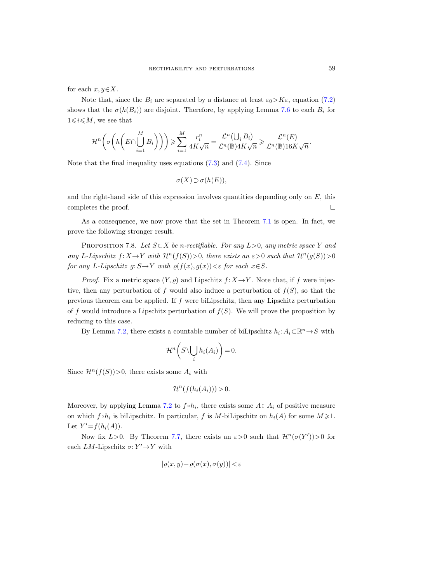for each  $x, y \in X$ .

Note that, since the  $B_i$  are separated by a distance at least  $\varepsilon_0 > K\varepsilon$ , equation [\(7.2\)](#page-57-1) shows that the  $\sigma(h(B_i))$  are disjoint. Therefore, by applying Lemma [7.6](#page-56-0) to each  $B_i$  for  $1\leq i\leq M$ , we see that

$$
\mathcal{H}^n\bigg(\sigma\bigg(h\bigg(E\cap\bigcup_{i=1}^MB_i\bigg)\bigg)\bigg)\geqslant \sum_{i=1}^M\frac{r_i^n}{4K\sqrt{n}}=\frac{\mathcal{L}^n\big(\bigcup_iB_i\big)}{\mathcal{L}^n(\mathbb{B})4K\sqrt{n}}\geqslant \frac{\mathcal{L}^n(E)}{\mathcal{L}^n(\mathbb{B})16K\sqrt{n}}.
$$

Note that the final inequality uses equations [\(7.3\)](#page-57-2) and [\(7.4\)](#page-57-3). Since

$$
\sigma(X) \supset \sigma(h(E)),
$$

and the right-hand side of this expression involves quantities depending only on  $E$ , this  $\Box$ completes the proof.

As a consequence, we now prove that the set in Theorem [7.1](#page-52-1) is open. In fact, we prove the following stronger result.

PROPOSITION 7.8. Let  $S \subset X$  be n-rectifiable. For any  $L>0$ , any metric space Y and any L-Lipschitz  $f: X \to Y$  with  $\mathcal{H}^n(f(S))>0$ , there exists an  $\varepsilon > 0$  such that  $\mathcal{H}^n(g(S))>0$ for any L-Lipschitz  $g: S \to Y$  with  $\rho(f(x), g(x)) < \varepsilon$  for each  $x \in S$ .

*Proof.* Fix a metric space  $(Y, \rho)$  and Lipschitz  $f: X \to Y$ . Note that, if f were injective, then any perturbation of f would also induce a perturbation of  $f(S)$ , so that the previous theorem can be applied. If  $f$  were biLipschitz, then any Lipschitz perturbation of f would introduce a Lipschitz perturbation of  $f(S)$ . We will prove the proposition by reducing to this case.

By Lemma [7.2,](#page-52-3) there exists a countable number of biLipschitz  $h_i: A_i \subset \mathbb{R}^n \to S$  with

$$
\mathcal{H}^n\bigg(S\backslash \bigcup_i h_i(A_i)\bigg)=0.
$$

Since  $\mathcal{H}^n(f(S))>0$ , there exists some  $A_i$  with

$$
\mathcal{H}^n(f(h_i(A_i))) > 0.
$$

Moreover, by applying Lemma [7.2](#page-52-3) to  $f \circ h_i$ , there exists some  $A \subset A_i$  of positive measure on which  $f \circ h_i$  is biLipschitz. In particular, f is M-biLipschitz on  $h_i(A)$  for some  $M \geq 1$ . Let  $Y'=f(h_i(A)).$ 

Now fix  $L > 0$ . By Theorem [7.7,](#page-57-0) there exists an  $\varepsilon > 0$  such that  $\mathcal{H}^n(\sigma(Y')) > 0$  for each  $LM$ -Lipschitz  $\sigma: Y' \rightarrow Y$  with

$$
|\varrho(x,y) - \varrho(\sigma(x), \sigma(y))| < \varepsilon
$$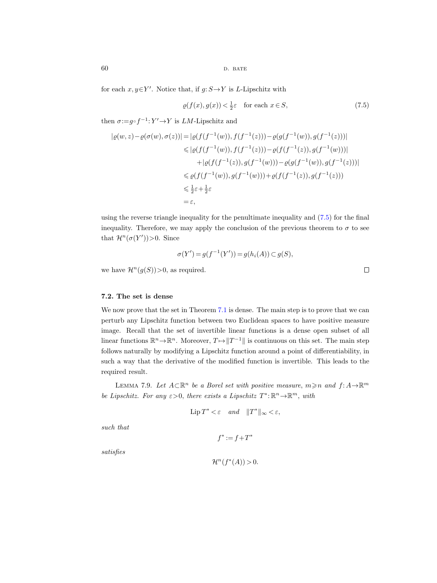for each  $x, y \in Y'$ . Notice that, if  $g: S \to Y$  is L-Lipschitz with

<span id="page-59-0"></span>
$$
\varrho(f(x), g(x)) < \frac{1}{2}\varepsilon \quad \text{for each } x \in S,
$$
\n
$$
(7.5)
$$

then  $\sigma:=g\circ f^{-1}:Y'\to Y$  is *LM*-Lipschitz and

$$
|\varrho(w, z) - \varrho(\sigma(w), \sigma(z))| = |\varrho(f(f^{-1}(w)), f(f^{-1}(z))) - \varrho(g(f^{-1}(w)), g(f^{-1}(z)))|
$$
  
\n
$$
\leq |\varrho(f(f^{-1}(w)), f(f^{-1}(z))) - \varrho(f(f^{-1}(z)), g(f^{-1}(w)))|
$$
  
\n
$$
+ |\varrho(f(f^{-1}(z)), g(f^{-1}(w))) - \varrho(g(f^{-1}(w)), g(f^{-1}(z)))|
$$
  
\n
$$
\leq \varrho(f(f^{-1}(w)), g(f^{-1}(w))) + \varrho(f(f^{-1}(z)), g(f^{-1}(z)))
$$
  
\n
$$
\leq \frac{1}{2}\varepsilon + \frac{1}{2}\varepsilon
$$
  
\n
$$
= \varepsilon,
$$

using the reverse triangle inequality for the penultimate inequality and [\(7.5\)](#page-59-0) for the final inequality. Therefore, we may apply the conclusion of the previous theorem to  $\sigma$  to see that  $\mathcal{H}^n(\sigma(Y'))>0$ . Since

$$
\sigma(Y') = g(f^{-1}(Y')) = g(h_i(A)) \subset g(S),
$$

we have  $\mathcal{H}^n(g(S))>0$ , as required.

## 7.2. The set is dense

We now prove that the set in Theorem [7.1](#page-52-4) is dense. The main step is to prove that we can perturb any Lipschitz function between two Euclidean spaces to have positive measure image. Recall that the set of invertible linear functions is a dense open subset of all linear functions  $\mathbb{R}^n \to \mathbb{R}^n$ . Moreover,  $T \mapsto ||T^{-1}||$  is continuous on this set. The main step follows naturally by modifying a Lipschitz function around a point of differentiability, in such a way that the derivative of the modified function is invertible. This leads to the required result.

<span id="page-59-1"></span>LEMMA 7.9. Let  $A\subset \mathbb{R}^n$  be a Borel set with positive measure,  $m \geq n$  and  $f: A \to \mathbb{R}^m$ be Lipschitz. For any  $\varepsilon > 0$ , there exists a Lipschitz  $T^* : \mathbb{R}^n \to \mathbb{R}^m$ , with

$$
\operatorname{Lip} T^* < \varepsilon \quad and \quad \|T^*\|_{\infty} < \varepsilon,
$$

such that

$$
f^{\ast}:=f+T^{\ast}
$$

satisfies

$$
\mathcal{H}^n(f^*(A)) > 0.
$$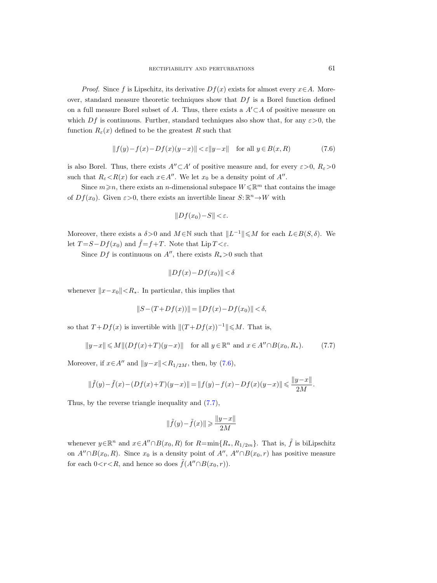*Proof.* Since f is Lipschitz, its derivative  $Df(x)$  exists for almost every  $x \in A$ . Moreover, standard measure theoretic techniques show that  $Df$  is a Borel function defined on a full measure Borel subset of A. Thus, there exists a  $A' \subset A$  of positive measure on which Df is continuous. Further, standard techniques also show that, for any  $\varepsilon > 0$ , the function  $R_{\varepsilon}(x)$  defined to be the greatest R such that

<span id="page-60-0"></span>
$$
||f(y)-f(x)-Df(x)(y-x)|| < \varepsilon ||y-x|| \quad \text{for all } y \in B(x,R)
$$
 (7.6)

is also Borel. Thus, there exists  $A'' \subset A'$  of positive measure and, for every  $\varepsilon > 0$ ,  $R_{\varepsilon} > 0$ such that  $R_{\varepsilon} < R(x)$  for each  $x \in A''$ . We let  $x_0$  be a density point of  $A''$ .

Since  $m \geq n$ , there exists an *n*-dimensional subspace  $W \leq \mathbb{R}^m$  that contains the image of  $Df(x_0)$ . Given  $\varepsilon > 0$ , there exists an invertible linear  $S: \mathbb{R}^n \to W$  with

$$
||Df(x_0)-S|| < \varepsilon.
$$

Moreover, there exists a  $\delta > 0$  and  $M \in \mathbb{N}$  such that  $||L^{-1}|| \leq M$  for each  $L \in B(S, \delta)$ . We let  $T = S - Df(x_0)$  and  $\tilde{f} = f + T$ . Note that Lip  $T < \varepsilon$ .

Since  $Df$  is continuous on A'', there exists  $R_* > 0$  such that

$$
||Df(x) - Df(x_0)|| < \delta
$$

whenever  $||x-x_0|| < R_*$ . In particular, this implies that

$$
||S - (T + Df(x))|| = ||Df(x) - Df(x_0)|| < \delta,
$$

so that  $T + Df(x)$  is invertible with  $||(T + Df(x))^{-1}|| \leq M$ . That is,

<span id="page-60-1"></span>
$$
||y-x|| \le M ||(Df(x)+T)(y-x)|| \text{ for all } y \in \mathbb{R}^n \text{ and } x \in A'' \cap B(x_0, R_*)
$$
. (7.7)

Moreover, if  $x \in A''$  and  $||y-x|| < R_{1/2M}$ , then, by [\(7.6\)](#page-60-0),

$$
\|\tilde{f}(y) - \tilde{f}(x) - (Df(x) + T)(y - x)\| = \|f(y) - f(x) - Df(x)(y - x)\| \le \frac{\|y - x\|}{2M}.
$$

Thus, by the reverse triangle inequality and [\(7.7\)](#page-60-1),

$$
\|\tilde{f}(y) - \tilde{f}(x)\| \ge \frac{\|y - x\|}{2M}
$$

whenever  $y \in \mathbb{R}^n$  and  $x \in A'' \cap B(x_0, R)$  for  $R = \min\{R_*, R_{1/2m}\}\$ . That is,  $\tilde{f}$  is biLipschitz on  $A'' \cap B(x_0, R)$ . Since  $x_0$  is a density point of  $A''$ ,  $A'' \cap B(x_0, r)$  has positive measure for each  $0 < r < R$ , and hence so does  $\hat{f}(A'' \cap B(x_0, r))$ .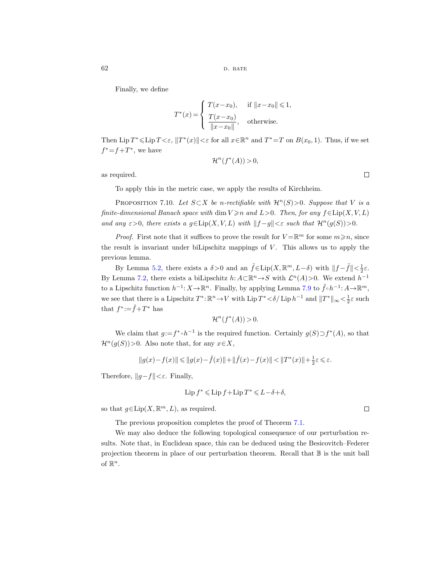Finally, we define

$$
T^*(x) = \begin{cases} T(x - x_0), & \text{if } ||x - x_0|| \le 1, \\ \frac{T(x - x_0)}{||x - x_0||}, & \text{otherwise.} \end{cases}
$$

Then Lip  $T^* \leq \text{Lip } T < \varepsilon$ ,  $||T^*(x)|| < \varepsilon$  for all  $x \in \mathbb{R}^n$  and  $T^* = T$  on  $B(x_0, 1)$ . Thus, if we set  $f^* = f + T^*$ , we have

$$
\mathcal{H}^n(f^*(A)) > 0,
$$

as required.

To apply this in the metric case, we apply the results of Kirchheim.

PROPOSITION 7.10. Let  $S \subset X$  be n-rectifiable with  $\mathcal{H}^n(S) > 0$ . Suppose that V is a finite-dimensional Banach space with dim  $V \geq n$  and  $L>0$ . Then, for any  $f \in Lip(X, V, L)$ and any  $\varepsilon > 0$ , there exists a  $g \in Lip(X, V, L)$  with  $||f - g|| < \varepsilon$  such that  $\mathcal{H}^n(g(S)) > 0$ .

*Proof.* First note that it suffices to prove the result for  $V = \mathbb{R}^m$  for some  $m \geq n$ , since the result is invariant under biLipschitz mappings of  $V$ . This allows us to apply the previous lemma.

By Lemma [5.2,](#page-45-2) there exists a  $\delta > 0$  and an  $\tilde{f} \in \text{Lip}(X, \mathbb{R}^m, L-\delta)$  with  $||f - \tilde{f}|| < \frac{1}{2}\varepsilon$ . By Lemma [7.2,](#page-52-0) there exists a biLipschitz  $h: A \subset \mathbb{R}^n \to S$  with  $\mathcal{L}^n(A) > 0$ . We extend  $h^{-1}$ to a Lipschitz function  $h^{-1}: X \to \mathbb{R}^n$ . Finally, by applying Lemma [7.9](#page-59-1) to  $\tilde{f} \circ h^{-1}: A \to \mathbb{R}^m$ , we see that there is a Lipschitz  $T^*$ :  $\mathbb{R}^n \to V$  with  $\text{Lip } T^* < \delta / \text{Lip } h^{-1}$  and  $||T^*||_{\infty} < \frac{1}{2} \varepsilon$  such that  $f^* \mathpunct{:}=\tilde{f} + T^*$  has

$$
\mathcal{H}^n(f^*(A)) > 0.
$$

We claim that  $g:=f^*\circ h^{-1}$  is the required function. Certainly  $g(S)\supset f^*(A)$ , so that  $\mathcal{H}^n(g(S))>0$ . Also note that, for any  $x\in X$ ,

$$
||g(x)-f(x)|| \leqslant ||g(x)-\tilde{f}(x)||+||\tilde{f}(x)-f(x)|| < ||T^*(x)||+\frac{1}{2}\varepsilon \leqslant \varepsilon.
$$

Therefore,  $||g-f|| < \varepsilon$ . Finally,

$$
\operatorname{Lip} f^* \leqslant \operatorname{Lip} f + \operatorname{Lip} T^* \leqslant L - \delta + \delta,
$$

so that  $g \in \text{Lip}(X, \mathbb{R}^m, L)$ , as required.

The previous proposition completes the proof of Theorem [7.1.](#page-52-4)

We may also deduce the following topological consequence of our perturbation results. Note that, in Euclidean space, this can be deduced using the Besicovitch–Federer projection theorem in place of our perturbation theorem. Recall that B is the unit ball of  $\mathbb{R}^n$ .

 $\Box$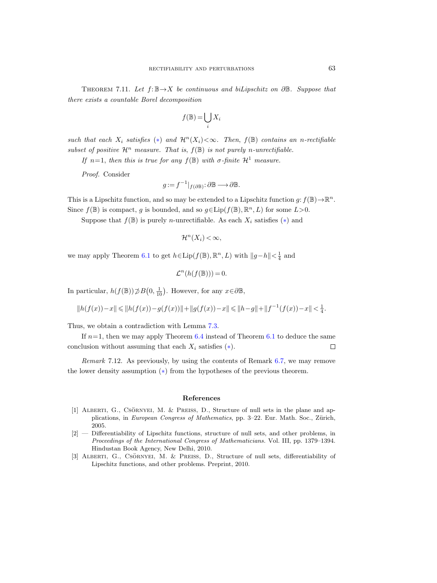<span id="page-62-2"></span>THEOREM 7.11. Let  $f: \mathbb{B} \to X$  be continuous and biLipschitz on  $\partial \mathbb{B}$ . Suppose that there exists a countable Borel decomposition

$$
f(\mathbb{B}) = \bigcup_i X_i
$$

such that each  $X_i$  satisfies (\*) and  $\mathcal{H}^n(X_i) < \infty$ . Then,  $f(\mathbb{B})$  contains an n-rectifiable subset of positive  $\mathcal{H}^n$  measure. That is,  $f(\mathbb{B})$  is not purely n-unrectifiable.

If n=1, then this is true for any  $f(\mathbb{B})$  with  $\sigma$ -finite  $\mathcal{H}^1$  measure.

Proof. Consider

$$
g := f^{-1}|_{f(\partial \mathbb{B})} : \partial \mathbb{B} \longrightarrow \partial \mathbb{B}.
$$

This is a Lipschitz function, and so may be extended to a Lipschitz function  $g: f(\mathbb{B}) \to \mathbb{R}^n$ . Since  $f(\mathbb{B})$  is compact, g is bounded, and so  $g \in Lip(f(\mathbb{B}), \mathbb{R}^n, L)$  for some  $L > 0$ .

Suppose that  $f(\mathbb{B})$  is purely *n*-unrectifiable. As each  $X_i$  satisfies (\*) and

$$
\mathcal{H}^n(X_i) < \infty,
$$

we may apply Theorem [6.1](#page-47-0) to get  $h \in \text{Lip}(f(\mathbb{B}), \mathbb{R}^n, L)$  with  $||g-h|| < \frac{1}{4}$  and

$$
\mathcal{L}^n(h(f(\mathbb{B})))=0.
$$

In particular,  $h(f(\mathbb{B})) \not\supset B(0, \frac{1}{10})$ . However, for any  $x \in \partial \mathbb{B}$ ,

$$
||h(f(x)) - x|| \le ||h(f(x)) - g(f(x))|| + ||g(f(x)) - x|| \le ||h - g|| + ||f^{-1}(f(x)) - x|| < \frac{1}{4}.
$$

Thus, we obtain a contradiction with Lemma [7.3.](#page-52-2)

If  $n=1$ , then we may apply Theorem [6.4](#page-48-1) instead of Theorem [6.1](#page-47-0) to deduce the same conclusion without assuming that each  $X_i$  satisfies  $(*)$ .  $\Box$ 

Remark 7.12. As previously, by using the contents of Remark [6.7,](#page-49-0) we may remove the lower density assumption ([∗](#page-2-0)) from the hypotheses of the previous theorem.

#### References

- <span id="page-62-0"></span>[1] ALBERTI, G., CSÖRNYEI, M. & PREISS, D., Structure of null sets in the plane and applications, in European Congress of Mathematics, pp. 3–22. Eur. Math. Soc., Zürich, 2005.
- [2] Differentiability of Lipschitz functions, structure of null sets, and other problems, in Proceedings of the International Congress of Mathematicians. Vol. III, pp. 1379–1394. Hindustan Book Agency, New Delhi, 2010.
- <span id="page-62-1"></span>[3] ALBERTI, G., CSÖRNYEI, M. & PREISS, D., Structure of null sets, differentiability of Lipschitz functions, and other problems. Preprint, 2010.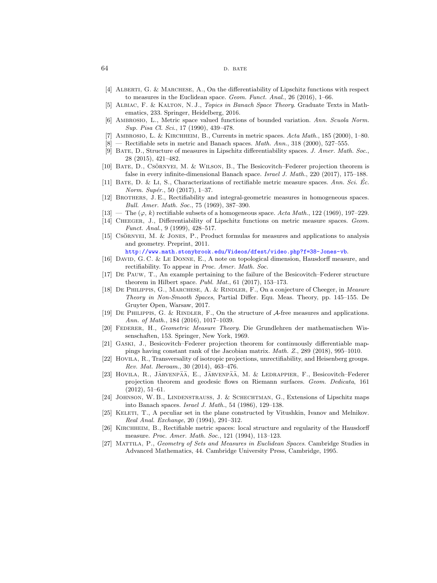#### 64 D. BATE

- <span id="page-63-28"></span><span id="page-63-16"></span>[4] Alberti, G. & Marchese, A., On the differentiability of Lipschitz functions with respect to measures in the Euclidean space. Geom. Funct. Anal., 26 (2016),  $1-66$ .
- <span id="page-63-30"></span>[5] Albiac, F. & Kalton, N. J., Topics in Banach Space Theory. Graduate Texts in Mathematics, 233. Springer, Heidelberg, 2016.
- <span id="page-63-1"></span>[6] Ambrosio, L., Metric space valued functions of bounded variation. Ann. Scuola Norm. Sup. Pisa Cl. Sci., 17 (1990), 439–478.
- <span id="page-63-12"></span><span id="page-63-3"></span>[7] AMBROSIO, L. & KIRCHHEIM, B., Currents in metric spaces. Acta Math., 185 (2000), 1–80.
- <span id="page-63-22"></span><span id="page-63-14"></span><span id="page-63-4"></span> $[8]$  — Rectifiable sets in metric and Banach spaces. *Math. Ann.*, 318 (2000), 527–555.
- <span id="page-63-17"></span>[9] Bate, D., Structure of measures in Lipschitz differentiability spaces. J. Amer. Math. Soc., 28 (2015), 421–482.
- <span id="page-63-10"></span>[10] BATE, D., CSÖRNYEI, M. & WILSON, B., The Besicovitch–Federer projection theorem is false in every infinite-dimensional Banach space. Israel J. Math., 220 (2017), 175–188.
- <span id="page-63-23"></span><span id="page-63-18"></span>[11] BATE, D. & Li, S., Characterizations of rectifiable metric measure spaces. Ann. Sci.  $\dot{E}c$ . Norm. Supér., 50 (2017), 1-37.
- <span id="page-63-5"></span>[12] Brothers, J. E., Rectifiability and integral-geometric measures in homogeneous spaces. Bull. Amer. Math. Soc., 75 (1969), 387–390.
- <span id="page-63-6"></span>[13] — The  $(\varphi, k)$  rectifiable subsets of a homogeneous space. Acta Math., 122 (1969), 197–229.
- <span id="page-63-11"></span>[14] Cheeger, J., Differentiability of Lipschitz functions on metric measure spaces. Geom. Funct. Anal., 9 (1999), 428–517.
- <span id="page-63-26"></span> $[15]$  CSÖRNYEI, M. & JONES, P., Product formulas for measures and applications to analysis and geometry. Preprint, 2011.
	- <http://www.math.stonybrook.edu/Videos/dfest/video.php?f=38-Jones-vb>.
- <span id="page-63-21"></span>[16] DAVID, G. C. & LE DONNE, E., A note on topological dimension, Hausdorff measure, and rectifiability. To appear in *Proc. Amer. Math. Soc.*
- <span id="page-63-9"></span>[17] De Pauw, T., An example pertaining to the failure of the Besicovitch–Federer structure theorem in Hilbert space. Publ. Mat.,  $61$  (2017), 153-173.
- <span id="page-63-29"></span>[18] DE PHILIPPIS, G., MARCHESE, A. & RINDLER, F., On a conjecture of Cheeger, in Measure Theory in Non-Smooth Spaces, Partial Differ. Equ. Meas. Theory, pp. 145–155. De Gruyter Open, Warsaw, 2017.
- <span id="page-63-27"></span><span id="page-63-19"></span>[19] DE PHILIPPIS, G. & RINDLER, F., On the structure of  $\mathcal{A}\text{-free measures and applications.}$ Ann. of Math., 184 (2016), 1017–1039.
- <span id="page-63-25"></span>[20] Federer, H., Geometric Measure Theory. Die Grundlehren der mathematischen Wissenschaften, 153. Springer, New York, 1969.
- <span id="page-63-20"></span>[21] Gaski, J., Besicovitch–Federer projection theorem for continuously differentiable mappings having constant rank of the Jacobian matrix. Math. Z., 289 (2018), 995–1010.
- <span id="page-63-7"></span>[22] Hovila, R., Transversality of isotropic projections, unrectifiability, and Heisenberg groups. Rev. Mat. Iberoam., 30 (2014), 463–476.
- <span id="page-63-8"></span>[23] HOVILA, R., JÄRVENPÄÄ, E., JÄRVENPÄÄ, M. & LEDRAPPIER, F., Besicovitch–Federer projection theorem and geodesic flows on Riemann surfaces. Geom. Dedicata, 161 (2012), 51–61.
- <span id="page-63-24"></span>[24] Johnson, W. B., Lindenstrauss, J. & Schechtman, G., Extensions of Lipschitz maps into Banach spaces. Israel J. Math., 54 (1986), 129–138.
- <span id="page-63-15"></span>[25] KELETI, T., A peculiar set in the plane constructed by Vitushkin, Ivanov and Melnikov. Real Anal. Exchange, 20 (1994), 291–312.
- <span id="page-63-13"></span><span id="page-63-2"></span>[26] Kirchheim, B., Rectifiable metric spaces: local structure and regularity of the Hausdorff measure. Proc. Amer. Math. Soc., 121 (1994), 113–123.
- <span id="page-63-0"></span>[27] Mattila, P., Geometry of Sets and Measures in Euclidean Spaces. Cambridge Studies in Advanced Mathematics, 44. Cambridge University Press, Cambridge, 1995.